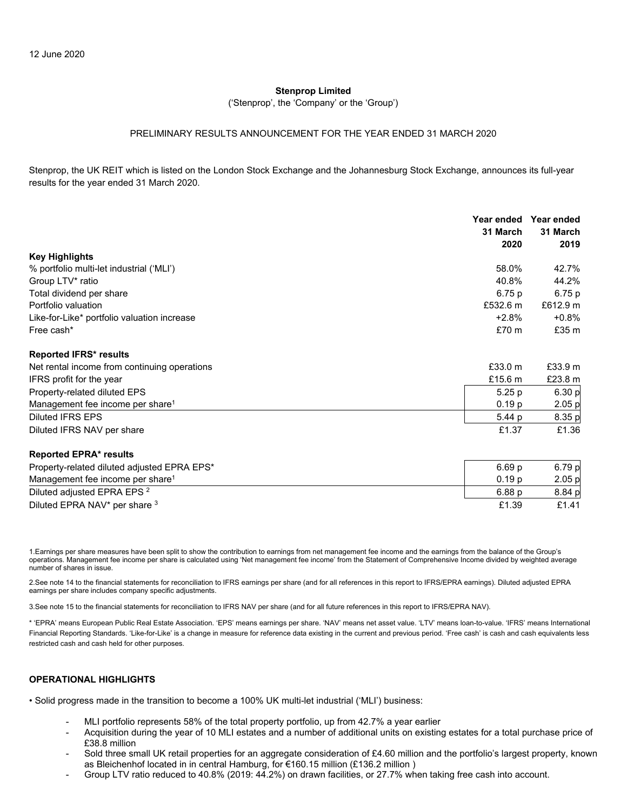## **Stenprop Limited**

('Stenprop', the 'Company' or the 'Group')

# PRELIMINARY RESULTS ANNOUNCEMENT FOR THE YEAR ENDED 31 MARCH 2020

Stenprop, the UK REIT which is listed on the London Stock Exchange and the Johannesburg Stock Exchange, announces its full-year results for the year ended 31 March 2020.

|                                              | Year ended<br>31 March<br>2020 | Year ended<br>31 March<br>2019 |
|----------------------------------------------|--------------------------------|--------------------------------|
| <b>Key Highlights</b>                        |                                |                                |
| % portfolio multi-let industrial ('MLI')     | 58.0%                          | 42.7%                          |
| Group LTV* ratio                             | 40.8%                          | 44.2%                          |
| Total dividend per share                     | 6.75p                          | 6.75 p                         |
| Portfolio valuation                          | £532.6 m                       | £612.9 m                       |
| Like-for-Like* portfolio valuation increase  | $+2.8%$                        | $+0.8%$                        |
| Free cash*                                   | £70 m                          | £35 m                          |
| <b>Reported IFRS* results</b>                |                                |                                |
| Net rental income from continuing operations | £33.0 m                        | £33.9 m                        |
| IFRS profit for the year                     | £15.6 m                        | £23.8 m                        |
| Property-related diluted EPS                 | 5.25p                          | 6.30 p                         |
| Management fee income per share <sup>1</sup> | 0.19 <sub>p</sub>              | 2.05 p                         |
| <b>Diluted IFRS EPS</b>                      | 5.44 p                         | 8.35 p                         |
| Diluted IFRS NAV per share                   | £1.37                          | £1.36                          |
| <b>Reported EPRA* results</b>                |                                |                                |
| Property-related diluted adjusted EPRA EPS*  | 6.69 p                         | 6.79 p                         |
| Management fee income per share <sup>1</sup> | 0.19 <sub>p</sub>              | 2.05 p                         |
| Diluted adjusted EPRA EPS <sup>2</sup>       | 6.88 p                         | 8.84 p                         |
| Diluted EPRA NAV* per share 3                | £1.39                          | £1.41                          |

1.Earnings per share measures have been split to show the contribution to earnings from net management fee income and the earnings from the balance of the Group's operations. Management fee income per share is calculated using 'Net management fee income' from the Statement of Comprehensive Income divided by weighted average number of shares in issue.

2.See note 14 to the financial statements for reconciliation to IFRS earnings per share (and for all references in this report to IFRS/EPRA earnings). Diluted adjusted EPRA earnings per share includes company specific adjustments.

3.See note 15 to the financial statements for reconciliation to IFRS NAV per share (and for all future references in this report to IFRS/EPRA NAV).

\* 'EPRA' means European Public Real Estate Association. 'EPS' means earnings per share. 'NAV' means net asset value. 'LTV' means loan-to-value. 'IFRS' means International Financial Reporting Standards. 'Like-for-Like' is a change in measure for reference data existing in the current and previous period. 'Free cash' is cash and cash equivalents less restricted cash and cash held for other purposes.

## **OPERATIONAL HIGHLIGHTS**

- Solid progress made in the transition to become a 100% UK multi-let industrial ('MLI') business:
	- MLI portfolio represents 58% of the total property portfolio, up from 42.7% a year earlier
	- Acquisition during the year of 10 MLI estates and a number of additional units on existing estates for a total purchase price of £38.8 million
	- Sold three small UK retail properties for an aggregate consideration of £4.60 million and the portfolio's largest property, known as Bleichenhof located in in central Hamburg, for €160.15 million (£136.2 million )
	- Group LTV ratio reduced to 40.8% (2019: 44.2%) on drawn facilities, or 27.7% when taking free cash into account.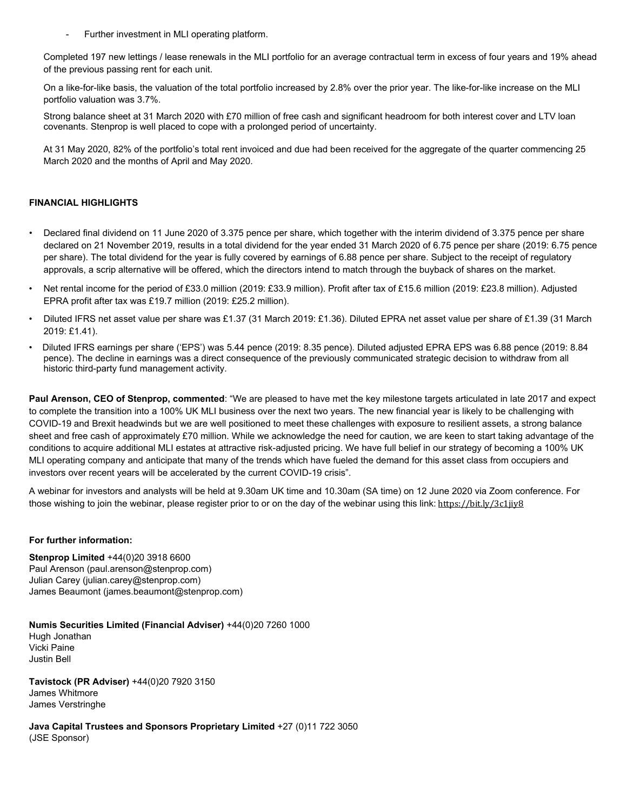Further investment in MLI operating platform.

Completed 197 new lettings / lease renewals in the MLI portfolio for an average contractual term in excess of four years and 19% ahead of the previous passing rent for each unit.

On a like-for-like basis, the valuation of the total portfolio increased by 2.8% over the prior year. The like-for-like increase on the MLI portfolio valuation was 3.7%.

Strong balance sheet at 31 March 2020 with £70 million of free cash and significant headroom for both interest cover and LTV loan covenants. Stenprop is well placed to cope with a prolonged period of uncertainty.

At 31 May 2020, 82% of the portfolio's total rent invoiced and due had been received for the aggregate of the quarter commencing 25 March 2020 and the months of April and May 2020.

# **FINANCIAL HIGHLIGHTS**

- Declared final dividend on 11 June 2020 of 3.375 pence per share, which together with the interim dividend of 3.375 pence per share declared on 21 November 2019, results in a total dividend for the year ended 31 March 2020 of 6.75 pence per share (2019: 6.75 pence per share). The total dividend for the year is fully covered by earnings of 6.88 pence per share. Subject to the receipt of regulatory approvals, a scrip alternative will be offered, which the directors intend to match through the buyback of shares on the market.
- Net rental income for the period of £33.0 million (2019: £33.9 million). Profit after tax of £15.6 million (2019: £23.8 million). Adjusted EPRA profit after tax was £19.7 million (2019: £25.2 million).
- Diluted IFRS net asset value per share was £1.37 (31 March 2019: £1.36). Diluted EPRA net asset value per share of £1.39 (31 March 2019: £1.41).
- Diluted IFRS earnings per share ('EPS') was 5.44 pence (2019: 8.35 pence). Diluted adjusted EPRA EPS was 6.88 pence (2019: 8.84 pence). The decline in earnings was a direct consequence of the previously communicated strategic decision to withdraw from all historic third-party fund management activity.

**Paul Arenson, CEO of Stenprop, commented**: "We are pleased to have met the key milestone targets articulated in late 2017 and expect to complete the transition into a 100% UK MLI business over the next two years. The new financial year is likely to be challenging with COVID-19 and Brexit headwinds but we are well positioned to meet these challenges with exposure to resilient assets, a strong balance sheet and free cash of approximately £70 million. While we acknowledge the need for caution, we are keen to start taking advantage of the conditions to acquire additional MLI estates at attractive risk-adjusted pricing. We have full belief in our strategy of becoming a 100% UK MLI operating company and anticipate that many of the trends which have fueled the demand for this asset class from occupiers and investors over recent years will be accelerated by the current COVID-19 crisis".

A webinar for investors and analysts will be held at 9.30am UK time and 10.30am (SA time) on 12 June 2020 via Zoom conference. For those wishing to join the webinar, please register prior to or on the day of the webinar using this link: <https://bit.ly/3c1jiy8>

# **For further information:**

**Stenprop Limited** +44(0)20 3918 6600 Paul Arenson [\(paul.arenson@stenprop.com\)](mailto:paul.arenson@stenprop.com) Julian Carey [\(julian.carey@stenprop.com\)](mailto:julian.carey@stenprop.com) James Beaumont [\(james.beaumont@stenprop.com\)](mailto:james.beaumont@stenprop.com)

**Numis Securities Limited (Financial Adviser)** +44(0)20 7260 1000 Hugh Jonathan Vicki Paine Justin Bell

**Tavistock (PR Adviser)** +44(0)20 7920 3150 James Whitmore James Verstringhe

**Java Capital Trustees and Sponsors Proprietary Limited** +27 (0)11 722 3050 (JSE Sponsor)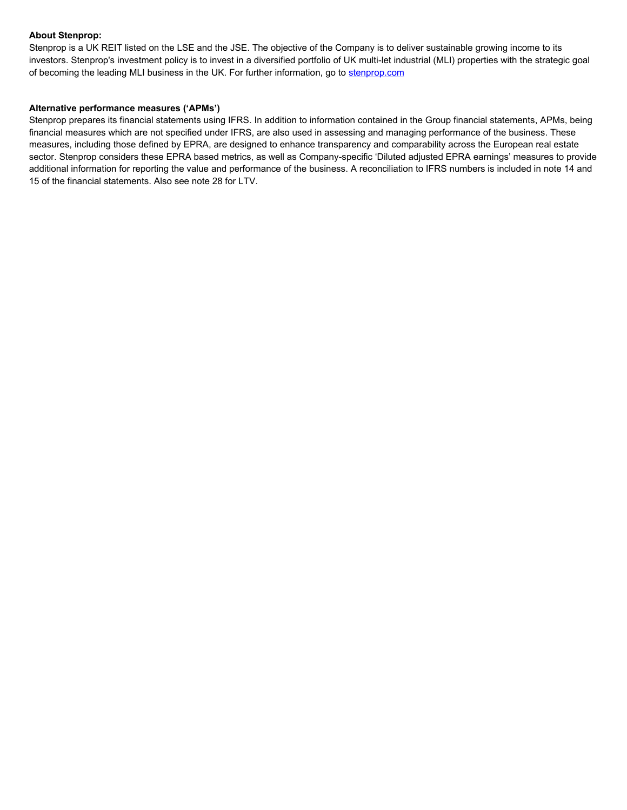# **About Stenprop:**

Stenprop is a UK REIT listed on the LSE and the JSE. The objective of the Company is to deliver sustainable growing income to its investors. Stenprop's investment policy is to invest in a diversified portfolio of UK multi-let industrial (MLI) properties with the strategic goal of becoming the leading MLI business in the UK. For further information, go to [stenprop.com](https://stenprop.com/)

# **Alternative performance measures ('APMs')**

Stenprop prepares its financial statements using IFRS. In addition to information contained in the Group financial statements, APMs, being financial measures which are not specified under IFRS, are also used in assessing and managing performance of the business. These measures, including those defined by EPRA, are designed to enhance transparency and comparability across the European real estate sector. Stenprop considers these EPRA based metrics, as well as Company-specific 'Diluted adjusted EPRA earnings' measures to provide additional information for reporting the value and performance of the business. A reconciliation to IFRS numbers is included in note 14 and 15 of the financial statements. Also see note 28 for LTV.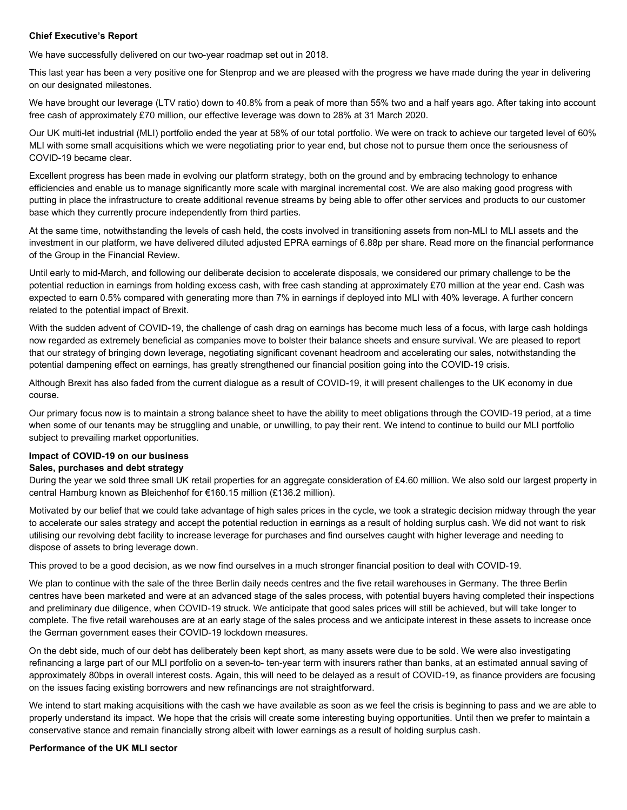# **Chief Executive's Report**

We have successfully delivered on our two-year roadmap set out in 2018.

This last year has been a very positive one for Stenprop and we are pleased with the progress we have made during the year in delivering on our designated milestones.

We have brought our leverage (LTV ratio) down to 40.8% from a peak of more than 55% two and a half years ago. After taking into account free cash of approximately £70 million, our effective leverage was down to 28% at 31 March 2020.

Our UK multi-let industrial (MLI) portfolio ended the year at 58% of our total portfolio. We were on track to achieve our targeted level of 60% MLI with some small acquisitions which we were negotiating prior to year end, but chose not to pursue them once the seriousness of COVID-19 became clear.

Excellent progress has been made in evolving our platform strategy, both on the ground and by embracing technology to enhance efficiencies and enable us to manage significantly more scale with marginal incremental cost. We are also making good progress with putting in place the infrastructure to create additional revenue streams by being able to offer other services and products to our customer base which they currently procure independently from third parties.

At the same time, notwithstanding the levels of cash held, the costs involved in transitioning assets from non-MLI to MLI assets and the investment in our platform, we have delivered diluted adjusted EPRA earnings of 6.88p per share. Read more on the financial performance of the Group in the Financial Review.

Until early to mid-March, and following our deliberate decision to accelerate disposals, we considered our primary challenge to be the potential reduction in earnings from holding excess cash, with free cash standing at approximately £70 million at the year end. Cash was expected to earn 0.5% compared with generating more than 7% in earnings if deployed into MLI with 40% leverage. A further concern related to the potential impact of Brexit.

With the sudden advent of COVID-19, the challenge of cash drag on earnings has become much less of a focus, with large cash holdings now regarded as extremely beneficial as companies move to bolster their balance sheets and ensure survival. We are pleased to report that our strategy of bringing down leverage, negotiating significant covenant headroom and accelerating our sales, notwithstanding the potential dampening effect on earnings, has greatly strengthened our financial position going into the COVID-19 crisis.

Although Brexit has also faded from the current dialogue as a result of COVID-19, it will present challenges to the UK economy in due course.

Our primary focus now is to maintain a strong balance sheet to have the ability to meet obligations through the COVID-19 period, at a time when some of our tenants may be struggling and unable, or unwilling, to pay their rent. We intend to continue to build our MLI portfolio subject to prevailing market opportunities.

# **Impact of COVID-19 on our business**

# **Sales, purchases and debt strategy**

During the year we sold three small UK retail properties for an aggregate consideration of £4.60 million. We also sold our largest property in central Hamburg known as Bleichenhof for €160.15 million (£136.2 million).

Motivated by our belief that we could take advantage of high sales prices in the cycle, we took a strategic decision midway through the year to accelerate our sales strategy and accept the potential reduction in earnings as a result of holding surplus cash. We did not want to risk utilising our revolving debt facility to increase leverage for purchases and find ourselves caught with higher leverage and needing to dispose of assets to bring leverage down.

This proved to be a good decision, as we now find ourselves in a much stronger financial position to deal with COVID-19.

We plan to continue with the sale of the three Berlin daily needs centres and the five retail warehouses in Germany. The three Berlin centres have been marketed and were at an advanced stage of the sales process, with potential buyers having completed their inspections and preliminary due diligence, when COVID-19 struck. We anticipate that good sales prices will still be achieved, but will take longer to complete. The five retail warehouses are at an early stage of the sales process and we anticipate interest in these assets to increase once the German government eases their COVID-19 lockdown measures.

On the debt side, much of our debt has deliberately been kept short, as many assets were due to be sold. We were also investigating refinancing a large part of our MLI portfolio on a seven-to- ten-year term with insurers rather than banks, at an estimated annual saving of approximately 80bps in overall interest costs. Again, this will need to be delayed as a result of COVID-19, as finance providers are focusing on the issues facing existing borrowers and new refinancings are not straightforward.

We intend to start making acquisitions with the cash we have available as soon as we feel the crisis is beginning to pass and we are able to properly understand its impact. We hope that the crisis will create some interesting buying opportunities. Until then we prefer to maintain a conservative stance and remain financially strong albeit with lower earnings as a result of holding surplus cash.

# **Performance of the UK MLI sector**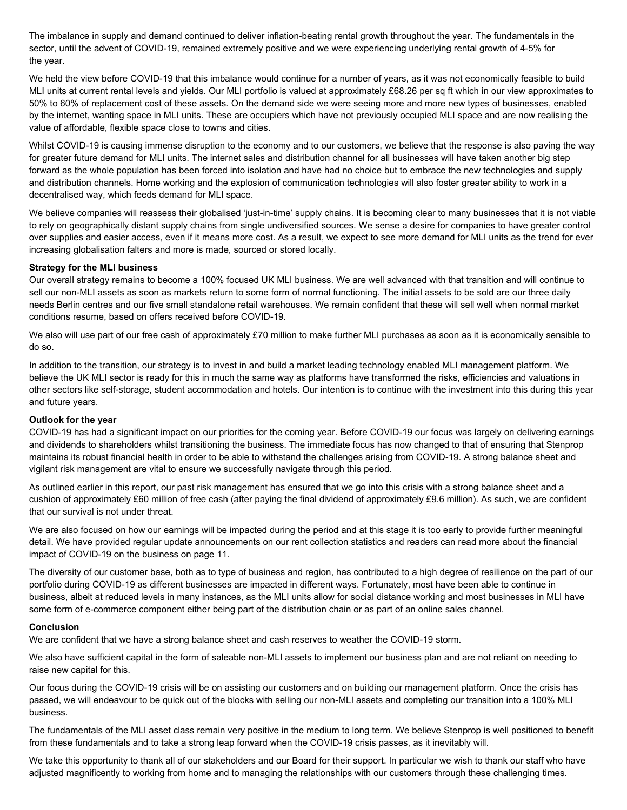The imbalance in supply and demand continued to deliver inflation-beating rental growth throughout the year. The fundamentals in the sector, until the advent of COVID-19, remained extremely positive and we were experiencing underlying rental growth of 4-5% for the year.

We held the view before COVID-19 that this imbalance would continue for a number of years, as it was not economically feasible to build MLI units at current rental levels and yields. Our MLI portfolio is valued at approximately £68.26 per sq ft which in our view approximates to 50% to 60% of replacement cost of these assets. On the demand side we were seeing more and more new types of businesses, enabled by the internet, wanting space in MLI units. These are occupiers which have not previously occupied MLI space and are now realising the value of affordable, flexible space close to towns and cities.

Whilst COVID-19 is causing immense disruption to the economy and to our customers, we believe that the response is also paving the way for greater future demand for MLI units. The internet sales and distribution channel for all businesses will have taken another big step forward as the whole population has been forced into isolation and have had no choice but to embrace the new technologies and supply and distribution channels. Home working and the explosion of communication technologies will also foster greater ability to work in a decentralised way, which feeds demand for MLI space.

We believe companies will reassess their globalised 'just-in-time' supply chains. It is becoming clear to many businesses that it is not viable to rely on geographically distant supply chains from single undiversified sources. We sense a desire for companies to have greater control over supplies and easier access, even if it means more cost. As a result, we expect to see more demand for MLI units as the trend for ever increasing globalisation falters and more is made, sourced or stored locally.

# **Strategy for the MLI business**

Our overall strategy remains to become a 100% focused UK MLI business. We are well advanced with that transition and will continue to sell our non-MLI assets as soon as markets return to some form of normal functioning. The initial assets to be sold are our three daily needs Berlin centres and our five small standalone retail warehouses. We remain confident that these will sell well when normal market conditions resume, based on offers received before COVID-19.

We also will use part of our free cash of approximately £70 million to make further MLI purchases as soon as it is economically sensible to do so.

In addition to the transition, our strategy is to invest in and build a market leading technology enabled MLI management platform. We believe the UK MLI sector is ready for this in much the same way as platforms have transformed the risks, efficiencies and valuations in other sectors like self-storage, student accommodation and hotels. Our intention is to continue with the investment into this during this year and future years.

# **Outlook for the year**

COVID-19 has had a significant impact on our priorities for the coming year. Before COVID-19 our focus was largely on delivering earnings and dividends to shareholders whilst transitioning the business. The immediate focus has now changed to that of ensuring that Stenprop maintains its robust financial health in order to be able to withstand the challenges arising from COVID-19. A strong balance sheet and vigilant risk management are vital to ensure we successfully navigate through this period.

As outlined earlier in this report, our past risk management has ensured that we go into this crisis with a strong balance sheet and a cushion of approximately £60 million of free cash (after paying the final dividend of approximately £9.6 million). As such, we are confident that our survival is not under threat.

We are also focused on how our earnings will be impacted during the period and at this stage it is too early to provide further meaningful detail. We have provided regular update announcements on our rent collection statistics and readers can read more about the financial impact of COVID-19 on the business on page 11.

The diversity of our customer base, both as to type of business and region, has contributed to a high degree of resilience on the part of our portfolio during COVID-19 as different businesses are impacted in different ways. Fortunately, most have been able to continue in business, albeit at reduced levels in many instances, as the MLI units allow for social distance working and most businesses in MLI have some form of e-commerce component either being part of the distribution chain or as part of an online sales channel.

#### **Conclusion**

We are confident that we have a strong balance sheet and cash reserves to weather the COVID-19 storm.

We also have sufficient capital in the form of saleable non-MLI assets to implement our business plan and are not reliant on needing to raise new capital for this.

Our focus during the COVID-19 crisis will be on assisting our customers and on building our management platform. Once the crisis has passed, we will endeavour to be quick out of the blocks with selling our non-MLI assets and completing our transition into a 100% MLI business.

The fundamentals of the MLI asset class remain very positive in the medium to long term. We believe Stenprop is well positioned to benefit from these fundamentals and to take a strong leap forward when the COVID-19 crisis passes, as it inevitably will.

We take this opportunity to thank all of our stakeholders and our Board for their support. In particular we wish to thank our staff who have adjusted magnificently to working from home and to managing the relationships with our customers through these challenging times.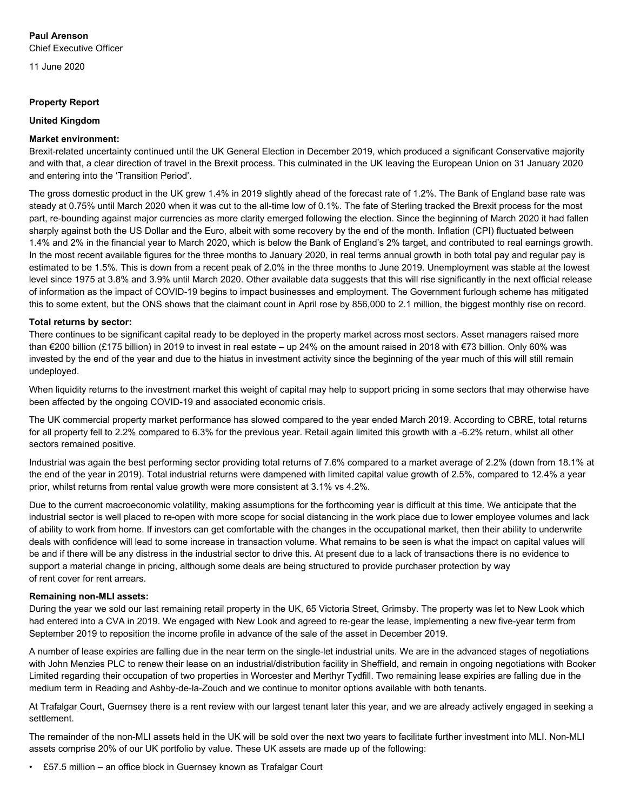Chief Executive Officer

11 June 2020

# **Property Report**

# **United Kingdom**

# **Market environment:**

Brexit-related uncertainty continued until the UK General Election in December 2019, which produced a significant Conservative majority and with that, a clear direction of travel in the Brexit process. This culminated in the UK leaving the European Union on 31 January 2020 and entering into the 'Transition Period'.

The gross domestic product in the UK grew 1.4% in 2019 slightly ahead of the forecast rate of 1.2%. The Bank of England base rate was steady at 0.75% until March 2020 when it was cut to the all-time low of 0.1%. The fate of Sterling tracked the Brexit process for the most part, re-bounding against major currencies as more clarity emerged following the election. Since the beginning of March 2020 it had fallen sharply against both the US Dollar and the Euro, albeit with some recovery by the end of the month. Inflation (CPI) fluctuated between 1.4% and 2% in the financial year to March 2020, which is below the Bank of England's 2% target, and contributed to real earnings growth. In the most recent available figures for the three months to January 2020, in real terms annual growth in both total pay and regular pay is estimated to be 1.5%. This is down from a recent peak of 2.0% in the three months to June 2019. Unemployment was stable at the lowest level since 1975 at 3.8% and 3.9% until March 2020. Other available data suggests that this will rise significantly in the next official release of information as the impact of COVID-19 begins to impact businesses and employment. The Government furlough scheme has mitigated this to some extent, but the ONS shows that the claimant count in April rose by 856,000 to 2.1 million, the biggest monthly rise on record.

# **Total returns by sector:**

There continues to be significant capital ready to be deployed in the property market across most sectors. Asset managers raised more than €200 billion (£175 billion) in 2019 to invest in real estate – up 24% on the amount raised in 2018 with €73 billion. Only 60% was invested by the end of the year and due to the hiatus in investment activity since the beginning of the year much of this will still remain undeployed.

When liquidity returns to the investment market this weight of capital may help to support pricing in some sectors that may otherwise have been affected by the ongoing COVID-19 and associated economic crisis.

The UK commercial property market performance has slowed compared to the year ended March 2019. According to CBRE, total returns for all property fell to 2.2% compared to 6.3% for the previous year. Retail again limited this growth with a -6.2% return, whilst all other sectors remained positive.

Industrial was again the best performing sector providing total returns of 7.6% compared to a market average of 2.2% (down from 18.1% at the end of the year in 2019). Total industrial returns were dampened with limited capital value growth of 2.5%, compared to 12.4% a year prior, whilst returns from rental value growth were more consistent at 3.1% vs 4.2%.

Due to the current macroeconomic volatility, making assumptions for the forthcoming year is difficult at this time. We anticipate that the industrial sector is well placed to re-open with more scope for social distancing in the work place due to lower employee volumes and lack of ability to work from home. If investors can get comfortable with the changes in the occupational market, then their ability to underwrite deals with confidence will lead to some increase in transaction volume. What remains to be seen is what the impact on capital values will be and if there will be any distress in the industrial sector to drive this. At present due to a lack of transactions there is no evidence to support a material change in pricing, although some deals are being structured to provide purchaser protection by way of rent cover for rent arrears.

# **Remaining non-MLI assets:**

During the year we sold our last remaining retail property in the UK, 65 Victoria Street, Grimsby. The property was let to New Look which had entered into a CVA in 2019. We engaged with New Look and agreed to re-gear the lease, implementing a new five-year term from September 2019 to reposition the income profile in advance of the sale of the asset in December 2019.

A number of lease expiries are falling due in the near term on the single-let industrial units. We are in the advanced stages of negotiations with John Menzies PLC to renew their lease on an industrial/distribution facility in Sheffield, and remain in ongoing negotiations with Booker Limited regarding their occupation of two properties in Worcester and Merthyr Tydfill. Two remaining lease expiries are falling due in the medium term in Reading and Ashby-de-la-Zouch and we continue to monitor options available with both tenants.

At Trafalgar Court, Guernsey there is a rent review with our largest tenant later this year, and we are already actively engaged in seeking a settlement.

The remainder of the non-MLI assets held in the UK will be sold over the next two years to facilitate further investment into MLI. Non-MLI assets comprise 20% of our UK portfolio by value. These UK assets are made up of the following:

• £57.5 million – an office block in Guernsey known as Trafalgar Court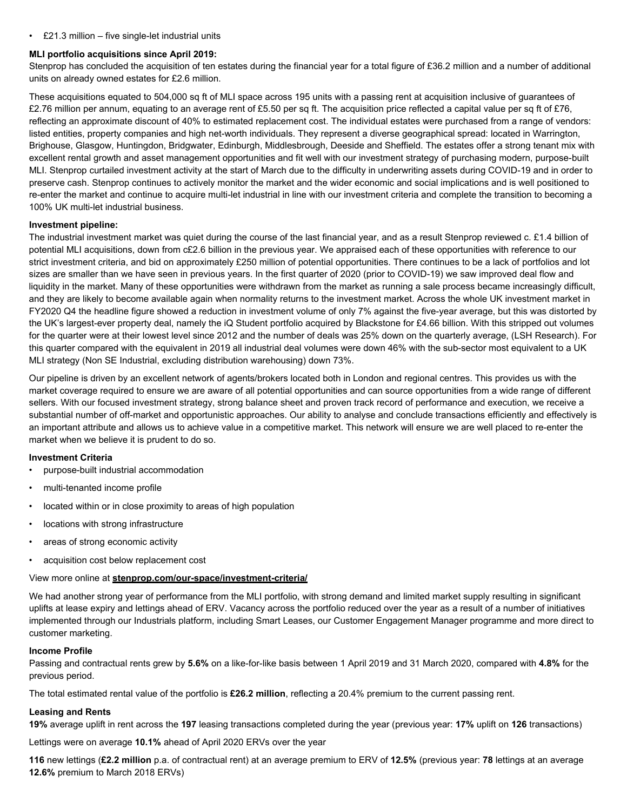• £21.3 million – five single-let industrial units

# **MLI portfolio acquisitions since April 2019:**

Stenprop has concluded the acquisition of ten estates during the financial year for a total figure of £36.2 million and a number of additional units on already owned estates for £2.6 million.

These acquisitions equated to 504,000 sq ft of MLI space across 195 units with a passing rent at acquisition inclusive of guarantees of £2.76 million per annum, equating to an average rent of £5.50 per sq ft. The acquisition price reflected a capital value per sq ft of £76. reflecting an approximate discount of 40% to estimated replacement cost. The individual estates were purchased from a range of vendors: listed entities, property companies and high net-worth individuals. They represent a diverse geographical spread: located in Warrington, Brighouse, Glasgow, Huntingdon, Bridgwater, Edinburgh, Middlesbrough, Deeside and Sheffield. The estates offer a strong tenant mix with excellent rental growth and asset management opportunities and fit well with our investment strategy of purchasing modern, purpose-built MLI. Stenprop curtailed investment activity at the start of March due to the difficulty in underwriting assets during COVID-19 and in order to preserve cash. Stenprop continues to actively monitor the market and the wider economic and social implications and is well positioned to re-enter the market and continue to acquire multi-let industrial in line with our investment criteria and complete the transition to becoming a 100% UK multi-let industrial business.

# **Investment pipeline:**

The industrial investment market was quiet during the course of the last financial year, and as a result Stenprop reviewed c. £1.4 billion of potential MLI acquisitions, down from c£2.6 billion in the previous year. We appraised each of these opportunities with reference to our strict investment criteria, and bid on approximately £250 million of potential opportunities. There continues to be a lack of portfolios and lot sizes are smaller than we have seen in previous years. In the first quarter of 2020 (prior to COVID-19) we saw improved deal flow and liquidity in the market. Many of these opportunities were withdrawn from the market as running a sale process became increasingly difficult, and they are likely to become available again when normality returns to the investment market. Across the whole UK investment market in FY2020 Q4 the headline figure showed a reduction in investment volume of only 7% against the five-year average, but this was distorted by the UK's largest-ever property deal, namely the iQ Student portfolio acquired by Blackstone for £4.66 billion. With this stripped out volumes for the quarter were at their lowest level since 2012 and the number of deals was 25% down on the quarterly average, (LSH Research). For this quarter compared with the equivalent in 2019 all industrial deal volumes were down 46% with the sub-sector most equivalent to a UK MLI strategy (Non SE Industrial, excluding distribution warehousing) down 73%.

Our pipeline is driven by an excellent network of agents/brokers located both in London and regional centres. This provides us with the market coverage required to ensure we are aware of all potential opportunities and can source opportunities from a wide range of different sellers. With our focused investment strategy, strong balance sheet and proven track record of performance and execution, we receive a substantial number of off-market and opportunistic approaches. Our ability to analyse and conclude transactions efficiently and effectively is an important attribute and allows us to achieve value in a competitive market. This network will ensure we are well placed to re-enter the market when we believe it is prudent to do so.

# **Investment Criteria**

- purpose-built industrial accommodation
- multi-tenanted income profile
- located within or in close proximity to areas of high population
- locations with strong infrastructure
- areas of strong economic activity
- acquisition cost below replacement cost

# View more online at **stenprop.com/our-space/investment-criteria/**

We had another strong year of performance from the MLI portfolio, with strong demand and limited market supply resulting in significant uplifts at lease expiry and lettings ahead of ERV. Vacancy across the portfolio reduced over the year as a result of a number of initiatives implemented through our Industrials platform, including Smart Leases, our Customer Engagement Manager programme and more direct to customer marketing.

# **Income Profile**

Passing and contractual rents grew by **5.6%** on a like-for-like basis between 1 April 2019 and 31 March 2020, compared with **4.8%** for the previous period.

The total estimated rental value of the portfolio is **£26.2 million**, reflecting a 20.4% premium to the current passing rent.

# **Leasing and Rents**

**19%** average uplift in rent across the **197** leasing transactions completed during the year (previous year: **17%** uplift on **126** transactions)

Lettings were on average **10.1%** ahead of April 2020 ERVs over the year

**116** new lettings (**£2.2 million** p.a. of contractual rent) at an average premium to ERV of **12.5%** (previous year: **78** lettings at an average **12.6%** premium to March 2018 ERVs)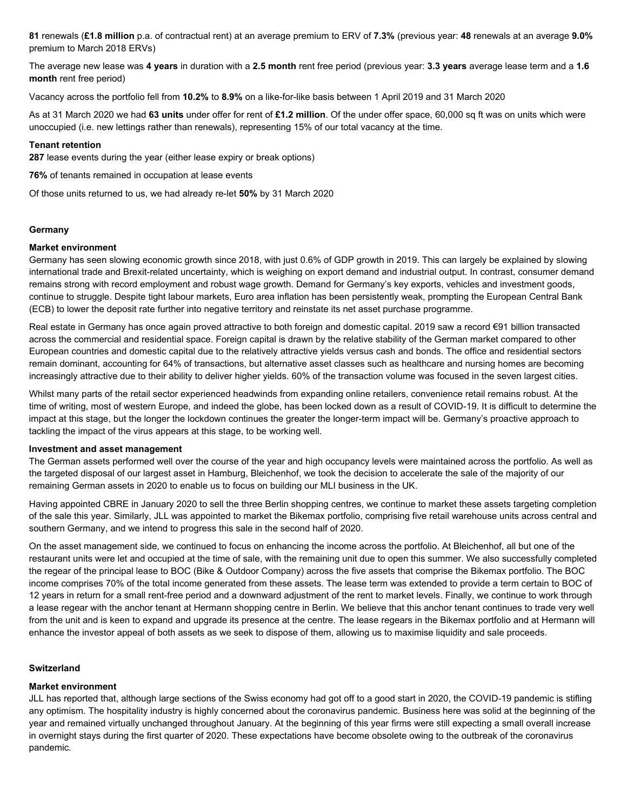**81** renewals (**£1.8 million** p.a. of contractual rent) at an average premium to ERV of **7.3%** (previous year: **48** renewals at an average **9.0%**  premium to March 2018 ERVs)

The average new lease was **4 years** in duration with a **2.5 month** rent free period (previous year: **3.3 years** average lease term and a **1.6 month** rent free period)

Vacancy across the portfolio fell from **10.2%** to **8.9%** on a like-for-like basis between 1 April 2019 and 31 March 2020

As at 31 March 2020 we had **63 units** under offer for rent of **£1.2 million**. Of the under offer space, 60,000 sq ft was on units which were unoccupied (i.e. new lettings rather than renewals), representing 15% of our total vacancy at the time.

#### **Tenant retention**

**287** lease events during the year (either lease expiry or break options)

**76%** of tenants remained in occupation at lease events

Of those units returned to us, we had already re-let **50%** by 31 March 2020

#### **Germany**

#### **Market environment**

Germany has seen slowing economic growth since 2018, with just 0.6% of GDP growth in 2019. This can largely be explained by slowing international trade and Brexit-related uncertainty, which is weighing on export demand and industrial output. In contrast, consumer demand remains strong with record employment and robust wage growth. Demand for Germany's key exports, vehicles and investment goods, continue to struggle. Despite tight labour markets, Euro area inflation has been persistently weak, prompting the European Central Bank (ECB) to lower the deposit rate further into negative territory and reinstate its net asset purchase programme.

Real estate in Germany has once again proved attractive to both foreign and domestic capital. 2019 saw a record €91 billion transacted across the commercial and residential space. Foreign capital is drawn by the relative stability of the German market compared to other European countries and domestic capital due to the relatively attractive yields versus cash and bonds. The office and residential sectors remain dominant, accounting for 64% of transactions, but alternative asset classes such as healthcare and nursing homes are becoming increasingly attractive due to their ability to deliver higher yields. 60% of the transaction volume was focused in the seven largest cities.

Whilst many parts of the retail sector experienced headwinds from expanding online retailers, convenience retail remains robust. At the time of writing, most of western Europe, and indeed the globe, has been locked down as a result of COVID-19. It is difficult to determine the impact at this stage, but the longer the lockdown continues the greater the longer-term impact will be. Germany's proactive approach to tackling the impact of the virus appears at this stage, to be working well.

#### **Investment and asset management**

The German assets performed well over the course of the year and high occupancy levels were maintained across the portfolio. As well as the targeted disposal of our largest asset in Hamburg, Bleichenhof, we took the decision to accelerate the sale of the majority of our remaining German assets in 2020 to enable us to focus on building our MLI business in the UK.

Having appointed CBRE in January 2020 to sell the three Berlin shopping centres, we continue to market these assets targeting completion of the sale this year. Similarly, JLL was appointed to market the Bikemax portfolio, comprising five retail warehouse units across central and southern Germany, and we intend to progress this sale in the second half of 2020.

On the asset management side, we continued to focus on enhancing the income across the portfolio. At Bleichenhof, all but one of the restaurant units were let and occupied at the time of sale, with the remaining unit due to open this summer. We also successfully completed the regear of the principal lease to BOC (Bike & Outdoor Company) across the five assets that comprise the Bikemax portfolio. The BOC income comprises 70% of the total income generated from these assets. The lease term was extended to provide a term certain to BOC of 12 years in return for a small rent-free period and a downward adjustment of the rent to market levels. Finally, we continue to work through a lease regear with the anchor tenant at Hermann shopping centre in Berlin. We believe that this anchor tenant continues to trade very well from the unit and is keen to expand and upgrade its presence at the centre. The lease regears in the Bikemax portfolio and at Hermann will enhance the investor appeal of both assets as we seek to dispose of them, allowing us to maximise liquidity and sale proceeds.

# **Switzerland**

# **Market environment**

JLL has reported that, although large sections of the Swiss economy had got off to a good start in 2020, the COVID-19 pandemic is stifling any optimism. The hospitality industry is highly concerned about the coronavirus pandemic. Business here was solid at the beginning of the year and remained virtually unchanged throughout January. At the beginning of this year firms were still expecting a small overall increase in overnight stays during the first quarter of 2020. These expectations have become obsolete owing to the outbreak of the coronavirus pandemic.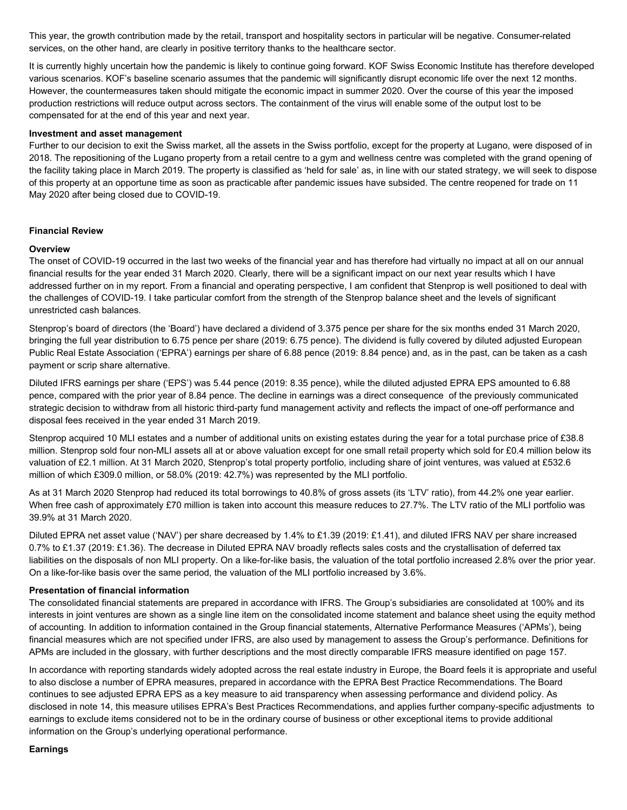This year, the growth contribution made by the retail, transport and hospitality sectors in particular will be negative. Consumer-related services, on the other hand, are clearly in positive territory thanks to the healthcare sector.

It is currently highly uncertain how the pandemic is likely to continue going forward. KOF Swiss Economic Institute has therefore developed various scenarios. KOF's baseline scenario assumes that the pandemic will significantly disrupt economic life over the next 12 months. However, the countermeasures taken should mitigate the economic impact in summer 2020. Over the course of this year the imposed production restrictions will reduce output across sectors. The containment of the virus will enable some of the output lost to be compensated for at the end of this year and next year.

# **Investment and asset management**

Further to our decision to exit the Swiss market, all the assets in the Swiss portfolio, except for the property at Lugano, were disposed of in 2018. The repositioning of the Lugano property from a retail centre to a gym and wellness centre was completed with the grand opening of the facility taking place in March 2019. The property is classified as 'held for sale' as, in line with our stated strategy, we will seek to dispose of this property at an opportune time as soon as practicable after pandemic issues have subsided. The centre reopened for trade on 11 May 2020 after being closed due to COVID-19.

# **Financial Review**

#### **Overview**

The onset of COVID-19 occurred in the last two weeks of the financial year and has therefore had virtually no impact at all on our annual financial results for the year ended 31 March 2020. Clearly, there will be a significant impact on our next year results which I have addressed further on in my report. From a financial and operating perspective, I am confident that Stenprop is well positioned to deal with the challenges of COVID-19. I take particular comfort from the strength of the Stenprop balance sheet and the levels of significant unrestricted cash balances.

Stenprop's board of directors (the 'Board') have declared a dividend of 3.375 pence per share for the six months ended 31 March 2020, bringing the full year distribution to 6.75 pence per share (2019: 6.75 pence). The dividend is fully covered by diluted adjusted European Public Real Estate Association ('EPRA') earnings per share of 6.88 pence (2019: 8.84 pence) and, as in the past, can be taken as a cash payment or scrip share alternative.

Diluted IFRS earnings per share ('EPS') was 5.44 pence (2019: 8.35 pence), while the diluted adjusted EPRA EPS amounted to 6.88 pence, compared with the prior year of 8.84 pence. The decline in earnings was a direct consequence of the previously communicated strategic decision to withdraw from all historic third-party fund management activity and reflects the impact of one-off performance and disposal fees received in the year ended 31 March 2019.

Stenprop acquired 10 MLI estates and a number of additional units on existing estates during the year for a total purchase price of £38.8 million. Stenprop sold four non-MLI assets all at or above valuation except for one small retail property which sold for £0.4 million below its valuation of £2.1 million. At 31 March 2020, Stenprop's total property portfolio, including share of joint ventures, was valued at £532.6 million of which £309.0 million, or 58.0% (2019: 42.7%) was represented by the MLI portfolio.

As at 31 March 2020 Stenprop had reduced its total borrowings to 40.8% of gross assets (its 'LTV' ratio), from 44.2% one year earlier. When free cash of approximately £70 million is taken into account this measure reduces to 27.7%. The LTV ratio of the MLI portfolio was 39.9% at 31 March 2020.

Diluted EPRA net asset value ('NAV') per share decreased by 1.4% to £1.39 (2019: £1.41), and diluted IFRS NAV per share increased 0.7% to £1.37 (2019: £1.36). The decrease in Diluted EPRA NAV broadly reflects sales costs and the crystallisation of deferred tax liabilities on the disposals of non MLI property. On a like-for-like basis, the valuation of the total portfolio increased 2.8% over the prior year. On a like-for-like basis over the same period, the valuation of the MLI portfolio increased by 3.6%.

# **Presentation of financial information**

The consolidated financial statements are prepared in accordance with IFRS. The Group's subsidiaries are consolidated at 100% and its interests in joint ventures are shown as a single line item on the consolidated income statement and balance sheet using the equity method of accounting. In addition to information contained in the Group financial statements, Alternative Performance Measures ('APMs'), being financial measures which are not specified under IFRS, are also used by management to assess the Group's performance. Definitions for APMs are included in the glossary, with further descriptions and the most directly comparable IFRS measure identified on page 157.

In accordance with reporting standards widely adopted across the real estate industry in Europe, the Board feels it is appropriate and useful to also disclose a number of EPRA measures, prepared in accordance with the EPRA Best Practice Recommendations. The Board continues to see adjusted EPRA EPS as a key measure to aid transparency when assessing performance and dividend policy. As disclosed in note 14, this measure utilises EPRA's Best Practices Recommendations, and applies further company-specific adjustments to earnings to exclude items considered not to be in the ordinary course of business or other exceptional items to provide additional information on the Group's underlying operational performance.

#### **Earnings**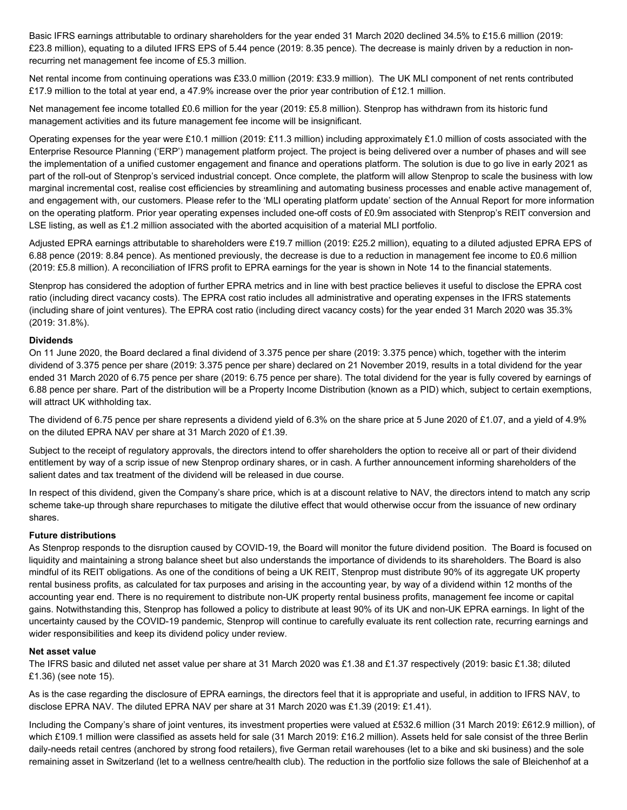Basic IFRS earnings attributable to ordinary shareholders for the year ended 31 March 2020 declined 34.5% to £15.6 million (2019: £23.8 million), equating to a diluted IFRS EPS of 5.44 pence (2019: 8.35 pence). The decrease is mainly driven by a reduction in nonrecurring net management fee income of £5.3 million.

Net rental income from continuing operations was £33.0 million (2019: £33.9 million). The UK MLI component of net rents contributed £17.9 million to the total at year end, a 47.9% increase over the prior year contribution of £12.1 million.

Net management fee income totalled £0.6 million for the year (2019: £5.8 million). Stenprop has withdrawn from its historic fund management activities and its future management fee income will be insignificant.

Operating expenses for the year were £10.1 million (2019: £11.3 million) including approximately £1.0 million of costs associated with the Enterprise Resource Planning ('ERP') management platform project. The project is being delivered over a number of phases and will see the implementation of a unified customer engagement and finance and operations platform. The solution is due to go live in early 2021 as part of the roll-out of Stenprop's serviced industrial concept. Once complete, the platform will allow Stenprop to scale the business with low marginal incremental cost, realise cost efficiencies by streamlining and automating business processes and enable active management of, and engagement with, our customers. Please refer to the 'MLI operating platform update' section of the Annual Report for more information on the operating platform. Prior year operating expenses included one-off costs of £0.9m associated with Stenprop's REIT conversion and LSE listing, as well as £1.2 million associated with the aborted acquisition of a material MLI portfolio.

Adjusted EPRA earnings attributable to shareholders were £19.7 million (2019: £25.2 million), equating to a diluted adjusted EPRA EPS of 6.88 pence (2019: 8.84 pence). As mentioned previously, the decrease is due to a reduction in management fee income to £0.6 million (2019: £5.8 million). A reconciliation of IFRS profit to EPRA earnings for the year is shown in Note 14 to the financial statements.

Stenprop has considered the adoption of further EPRA metrics and in line with best practice believes it useful to disclose the EPRA cost ratio (including direct vacancy costs). The EPRA cost ratio includes all administrative and operating expenses in the IFRS statements (including share of joint ventures). The EPRA cost ratio (including direct vacancy costs) for the year ended 31 March 2020 was 35.3% (2019: 31.8%).

# **Dividends**

On 11 June 2020, the Board declared a final dividend of 3.375 pence per share (2019: 3.375 pence) which, together with the interim dividend of 3.375 pence per share (2019: 3.375 pence per share) declared on 21 November 2019, results in a total dividend for the year ended 31 March 2020 of 6.75 pence per share (2019: 6.75 pence per share). The total dividend for the year is fully covered by earnings of 6.88 pence per share. Part of the distribution will be a Property Income Distribution (known as a PID) which, subject to certain exemptions, will attract UK withholding tax.

The dividend of 6.75 pence per share represents a dividend yield of 6.3% on the share price at 5 June 2020 of £1.07, and a yield of 4.9% on the diluted EPRA NAV per share at 31 March 2020 of £1.39.

Subject to the receipt of regulatory approvals, the directors intend to offer shareholders the option to receive all or part of their dividend entitlement by way of a scrip issue of new Stenprop ordinary shares, or in cash. A further announcement informing shareholders of the salient dates and tax treatment of the dividend will be released in due course.

In respect of this dividend, given the Company's share price, which is at a discount relative to NAV, the directors intend to match any scrip scheme take-up through share repurchases to mitigate the dilutive effect that would otherwise occur from the issuance of new ordinary shares.

# **Future distributions**

As Stenprop responds to the disruption caused by COVID-19, the Board will monitor the future dividend position. The Board is focused on liquidity and maintaining a strong balance sheet but also understands the importance of dividends to its shareholders. The Board is also mindful of its REIT obligations. As one of the conditions of being a UK REIT, Stenprop must distribute 90% of its aggregate UK property rental business profits, as calculated for tax purposes and arising in the accounting year, by way of a dividend within 12 months of the accounting year end. There is no requirement to distribute non-UK property rental business profits, management fee income or capital gains. Notwithstanding this, Stenprop has followed a policy to distribute at least 90% of its UK and non-UK EPRA earnings. In light of the uncertainty caused by the COVID-19 pandemic, Stenprop will continue to carefully evaluate its rent collection rate, recurring earnings and wider responsibilities and keep its dividend policy under review.

# **Net asset value**

The IFRS basic and diluted net asset value per share at 31 March 2020 was £1.38 and £1.37 respectively (2019: basic £1.38; diluted £1.36) (see note 15).

As is the case regarding the disclosure of EPRA earnings, the directors feel that it is appropriate and useful, in addition to IFRS NAV, to disclose EPRA NAV. The diluted EPRA NAV per share at 31 March 2020 was £1.39 (2019: £1.41).

Including the Company's share of joint ventures, its investment properties were valued at £532.6 million (31 March 2019: £612.9 million), of which £109.1 million were classified as assets held for sale (31 March 2019: £16.2 million). Assets held for sale consist of the three Berlin daily-needs retail centres (anchored by strong food retailers), five German retail warehouses (let to a bike and ski business) and the sole remaining asset in Switzerland (let to a wellness centre/health club). The reduction in the portfolio size follows the sale of Bleichenhof at a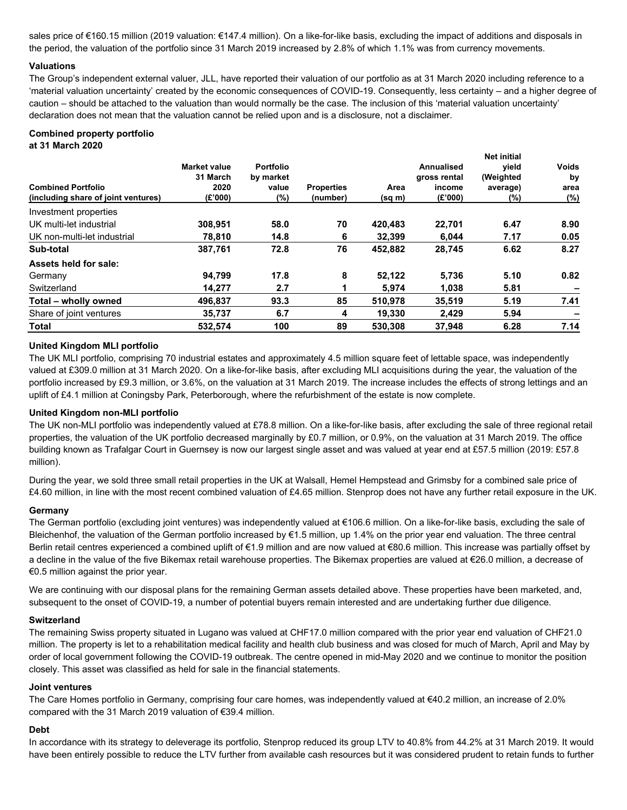sales price of €160.15 million (2019 valuation: €147.4 million). On a like-for-like basis, excluding the impact of additions and disposals in the period, the valuation of the portfolio since 31 March 2019 increased by 2.8% of which 1.1% was from currency movements.

# **Valuations**

The Group's independent external valuer, JLL, have reported their valuation of our portfolio as at 31 March 2020 including reference to a 'material valuation uncertainty' created by the economic consequences of COVID-19. Consequently, less certainty – and a higher degree of caution – should be attached to the valuation than would normally be the case. The inclusion of this 'material valuation uncertainty' declaration does not mean that the valuation cannot be relied upon and is a disclosure, not a disclaimer.

# **Combined property portfolio**

**at 31 March 2020**

| <b>Combined Portfolio</b><br>(including share of joint ventures) | <b>Market value</b><br>31 March<br>2020<br>(E'000) | <b>Portfolio</b><br>by market<br>value<br>(%) | <b>Properties</b><br>(number) | Area<br>$(sq \, m)$ | Annualised<br>gross rental<br>income<br>(E'000) | <b>Net initial</b><br>vield<br>(Weighted<br>average)<br>$(\%)$ | <b>Voids</b><br>by<br>area<br>$(\%)$ |
|------------------------------------------------------------------|----------------------------------------------------|-----------------------------------------------|-------------------------------|---------------------|-------------------------------------------------|----------------------------------------------------------------|--------------------------------------|
| Investment properties                                            |                                                    |                                               |                               |                     |                                                 |                                                                |                                      |
| UK multi-let industrial                                          | 308,951                                            | 58.0                                          | 70                            | 420,483             | 22,701                                          | 6.47                                                           | 8.90                                 |
| UK non-multi-let industrial                                      | 78,810                                             | 14.8                                          | 6                             | 32.399              | 6.044                                           | 7.17                                                           | 0.05                                 |
| Sub-total                                                        | 387,761                                            | 72.8                                          | 76                            | 452.882             | 28,745                                          | 6.62                                                           | 8.27                                 |
| Assets held for sale:                                            |                                                    |                                               |                               |                     |                                                 |                                                                |                                      |
| Germany                                                          | 94.799                                             | 17.8                                          | 8                             | 52.122              | 5,736                                           | 5.10                                                           | 0.82                                 |
| Switzerland                                                      | 14.277                                             | 2.7                                           | 1                             | 5.974               | 1,038                                           | 5.81                                                           |                                      |
| Total - wholly owned                                             | 496.837                                            | 93.3                                          | 85                            | 510,978             | 35,519                                          | 5.19                                                           | 7.41                                 |
| Share of joint ventures                                          | 35.737                                             | 6.7                                           | 4                             | 19,330              | 2,429                                           | 5.94                                                           |                                      |
| <b>Total</b>                                                     | 532.574                                            | 100                                           | 89                            | 530.308             | 37.948                                          | 6.28                                                           | 7.14                                 |

# **United Kingdom MLI portfolio**

The UK MLI portfolio, comprising 70 industrial estates and approximately 4.5 million square feet of lettable space, was independently valued at £309.0 million at 31 March 2020. On a like-for-like basis, after excluding MLI acquisitions during the year, the valuation of the portfolio increased by £9.3 million, or 3.6%, on the valuation at 31 March 2019. The increase includes the effects of strong lettings and an uplift of £4.1 million at Coningsby Park, Peterborough, where the refurbishment of the estate is now complete.

# **United Kingdom non-MLI portfolio**

The UK non-MLI portfolio was independently valued at £78.8 million. On a like-for-like basis, after excluding the sale of three regional retail properties, the valuation of the UK portfolio decreased marginally by £0.7 million, or 0.9%, on the valuation at 31 March 2019. The office building known as Trafalgar Court in Guernsey is now our largest single asset and was valued at year end at £57.5 million (2019: £57.8 million).

During the year, we sold three small retail properties in the UK at Walsall, Hemel Hempstead and Grimsby for a combined sale price of £4.60 million, in line with the most recent combined valuation of £4.65 million. Stenprop does not have any further retail exposure in the UK.

# **Germany**

The German portfolio (excluding joint ventures) was independently valued at €106.6 million. On a like-for-like basis, excluding the sale of Bleichenhof, the valuation of the German portfolio increased by €1.5 million, up 1.4% on the prior year end valuation. The three central Berlin retail centres experienced a combined uplift of €1.9 million and are now valued at €80.6 million. This increase was partially offset by a decline in the value of the five Bikemax retail warehouse properties. The Bikemax properties are valued at €26.0 million, a decrease of €0.5 million against the prior year.

We are continuing with our disposal plans for the remaining German assets detailed above. These properties have been marketed, and, subsequent to the onset of COVID-19, a number of potential buyers remain interested and are undertaking further due diligence.

# **Switzerland**

The remaining Swiss property situated in Lugano was valued at CHF17.0 million compared with the prior year end valuation of CHF21.0 million. The property is let to a rehabilitation medical facility and health club business and was closed for much of March, April and May by order of local government following the COVID-19 outbreak. The centre opened in mid-May 2020 and we continue to monitor the position closely. This asset was classified as held for sale in the financial statements.

# **Joint ventures**

The Care Homes portfolio in Germany, comprising four care homes, was independently valued at €40.2 million, an increase of 2.0% compared with the 31 March 2019 valuation of €39.4 million.

# **Debt**

In accordance with its strategy to deleverage its portfolio, Stenprop reduced its group LTV to 40.8% from 44.2% at 31 March 2019. It would have been entirely possible to reduce the LTV further from available cash resources but it was considered prudent to retain funds to further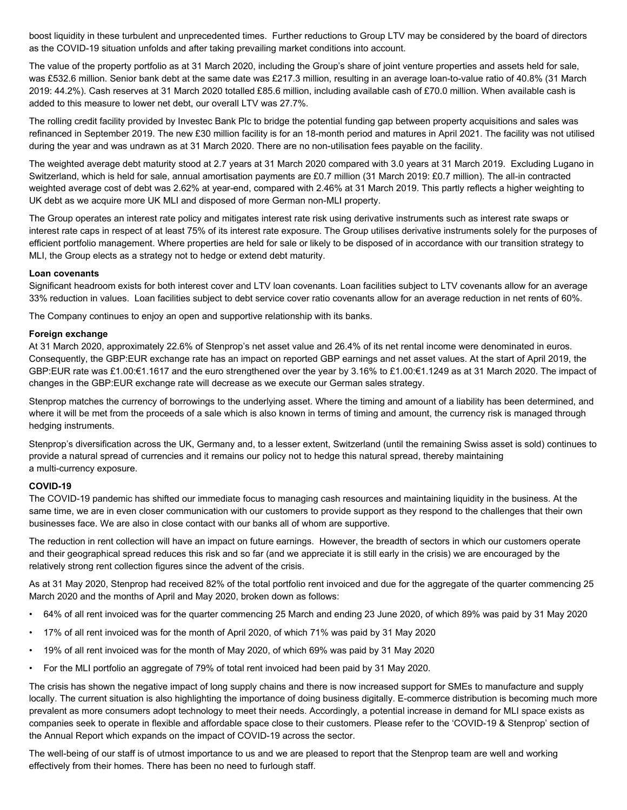boost liquidity in these turbulent and unprecedented times. Further reductions to Group LTV may be considered by the board of directors as the COVID-19 situation unfolds and after taking prevailing market conditions into account.

The value of the property portfolio as at 31 March 2020, including the Group's share of joint venture properties and assets held for sale, was £532.6 million. Senior bank debt at the same date was £217.3 million, resulting in an average loan-to-value ratio of 40.8% (31 March 2019: 44.2%). Cash reserves at 31 March 2020 totalled £85.6 million, including available cash of £70.0 million. When available cash is added to this measure to lower net debt, our overall LTV was 27.7%.

The rolling credit facility provided by Investec Bank Plc to bridge the potential funding gap between property acquisitions and sales was refinanced in September 2019. The new £30 million facility is for an 18-month period and matures in April 2021. The facility was not utilised during the year and was undrawn as at 31 March 2020. There are no non-utilisation fees payable on the facility.

The weighted average debt maturity stood at 2.7 years at 31 March 2020 compared with 3.0 years at 31 March 2019. Excluding Lugano in Switzerland, which is held for sale, annual amortisation payments are £0.7 million (31 March 2019: £0.7 million). The all-in contracted weighted average cost of debt was 2.62% at year-end, compared with 2.46% at 31 March 2019. This partly reflects a higher weighting to UK debt as we acquire more UK MLI and disposed of more German non-MLI property.

The Group operates an interest rate policy and mitigates interest rate risk using derivative instruments such as interest rate swaps or interest rate caps in respect of at least 75% of its interest rate exposure. The Group utilises derivative instruments solely for the purposes of efficient portfolio management. Where properties are held for sale or likely to be disposed of in accordance with our transition strategy to MLI, the Group elects as a strategy not to hedge or extend debt maturity.

# **Loan covenants**

Significant headroom exists for both interest cover and LTV loan covenants. Loan facilities subject to LTV covenants allow for an average 33% reduction in values. Loan facilities subject to debt service cover ratio covenants allow for an average reduction in net rents of 60%.

The Company continues to enjoy an open and supportive relationship with its banks.

# **Foreign exchange**

At 31 March 2020, approximately 22.6% of Stenprop's net asset value and 26.4% of its net rental income were denominated in euros. Consequently, the GBP:EUR exchange rate has an impact on reported GBP earnings and net asset values. At the start of April 2019, the GBP:EUR rate was £1.00:€1.1617 and the euro strengthened over the year by 3.16% to £1.00:€1.1249 as at 31 March 2020. The impact of changes in the GBP:EUR exchange rate will decrease as we execute our German sales strategy.

Stenprop matches the currency of borrowings to the underlying asset. Where the timing and amount of a liability has been determined, and where it will be met from the proceeds of a sale which is also known in terms of timing and amount, the currency risk is managed through hedging instruments.

Stenprop's diversification across the UK, Germany and, to a lesser extent, Switzerland (until the remaining Swiss asset is sold) continues to provide a natural spread of currencies and it remains our policy not to hedge this natural spread, thereby maintaining a multi-currency exposure.

# **COVID-19**

The COVID-19 pandemic has shifted our immediate focus to managing cash resources and maintaining liquidity in the business. At the same time, we are in even closer communication with our customers to provide support as they respond to the challenges that their own businesses face. We are also in close contact with our banks all of whom are supportive.

The reduction in rent collection will have an impact on future earnings. However, the breadth of sectors in which our customers operate and their geographical spread reduces this risk and so far (and we appreciate it is still early in the crisis) we are encouraged by the relatively strong rent collection figures since the advent of the crisis.

As at 31 May 2020, Stenprop had received 82% of the total portfolio rent invoiced and due for the aggregate of the quarter commencing 25 March 2020 and the months of April and May 2020, broken down as follows:

- 64% of all rent invoiced was for the quarter commencing 25 March and ending 23 June 2020, of which 89% was paid by 31 May 2020
- 17% of all rent invoiced was for the month of April 2020, of which 71% was paid by 31 May 2020
- 19% of all rent invoiced was for the month of May 2020, of which 69% was paid by 31 May 2020
- For the MLI portfolio an aggregate of 79% of total rent invoiced had been paid by 31 May 2020.

The crisis has shown the negative impact of long supply chains and there is now increased support for SMEs to manufacture and supply locally. The current situation is also highlighting the importance of doing business digitally. E-commerce distribution is becoming much more prevalent as more consumers adopt technology to meet their needs. Accordingly, a potential increase in demand for MLI space exists as companies seek to operate in flexible and affordable space close to their customers. Please refer to the 'COVID-19 & Stenprop' section of the Annual Report which expands on the impact of COVID-19 across the sector.

The well-being of our staff is of utmost importance to us and we are pleased to report that the Stenprop team are well and working effectively from their homes. There has been no need to furlough staff.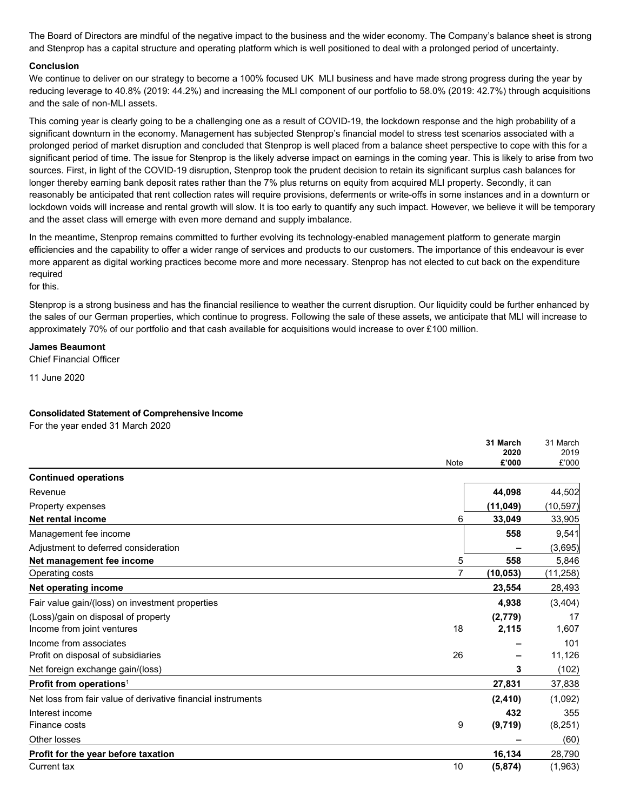The Board of Directors are mindful of the negative impact to the business and the wider economy. The Company's balance sheet is strong and Stenprop has a capital structure and operating platform which is well positioned to deal with a prolonged period of uncertainty.

# **Conclusion**

We continue to deliver on our strategy to become a 100% focused UK MLI business and have made strong progress during the year by reducing leverage to 40.8% (2019: 44.2%) and increasing the MLI component of our portfolio to 58.0% (2019: 42.7%) through acquisitions and the sale of non-MLI assets.

This coming year is clearly going to be a challenging one as a result of COVID-19, the lockdown response and the high probability of a significant downturn in the economy. Management has subjected Stenprop's financial model to stress test scenarios associated with a prolonged period of market disruption and concluded that Stenprop is well placed from a balance sheet perspective to cope with this for a significant period of time. The issue for Stenprop is the likely adverse impact on earnings in the coming year. This is likely to arise from two sources. First, in light of the COVID-19 disruption, Stenprop took the prudent decision to retain its significant surplus cash balances for longer thereby earning bank deposit rates rather than the 7% plus returns on equity from acquired MLI property. Secondly, it can reasonably be anticipated that rent collection rates will require provisions, deferments or write-offs in some instances and in a downturn or lockdown voids will increase and rental growth will slow. It is too early to quantify any such impact. However, we believe it will be temporary and the asset class will emerge with even more demand and supply imbalance.

In the meantime, Stenprop remains committed to further evolving its technology-enabled management platform to generate margin efficiencies and the capability to offer a wider range of services and products to our customers. The importance of this endeavour is ever more apparent as digital working practices become more and more necessary. Stenprop has not elected to cut back on the expenditure required

for this.

Stenprop is a strong business and has the financial resilience to weather the current disruption. Our liquidity could be further enhanced by the sales of our German properties, which continue to progress. Following the sale of these assets, we anticipate that MLI will increase to approximately 70% of our portfolio and that cash available for acquisitions would increase to over £100 million.

# **James Beaumont**

Chief Financial Officer

11 June 2020

# **Consolidated Statement of Comprehensive Income**

For the year ended 31 March 2020

|                                                              |             | 31 March      | 31 March      |
|--------------------------------------------------------------|-------------|---------------|---------------|
|                                                              | <b>Note</b> | 2020<br>£'000 | 2019<br>£'000 |
| <b>Continued operations</b>                                  |             |               |               |
| Revenue                                                      |             | 44,098        | 44,502        |
| Property expenses                                            |             | (11, 049)     | (10, 597)     |
| <b>Net rental income</b>                                     | 6           | 33,049        | 33,905        |
| Management fee income                                        |             | 558           | 9,541         |
| Adjustment to deferred consideration                         |             |               | (3,695)       |
| Net management fee income                                    | 5           | 558           | 5,846         |
| Operating costs                                              | 7           | (10, 053)     | (11, 258)     |
| Net operating income                                         |             | 23,554        | 28,493        |
| Fair value gain/(loss) on investment properties              |             | 4,938         | (3, 404)      |
| (Loss)/gain on disposal of property                          |             | (2,779)       | 17            |
| Income from joint ventures                                   | 18          | 2,115         | 1,607         |
| Income from associates                                       |             |               | 101           |
| Profit on disposal of subsidiaries                           | 26          |               | 11,126        |
| Net foreign exchange gain/(loss)                             |             | 3             | (102)         |
| Profit from operations <sup>1</sup>                          |             | 27,831        | 37,838        |
| Net loss from fair value of derivative financial instruments |             | (2, 410)      | (1,092)       |
| Interest income                                              |             | 432           | 355           |
| Finance costs                                                | 9           | (9,719)       | (8, 251)      |
| Other losses                                                 |             |               | (60)          |
| Profit for the year before taxation                          |             | 16,134        | 28,790        |
| <b>Current tax</b>                                           | 10          | (5, 874)      | (1,963)       |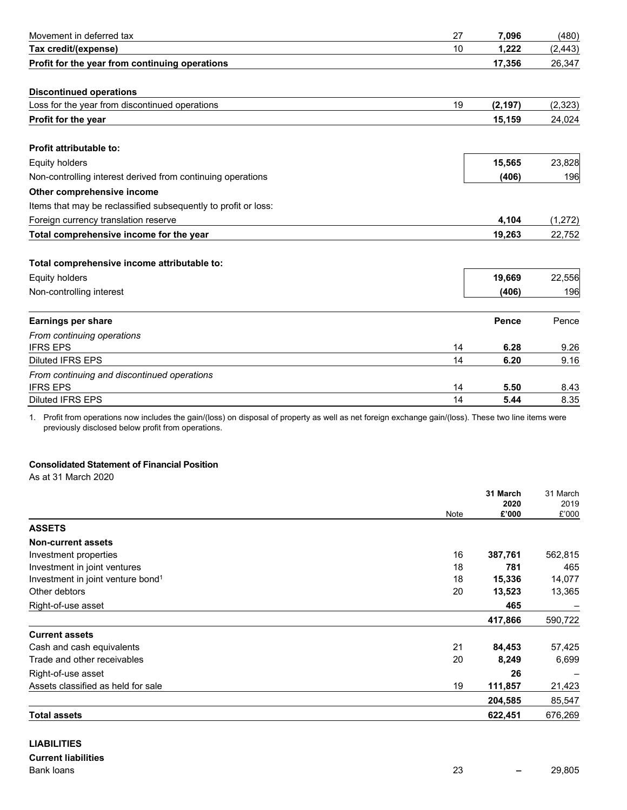| Movement in deferred tax                                       | 27 | 7,096    | (480)    |
|----------------------------------------------------------------|----|----------|----------|
| Tax credit/(expense)                                           | 10 | 1,222    | (2, 443) |
| Profit for the year from continuing operations                 |    | 17,356   | 26,347   |
| <b>Discontinued operations</b>                                 |    |          |          |
| Loss for the year from discontinued operations                 | 19 | (2, 197) | (2, 323) |
| Profit for the year                                            |    | 15,159   | 24,024   |
| <b>Profit attributable to:</b>                                 |    |          |          |
| <b>Equity holders</b>                                          |    | 15,565   | 23,828   |
| Non-controlling interest derived from continuing operations    |    | (406)    | 196      |
| Other comprehensive income                                     |    |          |          |
| Items that may be reclassified subsequently to profit or loss: |    |          |          |
| Foreign currency translation reserve                           |    | 4,104    | (1, 272) |
| Total comprehensive income for the year                        |    | 19,263   | 22,752   |
| Total comprehensive income attributable to:                    |    |          |          |
| <b>Equity holders</b>                                          |    | 19,669   | 22,556   |
| Non-controlling interest                                       |    | (406)    | 196      |
| Earnings per share                                             |    | Pence    | Pence    |
| From continuing operations                                     |    |          |          |
| <b>IFRS EPS</b>                                                | 14 | 6.28     | 9.26     |
| <b>Diluted IFRS EPS</b>                                        | 14 | 6.20     | 9.16     |
| From continuing and discontinued operations                    |    |          |          |
| <b>IFRS EPS</b>                                                | 14 | 5.50     | 8.43     |
| <b>Diluted IFRS EPS</b>                                        | 14 | 5.44     | 8.35     |

1. Profit from operations now includes the gain/(loss) on disposal of property as well as net foreign exchange gain/(loss). These two line items were previously disclosed below profit from operations.

# **Consolidated Statement of Financial Position**

As at 31 March 2020

|                                               |      | 31 March      | 31 March      |
|-----------------------------------------------|------|---------------|---------------|
|                                               | Note | 2020<br>£'000 | 2019<br>£'000 |
| <b>ASSETS</b>                                 |      |               |               |
| <b>Non-current assets</b>                     |      |               |               |
| Investment properties                         | 16   | 387,761       | 562,815       |
| Investment in joint ventures                  | 18   | 781           | 465           |
| Investment in joint venture bond <sup>1</sup> | 18   | 15,336        | 14,077        |
| Other debtors                                 | 20   | 13,523        | 13,365        |
| Right-of-use asset                            |      | 465           |               |
|                                               |      | 417,866       | 590,722       |
| <b>Current assets</b>                         |      |               |               |
| Cash and cash equivalents                     | 21   | 84,453        | 57,425        |
| Trade and other receivables                   | 20   | 8,249         | 6,699         |
| Right-of-use asset                            |      | 26            |               |
| Assets classified as held for sale            | 19   | 111,857       | 21,423        |
|                                               |      | 204,585       | 85,547        |
| Total assets                                  |      | 622,451       | 676,269       |

# **LIABILITIES Current liabilities**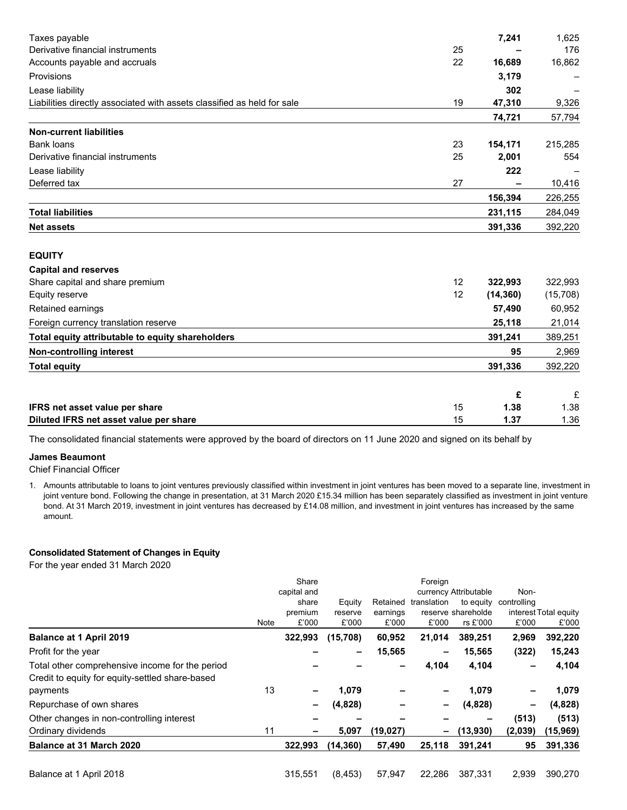| Taxes payable                                                           |    | 7,241     | 1,625     |
|-------------------------------------------------------------------------|----|-----------|-----------|
| Derivative financial instruments                                        | 25 |           | 176       |
| Accounts payable and accruals                                           | 22 | 16,689    | 16,862    |
| Provisions                                                              |    | 3,179     |           |
| Lease liability                                                         |    | 302       |           |
| Liabilities directly associated with assets classified as held for sale | 19 | 47,310    | 9,326     |
|                                                                         |    | 74,721    | 57,794    |
| <b>Non-current liabilities</b>                                          |    |           |           |
| <b>Bank loans</b>                                                       | 23 | 154,171   | 215,285   |
| Derivative financial instruments                                        | 25 | 2,001     | 554       |
| Lease liability                                                         |    | 222       |           |
| Deferred tax                                                            | 27 |           | 10,416    |
|                                                                         |    | 156,394   | 226,255   |
| <b>Total liabilities</b>                                                |    | 231,115   | 284,049   |
| <b>Net assets</b>                                                       |    | 391,336   | 392,220   |
| <b>EQUITY</b>                                                           |    |           |           |
| <b>Capital and reserves</b>                                             |    |           |           |
| Share capital and share premium                                         | 12 | 322,993   | 322,993   |
| Equity reserve                                                          | 12 | (14, 360) | (15, 708) |
| Retained earnings                                                       |    | 57,490    | 60,952    |
| Foreign currency translation reserve                                    |    | 25,118    | 21,014    |
| Total equity attributable to equity shareholders                        |    | 391,241   | 389,251   |
| Non-controlling interest                                                |    | 95        | 2,969     |
| <b>Total equity</b>                                                     |    | 391,336   | 392,220   |
|                                                                         |    | £         | £         |
| IFRS net asset value per share                                          | 15 | 1.38      | 1.38      |
| Diluted IFRS net asset value per share                                  | 15 | 1.37      | 1.36      |

The consolidated financial statements were approved by the board of directors on 11 June 2020 and signed on its behalf by

# **James Beaumont**

Chief Financial Officer

1. Amounts attributable to loans to joint ventures previously classified within investment in joint ventures has been moved to a separate line, investment in joint venture bond. Following the change in presentation, at 31 March 2020 £15.34 million has been separately classified as investment in joint venture bond. At 31 March 2019, investment in joint ventures has decreased by £14.08 million, and investment in joint ventures has increased by the same amount.

# **Consolidated Statement of Changes in Equity**

For the year ended 31 March 2020

|                                                 |      | Share       |                          |                          | Foreign     |                       |             |                       |
|-------------------------------------------------|------|-------------|--------------------------|--------------------------|-------------|-----------------------|-------------|-----------------------|
|                                                 |      | capital and |                          |                          |             | currency Attributable | Non-        |                       |
|                                                 |      | share       | Equity                   | Retained                 | translation | to equity             | controlling |                       |
|                                                 |      | premium     | reserve                  | earnings                 |             | reserve shareholde    |             | interest Total equity |
|                                                 | Note | £'000       | £'000                    | £'000                    | £'000       | rs £'000              | £'000       | £'000                 |
| Balance at 1 April 2019                         |      | 322,993     | (15,708)                 | 60,952                   | 21,014      | 389,251               | 2,969       | 392,220               |
| Profit for the year                             |      |             | $\overline{\phantom{a}}$ | 15,565                   | -           | 15,565                | (322)       | 15,243                |
| Total other comprehensive income for the period |      |             |                          | $\overline{\phantom{a}}$ | 4,104       | 4,104                 |             | 4,104                 |
| Credit to equity for equity-settled share-based |      |             |                          |                          |             |                       |             |                       |
| payments                                        | 13   |             | 1,079                    |                          | -           | 1,079                 |             | 1,079                 |
| Repurchase of own shares                        |      | -           | (4,828)                  |                          | -           | (4,828)               | -           | (4,828)               |
| Other changes in non-controlling interest       |      |             |                          |                          |             |                       | (513)       | (513)                 |
| Ordinary dividends                              | 11   |             | 5,097                    | (19, 027)                | -           | (13,930)              | (2,039)     | (15,969)              |
| Balance at 31 March 2020                        |      | 322.993     | (14, 360)                | 57,490                   | 25,118      | 391,241               | 95          | 391,336               |
| Balance at 1 April 2018                         |      | 315.551     | (8, 453)                 | 57,947                   | 22.286      | 387,331               | 2,939       | 390.270               |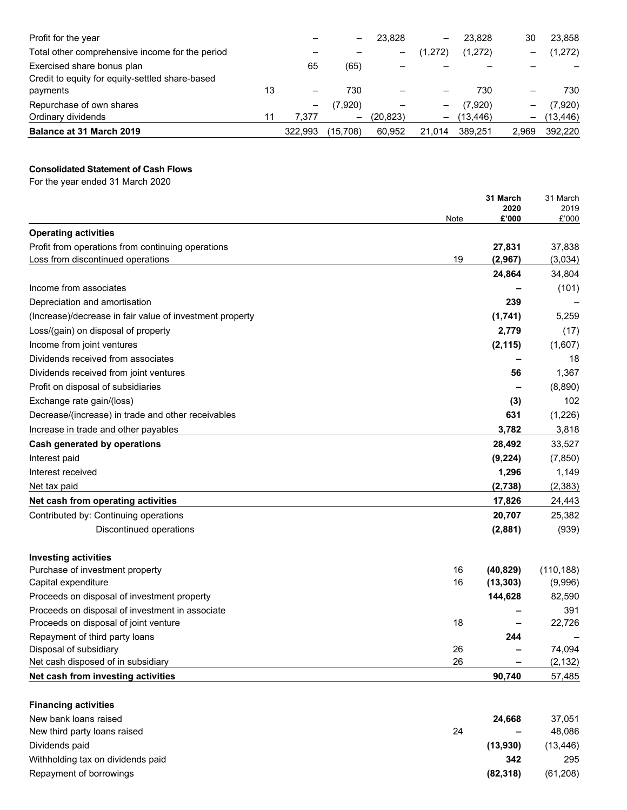| Profit for the year                             |    |                          |          | 23.828   | $\overline{\phantom{0}}$ | 23.828    | 30    | 23,858    |
|-------------------------------------------------|----|--------------------------|----------|----------|--------------------------|-----------|-------|-----------|
| Total other comprehensive income for the period |    |                          |          | -        | (1,272)                  | (1,272)   | -     | (1,272)   |
| Exercised share bonus plan                      |    | 65                       | (65)     |          |                          |           |       |           |
| Credit to equity for equity-settled share-based |    |                          |          |          |                          |           |       |           |
| payments                                        | 13 | $\overline{\phantom{0}}$ | 730      |          |                          | 730       | —     | 730       |
| Repurchase of own shares                        |    | $-$                      | (7,920)  |          | $\qquad \qquad -$        | (7,920)   | —     | (7,920)   |
| Ordinary dividends                              |    | 7.377                    |          | (20,823) | -                        | (13, 446) | -     | (13, 446) |
| Balance at 31 March 2019                        |    | 322.993                  | (15.708) | 60.952   | 21.014                   | 389.251   | 2.969 | 392,220   |

# **Consolidated Statement of Cash Flows**

For the year ended 31 March 2020

|                                                          | Note | 31 March<br>2020<br>£'000 | 31 March<br>2019<br>£'000 |
|----------------------------------------------------------|------|---------------------------|---------------------------|
| <b>Operating activities</b>                              |      |                           |                           |
| Profit from operations from continuing operations        |      | 27,831                    | 37,838                    |
| Loss from discontinued operations                        | 19   | (2,967)                   | (3,034)                   |
|                                                          |      | 24,864                    | 34,804                    |
| Income from associates                                   |      |                           | (101)                     |
| Depreciation and amortisation                            |      | 239                       |                           |
| (Increase)/decrease in fair value of investment property |      | (1,741)                   | 5,259                     |
| Loss/(gain) on disposal of property                      |      | 2,779                     | (17)                      |
| Income from joint ventures                               |      | (2, 115)                  | (1,607)                   |
| Dividends received from associates                       |      |                           | 18                        |
| Dividends received from joint ventures                   |      | 56                        | 1,367                     |
| Profit on disposal of subsidiaries                       |      |                           | (8,890)                   |
| Exchange rate gain/(loss)                                |      | (3)                       | 102                       |
| Decrease/(increase) in trade and other receivables       |      | 631                       | (1,226)                   |
| Increase in trade and other payables                     |      | 3.782                     | 3.818                     |
| Cash generated by operations                             |      | 28,492                    | 33,527                    |
| Interest paid                                            |      | (9, 224)                  | (7, 850)                  |
| Interest received                                        |      | 1,296                     | 1,149                     |
| Net tax paid                                             |      | (2,738)                   | (2, 383)                  |
| Net cash from operating activities                       |      | 17,826                    | 24,443                    |
| Contributed by: Continuing operations                    |      | 20,707                    | 25,382                    |
| Discontinued operations                                  |      | (2,881)                   | (939)                     |
| <b>Investing activities</b>                              |      |                           |                           |
| Purchase of investment property                          | 16   | (40, 829)                 | (110, 188)                |
| Capital expenditure                                      | 16   | (13, 303)                 | (9,996)                   |
| Proceeds on disposal of investment property              |      | 144,628                   | 82,590                    |
| Proceeds on disposal of investment in associate          |      |                           | 391                       |
| Proceeds on disposal of joint venture                    | 18   |                           | 22,726                    |
| Repayment of third party loans                           |      | 244                       |                           |
| Disposal of subsidiary                                   | 26   |                           | 74,094                    |
| Net cash disposed of in subsidiary                       | 26   |                           | (2, 132)                  |
| Net cash from investing activities                       |      | 90,740                    | 57,485                    |

# **Financing activities**

| New bank loans raised             |    | 24.668   | 37.051    |
|-----------------------------------|----|----------|-----------|
| New third party loans raised      | 24 | -        | 48.086    |
| Dividends paid                    |    | (13.930) | (13, 446) |
| Withholding tax on dividends paid |    | 342      | 295       |
| Repayment of borrowings           |    | (82,318) | (61,208)  |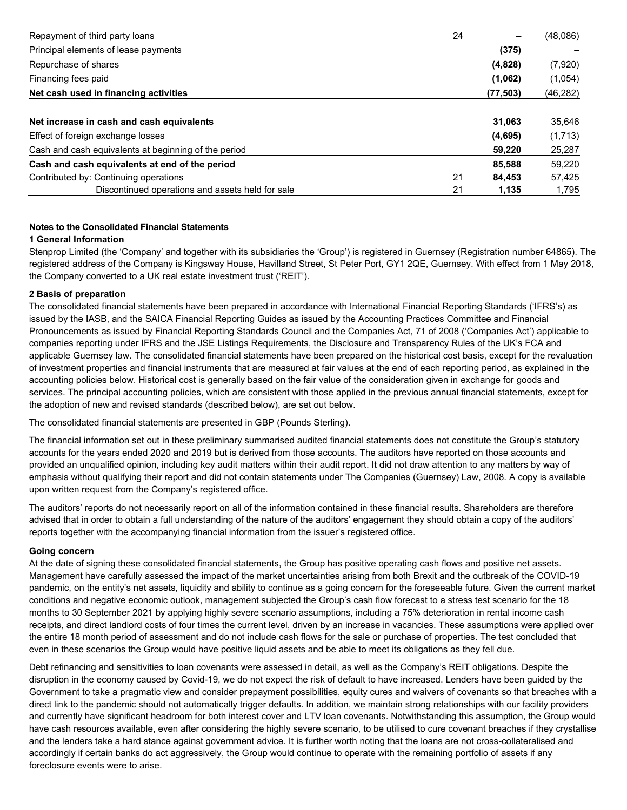| Repayment of third party loans                       | 24 |           | (48,086)  |
|------------------------------------------------------|----|-----------|-----------|
| Principal elements of lease payments                 |    | (375)     |           |
| Repurchase of shares                                 |    | (4,828)   | (7,920)   |
| Financing fees paid                                  |    | (1.062)   | (1,054)   |
| Net cash used in financing activities                |    | (77, 503) | (46, 282) |
| Net increase in cash and cash equivalents            |    | 31,063    | 35,646    |
| Effect of foreign exchange losses                    |    | (4,695)   | (1,713)   |
| Cash and cash equivalents at beginning of the period |    | 59,220    | 25,287    |
| Cash and cash equivalents at end of the period       |    | 85,588    | 59,220    |
| Contributed by: Continuing operations                | 21 | 84.453    | 57,425    |
| Discontinued operations and assets held for sale     | 21 | 1,135     | 1,795     |

# **Notes to the Consolidated Financial Statements**

# **1 General Information**

Stenprop Limited (the 'Company' and together with its subsidiaries the 'Group') is registered in Guernsey (Registration number 64865). The registered address of the Company is Kingsway House, Havilland Street, St Peter Port, GY1 2QE, Guernsey. With effect from 1 May 2018, the Company converted to a UK real estate investment trust ('REIT').

# **2 Basis of preparation**

The consolidated financial statements have been prepared in accordance with International Financial Reporting Standards ('IFRS's) as issued by the IASB, and the SAICA Financial Reporting Guides as issued by the Accounting Practices Committee and Financial Pronouncements as issued by Financial Reporting Standards Council and the Companies Act, 71 of 2008 ('Companies Act') applicable to companies reporting under IFRS and the JSE Listings Requirements, the Disclosure and Transparency Rules of the UK's FCA and applicable Guernsey law. The consolidated financial statements have been prepared on the historical cost basis, except for the revaluation of investment properties and financial instruments that are measured at fair values at the end of each reporting period, as explained in the accounting policies below. Historical cost is generally based on the fair value of the consideration given in exchange for goods and services. The principal accounting policies, which are consistent with those applied in the previous annual financial statements, except for the adoption of new and revised standards (described below), are set out below.

The consolidated financial statements are presented in GBP (Pounds Sterling).

The financial information set out in these preliminary summarised audited financial statements does not constitute the Group's statutory accounts for the years ended 2020 and 2019 but is derived from those accounts. The auditors have reported on those accounts and provided an unqualified opinion, including key audit matters within their audit report. It did not draw attention to any matters by way of emphasis without qualifying their report and did not contain statements under The Companies (Guernsey) Law, 2008. A copy is available upon written request from the Company's registered office.

The auditors' reports do not necessarily report on all of the information contained in these financial results. Shareholders are therefore advised that in order to obtain a full understanding of the nature of the auditors' engagement they should obtain a copy of the auditors' reports together with the accompanying financial information from the issuer's registered office.

# **Going concern**

At the date of signing these consolidated financial statements, the Group has positive operating cash flows and positive net assets. Management have carefully assessed the impact of the market uncertainties arising from both Brexit and the outbreak of the COVID-19 pandemic, on the entity's net assets, liquidity and ability to continue as a going concern for the foreseeable future. Given the current market conditions and negative economic outlook, management subjected the Group's cash flow forecast to a stress test scenario for the 18 months to 30 September 2021 by applying highly severe scenario assumptions, including a 75% deterioration in rental income cash receipts, and direct landlord costs of four times the current level, driven by an increase in vacancies. These assumptions were applied over the entire 18 month period of assessment and do not include cash flows for the sale or purchase of properties. The test concluded that even in these scenarios the Group would have positive liquid assets and be able to meet its obligations as they fell due.

Debt refinancing and sensitivities to loan covenants were assessed in detail, as well as the Company's REIT obligations. Despite the disruption in the economy caused by Covid-19, we do not expect the risk of default to have increased. Lenders have been guided by the Government to take a pragmatic view and consider prepayment possibilities, equity cures and waivers of covenants so that breaches with a direct link to the pandemic should not automatically trigger defaults. In addition, we maintain strong relationships with our facility providers and currently have significant headroom for both interest cover and LTV loan covenants. Notwithstanding this assumption, the Group would have cash resources available, even after considering the highly severe scenario, to be utilised to cure covenant breaches if they crystallise and the lenders take a hard stance against government advice. It is further worth noting that the loans are not cross-collateralised and accordingly if certain banks do act aggressively, the Group would continue to operate with the remaining portfolio of assets if any foreclosure events were to arise.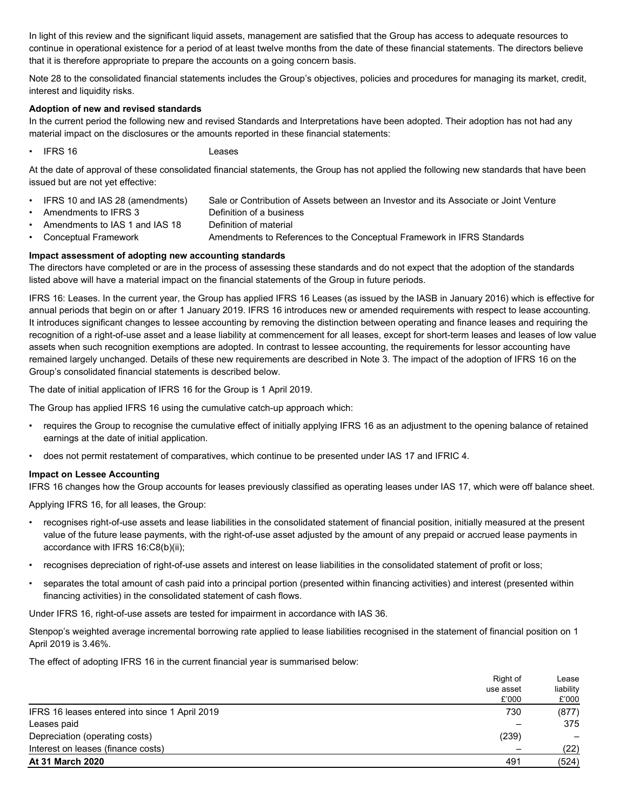In light of this review and the significant liquid assets, management are satisfied that the Group has access to adequate resources to continue in operational existence for a period of at least twelve months from the date of these financial statements. The directors believe that it is therefore appropriate to prepare the accounts on a going concern basis.

Note 28 to the consolidated financial statements includes the Group's objectives, policies and procedures for managing its market, credit, interest and liquidity risks.

# **Adoption of new and revised standards**

In the current period the following new and revised Standards and Interpretations have been adopted. Their adoption has not had any material impact on the disclosures or the amounts reported in these financial statements:

• IFRS 16 Leases

At the date of approval of these consolidated financial statements, the Group has not applied the following new standards that have been issued but are not yet effective:

- IFRS 10 and IAS 28 (amendments) Sale or Contribution of Assets between an Investor and its Associate or Joint Venture
- Amendments to IFRS 3 Definition of a business
- Amendments to IAS 1 and IAS 18 Definition of material
- Conceptual Framework **Amendments to References to the Conceptual Framework in IFRS Standards**

# **Impact assessment of adopting new accounting standards**

The directors have completed or are in the process of assessing these standards and do not expect that the adoption of the standards listed above will have a material impact on the financial statements of the Group in future periods.

IFRS 16: Leases. In the current year, the Group has applied IFRS 16 Leases (as issued by the IASB in January 2016) which is effective for annual periods that begin on or after 1 January 2019. IFRS 16 introduces new or amended requirements with respect to lease accounting. It introduces significant changes to lessee accounting by removing the distinction between operating and finance leases and requiring the recognition of a right-of-use asset and a lease liability at commencement for all leases, except for short-term leases and leases of low value assets when such recognition exemptions are adopted. In contrast to lessee accounting, the requirements for lessor accounting have remained largely unchanged. Details of these new requirements are described in Note 3. The impact of the adoption of IFRS 16 on the Group's consolidated financial statements is described below.

The date of initial application of IFRS 16 for the Group is 1 April 2019.

The Group has applied IFRS 16 using the cumulative catch-up approach which:

- requires the Group to recognise the cumulative effect of initially applying IFRS 16 as an adjustment to the opening balance of retained earnings at the date of initial application.
- does not permit restatement of comparatives, which continue to be presented under IAS 17 and IFRIC 4.

# **Impact on Lessee Accounting**

IFRS 16 changes how the Group accounts for leases previously classified as operating leases under IAS 17, which were off balance sheet.

Applying IFRS 16, for all leases, the Group:

- recognises right-of-use assets and lease liabilities in the consolidated statement of financial position, initially measured at the present value of the future lease payments, with the right-of-use asset adjusted by the amount of any prepaid or accrued lease payments in accordance with IFRS 16:C8(b)(ii);
- recognises depreciation of right-of-use assets and interest on lease liabilities in the consolidated statement of profit or loss;
- separates the total amount of cash paid into a principal portion (presented within financing activities) and interest (presented within financing activities) in the consolidated statement of cash flows.

Under IFRS 16, right-of-use assets are tested for impairment in accordance with IAS 36.

Stenpop's weighted average incremental borrowing rate applied to lease liabilities recognised in the statement of financial position on 1 April 2019 is 3.46%.

The effect of adopting IFRS 16 in the current financial year is summarised below:

| Right of                                              | Lease     |
|-------------------------------------------------------|-----------|
| use asset                                             | liability |
| £'000                                                 | £'000     |
| IFRS 16 leases entered into since 1 April 2019<br>730 | (877)     |
| Leases paid                                           | 375       |
| (239)<br>Depreciation (operating costs)               |           |
| Interest on leases (finance costs)                    | (22)      |
| At 31 March 2020<br>491                               | (524)     |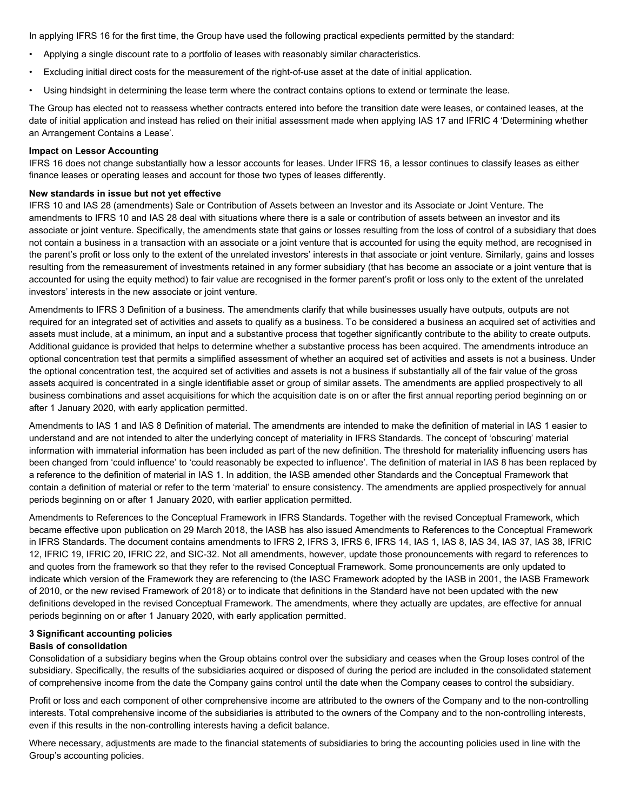In applying IFRS 16 for the first time, the Group have used the following practical expedients permitted by the standard:

- Applying a single discount rate to a portfolio of leases with reasonably similar characteristics.
- Excluding initial direct costs for the measurement of the right-of-use asset at the date of initial application.
- Using hindsight in determining the lease term where the contract contains options to extend or terminate the lease.

The Group has elected not to reassess whether contracts entered into before the transition date were leases, or contained leases, at the date of initial application and instead has relied on their initial assessment made when applying IAS 17 and IFRIC 4 'Determining whether an Arrangement Contains a Lease'.

## **Impact on Lessor Accounting**

IFRS 16 does not change substantially how a lessor accounts for leases. Under IFRS 16, a lessor continues to classify leases as either finance leases or operating leases and account for those two types of leases differently.

#### **New standards in issue but not yet effective**

IFRS 10 and IAS 28 (amendments) Sale or Contribution of Assets between an Investor and its Associate or Joint Venture. The amendments to IFRS 10 and IAS 28 deal with situations where there is a sale or contribution of assets between an investor and its associate or joint venture. Specifically, the amendments state that gains or losses resulting from the loss of control of a subsidiary that does not contain a business in a transaction with an associate or a joint venture that is accounted for using the equity method, are recognised in the parent's profit or loss only to the extent of the unrelated investors' interests in that associate or joint venture. Similarly, gains and losses resulting from the remeasurement of investments retained in any former subsidiary (that has become an associate or a joint venture that is accounted for using the equity method) to fair value are recognised in the former parent's profit or loss only to the extent of the unrelated investors' interests in the new associate or joint venture.

Amendments to IFRS 3 Definition of a business. The amendments clarify that while businesses usually have outputs, outputs are not required for an integrated set of activities and assets to qualify as a business. To be considered a business an acquired set of activities and assets must include, at a minimum, an input and a substantive process that together significantly contribute to the ability to create outputs. Additional guidance is provided that helps to determine whether a substantive process has been acquired. The amendments introduce an optional concentration test that permits a simplified assessment of whether an acquired set of activities and assets is not a business. Under the optional concentration test, the acquired set of activities and assets is not a business if substantially all of the fair value of the gross assets acquired is concentrated in a single identifiable asset or group of similar assets. The amendments are applied prospectively to all business combinations and asset acquisitions for which the acquisition date is on or after the first annual reporting period beginning on or after 1 January 2020, with early application permitted.

Amendments to IAS 1 and IAS 8 Definition of material. The amendments are intended to make the definition of material in IAS 1 easier to understand and are not intended to alter the underlying concept of materiality in IFRS Standards. The concept of 'obscuring' material information with immaterial information has been included as part of the new definition. The threshold for materiality influencing users has been changed from 'could influence' to 'could reasonably be expected to influence'. The definition of material in IAS 8 has been replaced by a reference to the definition of material in IAS 1. In addition, the IASB amended other Standards and the Conceptual Framework that contain a definition of material or refer to the term 'material' to ensure consistency. The amendments are applied prospectively for annual periods beginning on or after 1 January 2020, with earlier application permitted.

Amendments to References to the Conceptual Framework in IFRS Standards. Together with the revised Conceptual Framework, which became effective upon publication on 29 March 2018, the IASB has also issued Amendments to References to the Conceptual Framework in IFRS Standards. The document contains amendments to IFRS 2, IFRS 3, IFRS 6, IFRS 14, IAS 1, IAS 8, IAS 34, IAS 37, IAS 38, IFRIC 12, IFRIC 19, IFRIC 20, IFRIC 22, and SIC-32. Not all amendments, however, update those pronouncements with regard to references to and quotes from the framework so that they refer to the revised Conceptual Framework. Some pronouncements are only updated to indicate which version of the Framework they are referencing to (the IASC Framework adopted by the IASB in 2001, the IASB Framework of 2010, or the new revised Framework of 2018) or to indicate that definitions in the Standard have not been updated with the new definitions developed in the revised Conceptual Framework. The amendments, where they actually are updates, are effective for annual periods beginning on or after 1 January 2020, with early application permitted.

# **3 Significant accounting policies**

#### **Basis of consolidation**

Consolidation of a subsidiary begins when the Group obtains control over the subsidiary and ceases when the Group loses control of the subsidiary. Specifically, the results of the subsidiaries acquired or disposed of during the period are included in the consolidated statement of comprehensive income from the date the Company gains control until the date when the Company ceases to control the subsidiary.

Profit or loss and each component of other comprehensive income are attributed to the owners of the Company and to the non-controlling interests. Total comprehensive income of the subsidiaries is attributed to the owners of the Company and to the non-controlling interests, even if this results in the non-controlling interests having a deficit balance.

Where necessary, adjustments are made to the financial statements of subsidiaries to bring the accounting policies used in line with the Group's accounting policies.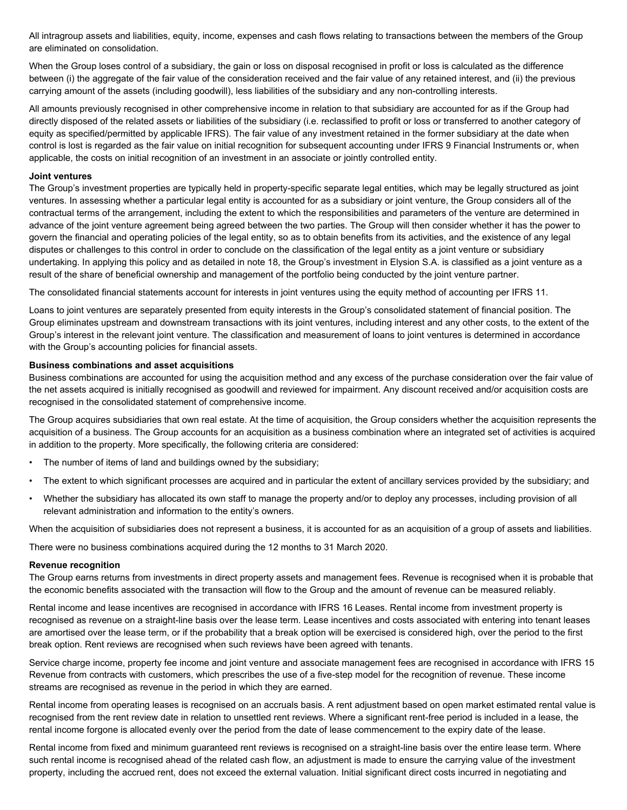All intragroup assets and liabilities, equity, income, expenses and cash flows relating to transactions between the members of the Group are eliminated on consolidation.

When the Group loses control of a subsidiary, the gain or loss on disposal recognised in profit or loss is calculated as the difference between (i) the aggregate of the fair value of the consideration received and the fair value of any retained interest, and (ii) the previous carrying amount of the assets (including goodwill), less liabilities of the subsidiary and any non-controlling interests.

All amounts previously recognised in other comprehensive income in relation to that subsidiary are accounted for as if the Group had directly disposed of the related assets or liabilities of the subsidiary (i.e. reclassified to profit or loss or transferred to another category of equity as specified/permitted by applicable IFRS). The fair value of any investment retained in the former subsidiary at the date when control is lost is regarded as the fair value on initial recognition for subsequent accounting under IFRS 9 Financial Instruments or, when applicable, the costs on initial recognition of an investment in an associate or jointly controlled entity.

## **Joint ventures**

The Group's investment properties are typically held in property-specific separate legal entities, which may be legally structured as joint ventures. In assessing whether a particular legal entity is accounted for as a subsidiary or joint venture, the Group considers all of the contractual terms of the arrangement, including the extent to which the responsibilities and parameters of the venture are determined in advance of the joint venture agreement being agreed between the two parties. The Group will then consider whether it has the power to govern the financial and operating policies of the legal entity, so as to obtain benefits from its activities, and the existence of any legal disputes or challenges to this control in order to conclude on the classification of the legal entity as a joint venture or subsidiary undertaking. In applying this policy and as detailed in note 18, the Group's investment in Elysion S.A. is classified as a joint venture as a result of the share of beneficial ownership and management of the portfolio being conducted by the joint venture partner.

The consolidated financial statements account for interests in joint ventures using the equity method of accounting per IFRS 11.

Loans to joint ventures are separately presented from equity interests in the Group's consolidated statement of financial position. The Group eliminates upstream and downstream transactions with its joint ventures, including interest and any other costs, to the extent of the Group's interest in the relevant joint venture. The classification and measurement of loans to joint ventures is determined in accordance with the Group's accounting policies for financial assets.

#### **Business combinations and asset acquisitions**

Business combinations are accounted for using the acquisition method and any excess of the purchase consideration over the fair value of the net assets acquired is initially recognised as goodwill and reviewed for impairment. Any discount received and/or acquisition costs are recognised in the consolidated statement of comprehensive income.

The Group acquires subsidiaries that own real estate. At the time of acquisition, the Group considers whether the acquisition represents the acquisition of a business. The Group accounts for an acquisition as a business combination where an integrated set of activities is acquired in addition to the property. More specifically, the following criteria are considered:

- The number of items of land and buildings owned by the subsidiary;
- The extent to which significant processes are acquired and in particular the extent of ancillary services provided by the subsidiary; and
- Whether the subsidiary has allocated its own staff to manage the property and/or to deploy any processes, including provision of all relevant administration and information to the entity's owners.

When the acquisition of subsidiaries does not represent a business, it is accounted for as an acquisition of a group of assets and liabilities.

There were no business combinations acquired during the 12 months to 31 March 2020.

# **Revenue recognition**

The Group earns returns from investments in direct property assets and management fees. Revenue is recognised when it is probable that the economic benefits associated with the transaction will flow to the Group and the amount of revenue can be measured reliably.

Rental income and lease incentives are recognised in accordance with IFRS 16 Leases. Rental income from investment property is recognised as revenue on a straight-line basis over the lease term. Lease incentives and costs associated with entering into tenant leases are amortised over the lease term, or if the probability that a break option will be exercised is considered high, over the period to the first break option. Rent reviews are recognised when such reviews have been agreed with tenants.

Service charge income, property fee income and joint venture and associate management fees are recognised in accordance with IFRS 15 Revenue from contracts with customers, which prescribes the use of a five-step model for the recognition of revenue. These income streams are recognised as revenue in the period in which they are earned.

Rental income from operating leases is recognised on an accruals basis. A rent adjustment based on open market estimated rental value is recognised from the rent review date in relation to unsettled rent reviews. Where a significant rent-free period is included in a lease, the rental income forgone is allocated evenly over the period from the date of lease commencement to the expiry date of the lease.

Rental income from fixed and minimum guaranteed rent reviews is recognised on a straight-line basis over the entire lease term. Where such rental income is recognised ahead of the related cash flow, an adjustment is made to ensure the carrying value of the investment property, including the accrued rent, does not exceed the external valuation. Initial significant direct costs incurred in negotiating and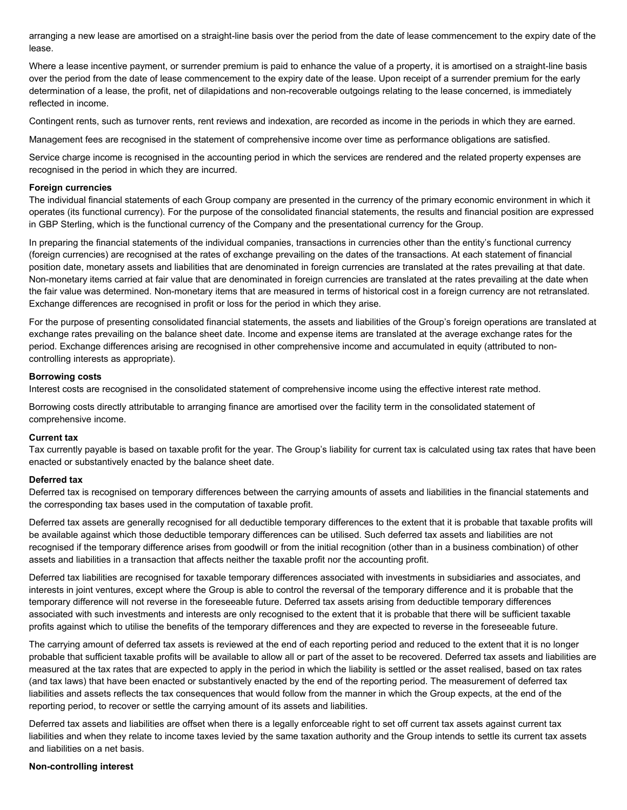arranging a new lease are amortised on a straight-line basis over the period from the date of lease commencement to the expiry date of the lease.

Where a lease incentive payment, or surrender premium is paid to enhance the value of a property, it is amortised on a straight-line basis over the period from the date of lease commencement to the expiry date of the lease. Upon receipt of a surrender premium for the early determination of a lease, the profit, net of dilapidations and non-recoverable outgoings relating to the lease concerned, is immediately reflected in income.

Contingent rents, such as turnover rents, rent reviews and indexation, are recorded as income in the periods in which they are earned.

Management fees are recognised in the statement of comprehensive income over time as performance obligations are satisfied.

Service charge income is recognised in the accounting period in which the services are rendered and the related property expenses are recognised in the period in which they are incurred.

## **Foreign currencies**

The individual financial statements of each Group company are presented in the currency of the primary economic environment in which it operates (its functional currency). For the purpose of the consolidated financial statements, the results and financial position are expressed in GBP Sterling, which is the functional currency of the Company and the presentational currency for the Group.

In preparing the financial statements of the individual companies, transactions in currencies other than the entity's functional currency (foreign currencies) are recognised at the rates of exchange prevailing on the dates of the transactions. At each statement of financial position date, monetary assets and liabilities that are denominated in foreign currencies are translated at the rates prevailing at that date. Non-monetary items carried at fair value that are denominated in foreign currencies are translated at the rates prevailing at the date when the fair value was determined. Non-monetary items that are measured in terms of historical cost in a foreign currency are not retranslated. Exchange differences are recognised in profit or loss for the period in which they arise.

For the purpose of presenting consolidated financial statements, the assets and liabilities of the Group's foreign operations are translated at exchange rates prevailing on the balance sheet date. Income and expense items are translated at the average exchange rates for the period. Exchange differences arising are recognised in other comprehensive income and accumulated in equity (attributed to noncontrolling interests as appropriate).

# **Borrowing costs**

Interest costs are recognised in the consolidated statement of comprehensive income using the effective interest rate method.

Borrowing costs directly attributable to arranging finance are amortised over the facility term in the consolidated statement of comprehensive income.

#### **Current tax**

Tax currently payable is based on taxable profit for the year. The Group's liability for current tax is calculated using tax rates that have been enacted or substantively enacted by the balance sheet date.

# **Deferred tax**

Deferred tax is recognised on temporary differences between the carrying amounts of assets and liabilities in the financial statements and the corresponding tax bases used in the computation of taxable profit.

Deferred tax assets are generally recognised for all deductible temporary differences to the extent that it is probable that taxable profits will be available against which those deductible temporary differences can be utilised. Such deferred tax assets and liabilities are not recognised if the temporary difference arises from goodwill or from the initial recognition (other than in a business combination) of other assets and liabilities in a transaction that affects neither the taxable profit nor the accounting profit.

Deferred tax liabilities are recognised for taxable temporary differences associated with investments in subsidiaries and associates, and interests in joint ventures, except where the Group is able to control the reversal of the temporary difference and it is probable that the temporary difference will not reverse in the foreseeable future. Deferred tax assets arising from deductible temporary differences associated with such investments and interests are only recognised to the extent that it is probable that there will be sufficient taxable profits against which to utilise the benefits of the temporary differences and they are expected to reverse in the foreseeable future.

The carrying amount of deferred tax assets is reviewed at the end of each reporting period and reduced to the extent that it is no longer probable that sufficient taxable profits will be available to allow all or part of the asset to be recovered. Deferred tax assets and liabilities are measured at the tax rates that are expected to apply in the period in which the liability is settled or the asset realised, based on tax rates (and tax laws) that have been enacted or substantively enacted by the end of the reporting period. The measurement of deferred tax liabilities and assets reflects the tax consequences that would follow from the manner in which the Group expects, at the end of the reporting period, to recover or settle the carrying amount of its assets and liabilities.

Deferred tax assets and liabilities are offset when there is a legally enforceable right to set off current tax assets against current tax liabilities and when they relate to income taxes levied by the same taxation authority and the Group intends to settle its current tax assets and liabilities on a net basis.

#### **Non-controlling interest**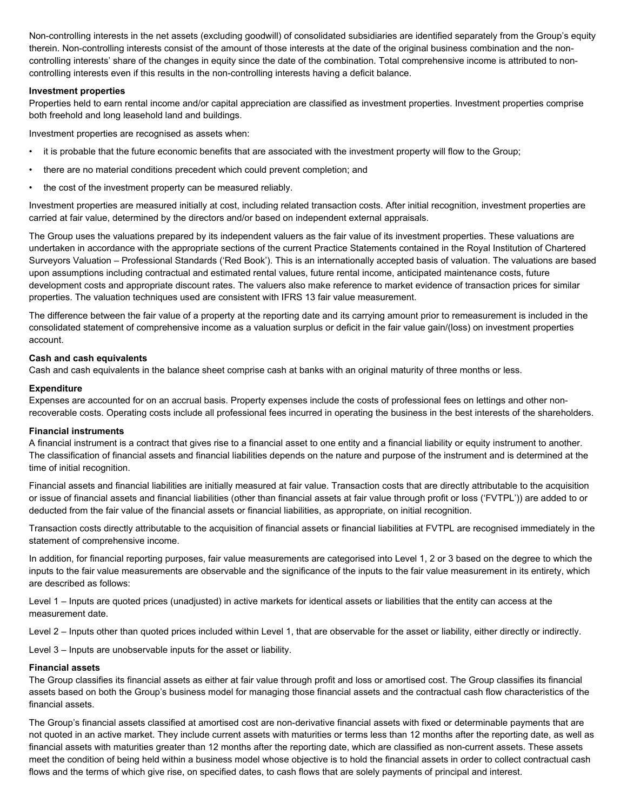Non-controlling interests in the net assets (excluding goodwill) of consolidated subsidiaries are identified separately from the Group's equity therein. Non-controlling interests consist of the amount of those interests at the date of the original business combination and the noncontrolling interests' share of the changes in equity since the date of the combination. Total comprehensive income is attributed to noncontrolling interests even if this results in the non-controlling interests having a deficit balance.

# **Investment properties**

Properties held to earn rental income and/or capital appreciation are classified as investment properties. Investment properties comprise both freehold and long leasehold land and buildings.

Investment properties are recognised as assets when:

- it is probable that the future economic benefits that are associated with the investment property will flow to the Group;
- there are no material conditions precedent which could prevent completion; and
- the cost of the investment property can be measured reliably.

Investment properties are measured initially at cost, including related transaction costs. After initial recognition, investment properties are carried at fair value, determined by the directors and/or based on independent external appraisals.

The Group uses the valuations prepared by its independent valuers as the fair value of its investment properties. These valuations are undertaken in accordance with the appropriate sections of the current Practice Statements contained in the Royal Institution of Chartered Surveyors Valuation – Professional Standards ('Red Book'). This is an internationally accepted basis of valuation. The valuations are based upon assumptions including contractual and estimated rental values, future rental income, anticipated maintenance costs, future development costs and appropriate discount rates. The valuers also make reference to market evidence of transaction prices for similar properties. The valuation techniques used are consistent with IFRS 13 fair value measurement.

The difference between the fair value of a property at the reporting date and its carrying amount prior to remeasurement is included in the consolidated statement of comprehensive income as a valuation surplus or deficit in the fair value gain/(loss) on investment properties account.

# **Cash and cash equivalents**

Cash and cash equivalents in the balance sheet comprise cash at banks with an original maturity of three months or less.

# **Expenditure**

Expenses are accounted for on an accrual basis. Property expenses include the costs of professional fees on lettings and other nonrecoverable costs. Operating costs include all professional fees incurred in operating the business in the best interests of the shareholders.

# **Financial instruments**

A financial instrument is a contract that gives rise to a financial asset to one entity and a financial liability or equity instrument to another. The classification of financial assets and financial liabilities depends on the nature and purpose of the instrument and is determined at the time of initial recognition.

Financial assets and financial liabilities are initially measured at fair value. Transaction costs that are directly attributable to the acquisition or issue of financial assets and financial liabilities (other than financial assets at fair value through profit or loss ('FVTPL')) are added to or deducted from the fair value of the financial assets or financial liabilities, as appropriate, on initial recognition.

Transaction costs directly attributable to the acquisition of financial assets or financial liabilities at FVTPL are recognised immediately in the statement of comprehensive income.

In addition, for financial reporting purposes, fair value measurements are categorised into Level 1, 2 or 3 based on the degree to which the inputs to the fair value measurements are observable and the significance of the inputs to the fair value measurement in its entirety, which are described as follows:

Level 1 – Inputs are quoted prices (unadjusted) in active markets for identical assets or liabilities that the entity can access at the measurement date.

Level 2 – Inputs other than quoted prices included within Level 1, that are observable for the asset or liability, either directly or indirectly.

Level 3 – Inputs are unobservable inputs for the asset or liability.

# **Financial assets**

The Group classifies its financial assets as either at fair value through profit and loss or amortised cost. The Group classifies its financial assets based on both the Group's business model for managing those financial assets and the contractual cash flow characteristics of the financial assets.

The Group's financial assets classified at amortised cost are non-derivative financial assets with fixed or determinable payments that are not quoted in an active market. They include current assets with maturities or terms less than 12 months after the reporting date, as well as financial assets with maturities greater than 12 months after the reporting date, which are classified as non-current assets. These assets meet the condition of being held within a business model whose objective is to hold the financial assets in order to collect contractual cash flows and the terms of which give rise, on specified dates, to cash flows that are solely payments of principal and interest.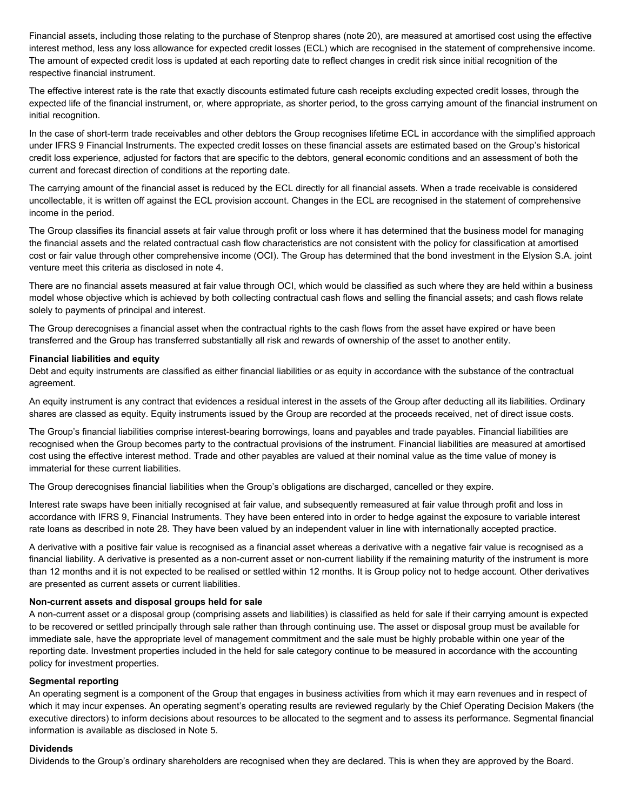Financial assets, including those relating to the purchase of Stenprop shares (note 20), are measured at amortised cost using the effective interest method, less any loss allowance for expected credit losses (ECL) which are recognised in the statement of comprehensive income. The amount of expected credit loss is updated at each reporting date to reflect changes in credit risk since initial recognition of the respective financial instrument.

The effective interest rate is the rate that exactly discounts estimated future cash receipts excluding expected credit losses, through the expected life of the financial instrument, or, where appropriate, as shorter period, to the gross carrying amount of the financial instrument on initial recognition.

In the case of short-term trade receivables and other debtors the Group recognises lifetime ECL in accordance with the simplified approach under IFRS 9 Financial Instruments. The expected credit losses on these financial assets are estimated based on the Group's historical credit loss experience, adjusted for factors that are specific to the debtors, general economic conditions and an assessment of both the current and forecast direction of conditions at the reporting date.

The carrying amount of the financial asset is reduced by the ECL directly for all financial assets. When a trade receivable is considered uncollectable, it is written off against the ECL provision account. Changes in the ECL are recognised in the statement of comprehensive income in the period.

The Group classifies its financial assets at fair value through profit or loss where it has determined that the business model for managing the financial assets and the related contractual cash flow characteristics are not consistent with the policy for classification at amortised cost or fair value through other comprehensive income (OCI). The Group has determined that the bond investment in the Elysion S.A. joint venture meet this criteria as disclosed in note 4.

There are no financial assets measured at fair value through OCI, which would be classified as such where they are held within a business model whose objective which is achieved by both collecting contractual cash flows and selling the financial assets; and cash flows relate solely to payments of principal and interest.

The Group derecognises a financial asset when the contractual rights to the cash flows from the asset have expired or have been transferred and the Group has transferred substantially all risk and rewards of ownership of the asset to another entity.

# **Financial liabilities and equity**

Debt and equity instruments are classified as either financial liabilities or as equity in accordance with the substance of the contractual agreement.

An equity instrument is any contract that evidences a residual interest in the assets of the Group after deducting all its liabilities. Ordinary shares are classed as equity. Equity instruments issued by the Group are recorded at the proceeds received, net of direct issue costs.

The Group's financial liabilities comprise interest-bearing borrowings, loans and payables and trade payables. Financial liabilities are recognised when the Group becomes party to the contractual provisions of the instrument. Financial liabilities are measured at amortised cost using the effective interest method. Trade and other payables are valued at their nominal value as the time value of money is immaterial for these current liabilities.

The Group derecognises financial liabilities when the Group's obligations are discharged, cancelled or they expire.

Interest rate swaps have been initially recognised at fair value, and subsequently remeasured at fair value through profit and loss in accordance with IFRS 9, Financial Instruments. They have been entered into in order to hedge against the exposure to variable interest rate loans as described in note 28. They have been valued by an independent valuer in line with internationally accepted practice.

A derivative with a positive fair value is recognised as a financial asset whereas a derivative with a negative fair value is recognised as a financial liability. A derivative is presented as a non-current asset or non-current liability if the remaining maturity of the instrument is more than 12 months and it is not expected to be realised or settled within 12 months. It is Group policy not to hedge account. Other derivatives are presented as current assets or current liabilities.

# **Non-current assets and disposal groups held for sale**

A non-current asset or a disposal group (comprising assets and liabilities) is classified as held for sale if their carrying amount is expected to be recovered or settled principally through sale rather than through continuing use. The asset or disposal group must be available for immediate sale, have the appropriate level of management commitment and the sale must be highly probable within one year of the reporting date. Investment properties included in the held for sale category continue to be measured in accordance with the accounting policy for investment properties.

# **Segmental reporting**

An operating segment is a component of the Group that engages in business activities from which it may earn revenues and in respect of which it may incur expenses. An operating segment's operating results are reviewed regularly by the Chief Operating Decision Makers (the executive directors) to inform decisions about resources to be allocated to the segment and to assess its performance. Segmental financial information is available as disclosed in Note 5.

# **Dividends**

Dividends to the Group's ordinary shareholders are recognised when they are declared. This is when they are approved by the Board.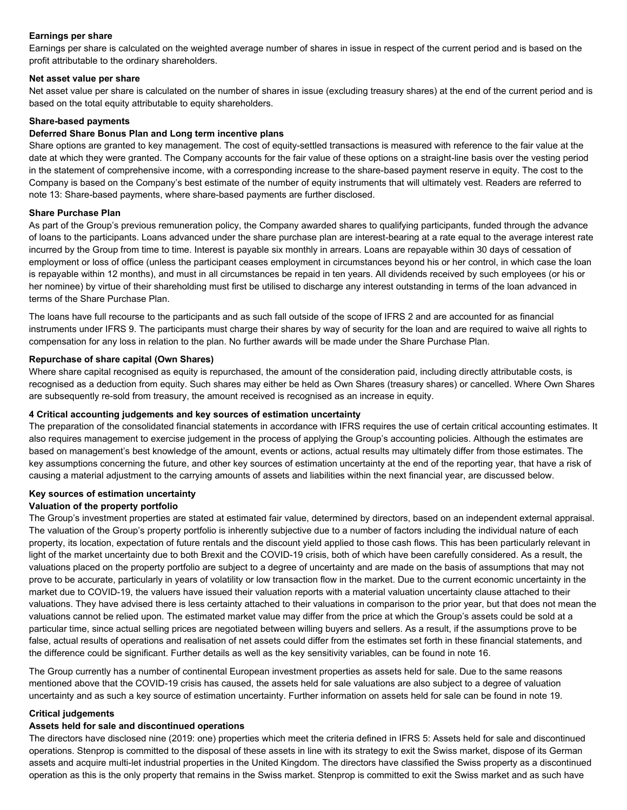# **Earnings per share**

Earnings per share is calculated on the weighted average number of shares in issue in respect of the current period and is based on the profit attributable to the ordinary shareholders.

# **Net asset value per share**

Net asset value per share is calculated on the number of shares in issue (excluding treasury shares) at the end of the current period and is based on the total equity attributable to equity shareholders.

# **Share-based payments**

# **Deferred Share Bonus Plan and Long term incentive plans**

Share options are granted to key management. The cost of equity-settled transactions is measured with reference to the fair value at the date at which they were granted. The Company accounts for the fair value of these options on a straight-line basis over the vesting period in the statement of comprehensive income, with a corresponding increase to the share-based payment reserve in equity. The cost to the Company is based on the Company's best estimate of the number of equity instruments that will ultimately vest. Readers are referred to note 13: Share-based payments, where share-based payments are further disclosed.

#### **Share Purchase Plan**

As part of the Group's previous remuneration policy, the Company awarded shares to qualifying participants, funded through the advance of loans to the participants. Loans advanced under the share purchase plan are interest-bearing at a rate equal to the average interest rate incurred by the Group from time to time. Interest is payable six monthly in arrears. Loans are repayable within 30 days of cessation of employment or loss of office (unless the participant ceases employment in circumstances beyond his or her control, in which case the loan is repayable within 12 months), and must in all circumstances be repaid in ten years. All dividends received by such employees (or his or her nominee) by virtue of their shareholding must first be utilised to discharge any interest outstanding in terms of the loan advanced in terms of the Share Purchase Plan.

The loans have full recourse to the participants and as such fall outside of the scope of IFRS 2 and are accounted for as financial instruments under IFRS 9. The participants must charge their shares by way of security for the loan and are required to waive all rights to compensation for any loss in relation to the plan. No further awards will be made under the Share Purchase Plan.

#### **Repurchase of share capital (Own Shares)**

Where share capital recognised as equity is repurchased, the amount of the consideration paid, including directly attributable costs, is recognised as a deduction from equity. Such shares may either be held as Own Shares (treasury shares) or cancelled. Where Own Shares are subsequently re-sold from treasury, the amount received is recognised as an increase in equity.

# **4 Critical accounting judgements and key sources of estimation uncertainty**

The preparation of the consolidated financial statements in accordance with IFRS requires the use of certain critical accounting estimates. It also requires management to exercise judgement in the process of applying the Group's accounting policies. Although the estimates are based on management's best knowledge of the amount, events or actions, actual results may ultimately differ from those estimates. The key assumptions concerning the future, and other key sources of estimation uncertainty at the end of the reporting year, that have a risk of causing a material adjustment to the carrying amounts of assets and liabilities within the next financial year, are discussed below.

# **Key sources of estimation uncertainty**

# **Valuation of the property portfolio**

The Group's investment properties are stated at estimated fair value, determined by directors, based on an independent external appraisal. The valuation of the Group's property portfolio is inherently subjective due to a number of factors including the individual nature of each property, its location, expectation of future rentals and the discount yield applied to those cash flows. This has been particularly relevant in light of the market uncertainty due to both Brexit and the COVID-19 crisis, both of which have been carefully considered. As a result, the valuations placed on the property portfolio are subject to a degree of uncertainty and are made on the basis of assumptions that may not prove to be accurate, particularly in years of volatility or low transaction flow in the market. Due to the current economic uncertainty in the market due to COVID-19, the valuers have issued their valuation reports with a material valuation uncertainty clause attached to their valuations. They have advised there is less certainty attached to their valuations in comparison to the prior year, but that does not mean the valuations cannot be relied upon. The estimated market value may differ from the price at which the Group's assets could be sold at a particular time, since actual selling prices are negotiated between willing buyers and sellers. As a result, if the assumptions prove to be false, actual results of operations and realisation of net assets could differ from the estimates set forth in these financial statements, and the difference could be significant. Further details as well as the key sensitivity variables, can be found in note 16.

The Group currently has a number of continental European investment properties as assets held for sale. Due to the same reasons mentioned above that the COVID-19 crisis has caused, the assets held for sale valuations are also subject to a degree of valuation uncertainty and as such a key source of estimation uncertainty. Further information on assets held for sale can be found in note 19.

# **Critical judgements**

# **Assets held for sale and discontinued operations**

The directors have disclosed nine (2019: one) properties which meet the criteria defined in IFRS 5: Assets held for sale and discontinued operations. Stenprop is committed to the disposal of these assets in line with its strategy to exit the Swiss market, dispose of its German assets and acquire multi-let industrial properties in the United Kingdom. The directors have classified the Swiss property as a discontinued operation as this is the only property that remains in the Swiss market. Stenprop is committed to exit the Swiss market and as such have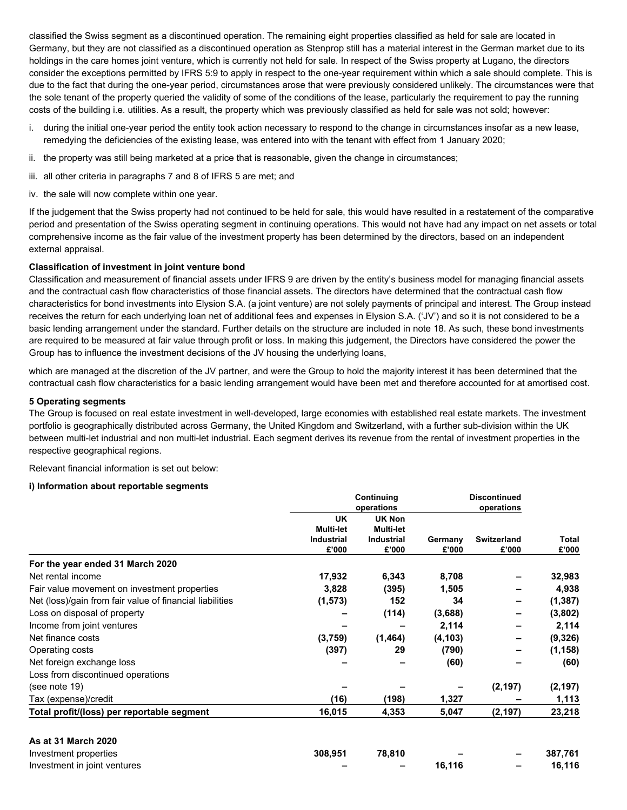classified the Swiss segment as a discontinued operation. The remaining eight properties classified as held for sale are located in Germany, but they are not classified as a discontinued operation as Stenprop still has a material interest in the German market due to its holdings in the care homes joint venture, which is currently not held for sale. In respect of the Swiss property at Lugano, the directors consider the exceptions permitted by IFRS 5:9 to apply in respect to the one-year requirement within which a sale should complete. This is due to the fact that during the one-year period, circumstances arose that were previously considered unlikely. The circumstances were that the sole tenant of the property queried the validity of some of the conditions of the lease, particularly the requirement to pay the running costs of the building i.e. utilities. As a result, the property which was previously classified as held for sale was not sold; however:

- i. during the initial one-year period the entity took action necessary to respond to the change in circumstances insofar as a new lease, remedying the deficiencies of the existing lease, was entered into with the tenant with effect from 1 January 2020;
- ii. the property was still being marketed at a price that is reasonable, given the change in circumstances;
- iii. all other criteria in paragraphs 7 and 8 of IFRS 5 are met; and
- iv. the sale will now complete within one year.

If the judgement that the Swiss property had not continued to be held for sale, this would have resulted in a restatement of the comparative period and presentation of the Swiss operating segment in continuing operations. This would not have had any impact on net assets or total comprehensive income as the fair value of the investment property has been determined by the directors, based on an independent external appraisal.

# **Classification of investment in joint venture bond**

Classification and measurement of financial assets under IFRS 9 are driven by the entity's business model for managing financial assets and the contractual cash flow characteristics of those financial assets. The directors have determined that the contractual cash flow characteristics for bond investments into Elysion S.A. (a joint venture) are not solely payments of principal and interest. The Group instead receives the return for each underlying loan net of additional fees and expenses in Elysion S.A. ('JV') and so it is not considered to be a basic lending arrangement under the standard. Further details on the structure are included in note 18. As such, these bond investments are required to be measured at fair value through profit or loss. In making this judgement, the Directors have considered the power the Group has to influence the investment decisions of the JV housing the underlying loans,

which are managed at the discretion of the JV partner, and were the Group to hold the majority interest it has been determined that the contractual cash flow characteristics for a basic lending arrangement would have been met and therefore accounted for at amortised cost.

# **5 Operating segments**

The Group is focused on real estate investment in well-developed, large economies with established real estate markets. The investment portfolio is geographically distributed across Germany, the United Kingdom and Switzerland, with a further sub-division within the UK between multi-let industrial and non multi-let industrial. Each segment derives its revenue from the rental of investment properties in the respective geographical regions.

Relevant financial information is set out below:

# **i) Information about reportable segments**

|                                                          |                   | Continuing<br>operations |          | <b>Discontinued</b> |          |
|----------------------------------------------------------|-------------------|--------------------------|----------|---------------------|----------|
|                                                          | <b>UK</b>         | <b>UK Non</b>            |          | operations          |          |
|                                                          | <b>Multi-let</b>  | <b>Multi-let</b>         |          |                     |          |
|                                                          | <b>Industrial</b> | <b>Industrial</b>        | Germany  | Switzerland         | Total    |
|                                                          | £'000             | £'000                    | £'000    | £'000               | £'000    |
| For the year ended 31 March 2020                         |                   |                          |          |                     |          |
| Net rental income                                        | 17,932            | 6,343                    | 8,708    |                     | 32,983   |
| Fair value movement on investment properties             | 3,828             | (395)                    | 1,505    |                     | 4,938    |
| Net (loss)/gain from fair value of financial liabilities | (1, 573)          | 152                      | 34       | -                   | (1, 387) |
| Loss on disposal of property                             |                   | (114)                    | (3,688)  | -                   | (3,802)  |
| Income from joint ventures                               |                   |                          | 2,114    |                     | 2,114    |
| Net finance costs                                        | (3,759)           | (1, 464)                 | (4, 103) | -                   | (9,326)  |
| Operating costs                                          | (397)             | 29                       | (790)    |                     | (1, 158) |
| Net foreign exchange loss                                |                   |                          | (60)     |                     | (60)     |
| Loss from discontinued operations                        |                   |                          |          |                     |          |
| (see note 19)                                            |                   |                          |          | (2, 197)            | (2, 197) |
| Tax (expense)/credit                                     | (16)              | (198)                    | 1,327    |                     | 1,113    |
| Total profit/(loss) per reportable segment               | 16,015            | 4,353                    | 5,047    | (2, 197)            | 23,218   |
| As at 31 March 2020                                      |                   |                          |          |                     |          |
| Investment properties                                    | 308,951           | 78,810                   |          |                     | 387,761  |

Investment in joint ventures **– – 16,116 – 16,116**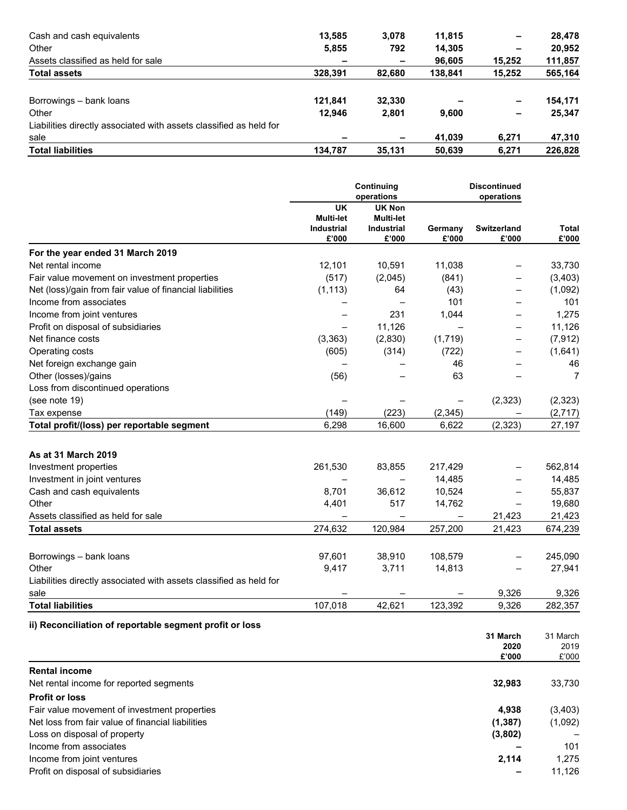| Cash and cash equivalents                                          | 13,585          | 3,078                    | 11,815  | -                        | 28,478  |
|--------------------------------------------------------------------|-----------------|--------------------------|---------|--------------------------|---------|
| Other                                                              | 5,855           | 792                      | 14,305  | $\overline{\phantom{0}}$ | 20,952  |
| Assets classified as held for sale                                 | $\qquad \qquad$ | $\overline{\phantom{m}}$ | 96.605  | 15,252                   | 111,857 |
| <b>Total assets</b>                                                | 328.391         | 82,680                   | 138,841 | 15,252                   | 565,164 |
| Borrowings - bank loans                                            | 121.841         | 32,330                   | -       | -                        | 154.171 |
| Other                                                              | 12.946          | 2,801                    | 9,600   | -                        | 25,347  |
| Liabilities directly associated with assets classified as held for |                 |                          |         |                          |         |
| sale                                                               |                 | $\overline{\phantom{m}}$ | 41.039  | 6,271                    | 47,310  |
| <b>Total liabilities</b>                                           | 134,787         | 35,131                   | 50,639  | 6,271                    | 226,828 |

|                                                                    | Continuing<br>operations                                    |                                                                 | <b>Discontinued</b><br>operations |                             |                  |
|--------------------------------------------------------------------|-------------------------------------------------------------|-----------------------------------------------------------------|-----------------------------------|-----------------------------|------------------|
|                                                                    | <b>UK</b><br><b>Multi-let</b><br><b>Industrial</b><br>£'000 | <b>UK Non</b><br><b>Multi-let</b><br><b>Industrial</b><br>£'000 | Germany<br>£'000                  | <b>Switzerland</b><br>£'000 | Total<br>£'000   |
| For the year ended 31 March 2019                                   |                                                             |                                                                 |                                   |                             |                  |
| Net rental income                                                  | 12,101                                                      | 10,591                                                          | 11,038                            |                             | 33,730           |
| Fair value movement on investment properties                       | (517)                                                       | (2,045)                                                         | (841)                             |                             | (3,403)          |
| Net (loss)/gain from fair value of financial liabilities           | (1, 113)                                                    | 64                                                              | (43)                              |                             | (1,092)          |
| Income from associates                                             |                                                             |                                                                 | 101                               |                             | 101              |
| Income from joint ventures                                         |                                                             | 231                                                             | 1,044                             |                             | 1,275            |
| Profit on disposal of subsidiaries                                 |                                                             | 11,126                                                          |                                   |                             | 11,126           |
| Net finance costs                                                  | (3, 363)                                                    | (2,830)                                                         | (1,719)                           |                             | (7, 912)         |
| Operating costs                                                    | (605)                                                       | (314)                                                           | (722)                             |                             | (1,641)          |
| Net foreign exchange gain                                          |                                                             |                                                                 | 46                                |                             | 46               |
| Other (losses)/gains                                               | (56)                                                        |                                                                 | 63                                |                             | 7                |
| Loss from discontinued operations                                  |                                                             |                                                                 |                                   |                             |                  |
| (see note 19)                                                      |                                                             |                                                                 |                                   | (2,323)                     | (2, 323)         |
| Tax expense                                                        | (149)                                                       | (223)                                                           | (2, 345)                          |                             | (2,717)          |
| Total profit/(loss) per reportable segment                         | 6,298                                                       | 16.600                                                          | 6,622                             | (2, 323)                    | 27,197           |
| As at 31 March 2019                                                |                                                             |                                                                 |                                   |                             |                  |
| Investment properties                                              | 261,530                                                     | 83,855                                                          | 217,429                           |                             | 562,814          |
| Investment in joint ventures                                       |                                                             | $\overline{\phantom{0}}$                                        | 14,485                            |                             | 14,485           |
| Cash and cash equivalents                                          | 8,701                                                       | 36,612                                                          | 10,524                            |                             | 55,837           |
| Other                                                              | 4,401                                                       | 517                                                             | 14,762                            |                             | 19,680           |
| Assets classified as held for sale                                 |                                                             |                                                                 |                                   | 21,423                      | 21,423           |
| <b>Total assets</b>                                                | 274,632                                                     | 120,984                                                         | 257,200                           | 21,423                      | 674,239          |
| Borrowings - bank loans                                            | 97,601                                                      | 38,910                                                          | 108,579                           |                             | 245,090          |
| Other                                                              | 9,417                                                       | 3,711                                                           | 14,813                            |                             | 27,941           |
| Liabilities directly associated with assets classified as held for |                                                             |                                                                 |                                   |                             |                  |
| sale                                                               |                                                             |                                                                 |                                   | 9,326                       | 9,326            |
| <b>Total liabilities</b>                                           | 107,018                                                     | 42,621                                                          | 123,392                           | 9,326                       | 282,357          |
| ii) Reconciliation of reportable segment profit or loss            |                                                             |                                                                 |                                   | 31 March<br>2020            | 31 March<br>2019 |

|                                                   | £'000    | £'000    |
|---------------------------------------------------|----------|----------|
| <b>Rental income</b>                              |          |          |
| Net rental income for reported segments           | 32.983   | 33,730   |
| <b>Profit or loss</b>                             |          |          |
| Fair value movement of investment properties      | 4,938    | (3, 403) |
| Net loss from fair value of financial liabilities | (1, 387) | (1,092)  |
| Loss on disposal of property                      | (3,802)  |          |
| Income from associates                            |          | 101      |
| Income from joint ventures                        | 2,114    | 1.275    |
| Profit on disposal of subsidiaries                |          | 11.126   |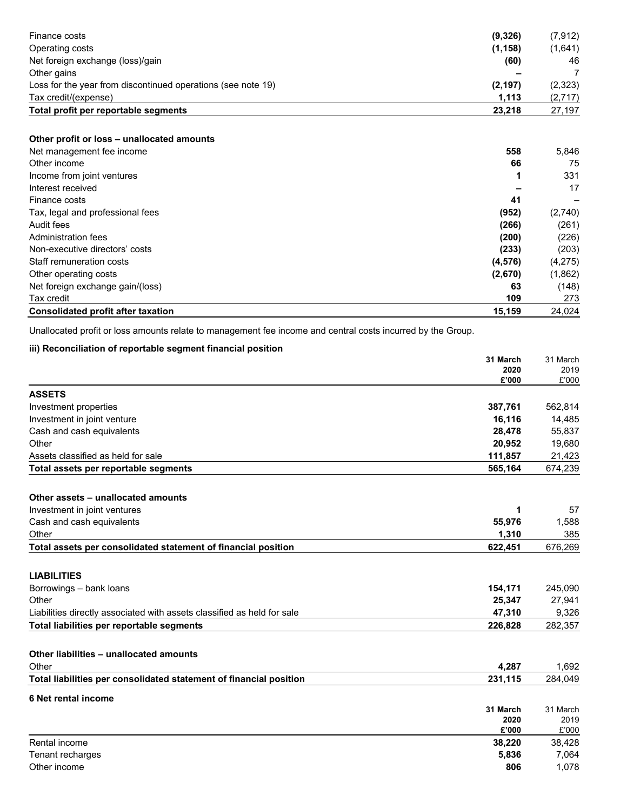| Finance costs                                                | (9,326)                  | (7, 912) |
|--------------------------------------------------------------|--------------------------|----------|
| Operating costs                                              | (1, 158)                 | (1,641)  |
| Net foreign exchange (loss)/gain                             | (60)                     | 46       |
| Other gains                                                  | $\overline{\phantom{a}}$ |          |
| Loss for the year from discontinued operations (see note 19) | (2, 197)                 | (2,323)  |
| Tax credit/(expense)                                         | 1.113                    | (2,717)  |
| Total profit per reportable segments                         | 23.218                   | 27.197   |

# **Other profit or loss – unallocated amounts**

| Net management fee income                 | 558      | 5,846   |
|-------------------------------------------|----------|---------|
| Other income                              | 66       | 75      |
| Income from joint ventures                | 1        | 331     |
| Interest received                         |          | 17      |
| Finance costs                             | 41       |         |
| Tax, legal and professional fees          | (952)    | (2,740) |
| Audit fees                                | (266)    | (261)   |
| Administration fees                       | (200)    | (226)   |
| Non-executive directors' costs            | (233)    | (203)   |
| Staff remuneration costs                  | (4, 576) | (4,275) |
| Other operating costs                     | (2,670)  | (1,862) |
| Net foreign exchange gain/(loss)          | 63       | (148)   |
| Tax credit                                | 109      | 273     |
| <b>Consolidated profit after taxation</b> | 15,159   | 24,024  |

Unallocated profit or loss amounts relate to management fee income and central costs incurred by the Group.

# **iii) Reconciliation of reportable segment financial position**

|                                                                         | 31 March      | 31 March      |
|-------------------------------------------------------------------------|---------------|---------------|
|                                                                         | 2020<br>£'000 | 2019<br>£'000 |
| <b>ASSETS</b>                                                           |               |               |
| Investment properties                                                   | 387,761       | 562,814       |
| Investment in joint venture                                             | 16,116        | 14,485        |
| Cash and cash equivalents                                               | 28,478        | 55,837        |
| Other                                                                   | 20,952        | 19,680        |
| Assets classified as held for sale                                      | 111,857       | 21,423        |
| Total assets per reportable segments                                    | 565,164       | 674,239       |
| Other assets - unallocated amounts                                      |               |               |
| Investment in joint ventures                                            | 1             | 57            |
| Cash and cash equivalents                                               | 55,976        | 1,588         |
| Other                                                                   | 1,310         | 385           |
| Total assets per consolidated statement of financial position           | 622,451       | 676,269       |
| <b>LIABILITIES</b>                                                      |               |               |
| Borrowings - bank loans                                                 | 154,171       | 245,090       |
| Other                                                                   | 25,347        | 27,941        |
| Liabilities directly associated with assets classified as held for sale | 47,310        | 9,326         |
| Total liabilities per reportable segments                               | 226,828       | 282,357       |
| Other liabilities - unallocated amounts                                 |               |               |
| Other                                                                   | 4,287         | 1,692         |
| Total liabilities per consolidated statement of financial position      | 231,115       | 284,049       |
| 6 Net rental income                                                     |               |               |
|                                                                         | 31 March      | 31 March      |
|                                                                         | 2020<br>£'000 | 2019<br>£'000 |
| Rental income                                                           | 38,220        | 38,428        |
| Tenant recharges                                                        | 5,836         | 7,064         |
| Other income                                                            | 806           | 1,078         |
|                                                                         |               |               |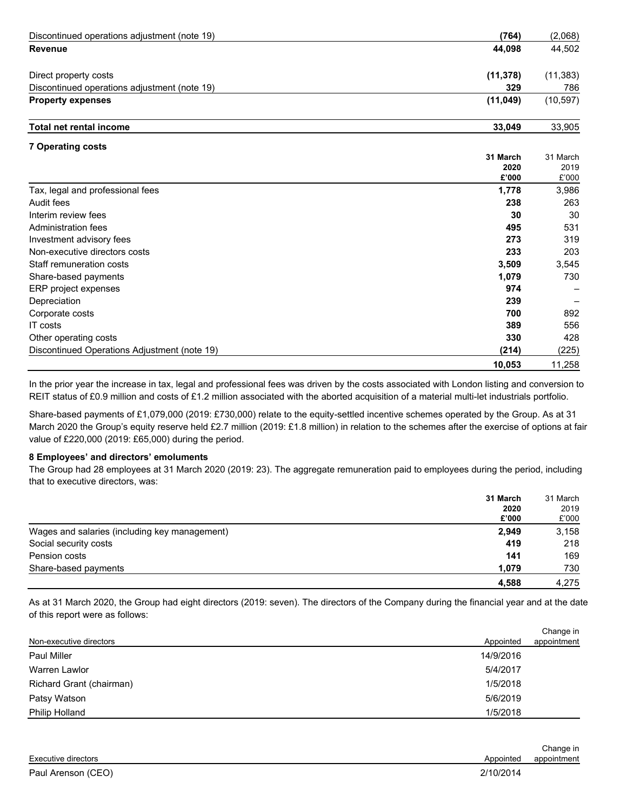| Discontinued operations adjustment (note 19) | (764)         | (2,068)       |
|----------------------------------------------|---------------|---------------|
| <b>Revenue</b>                               | 44,098        | 44,502        |
| Direct property costs                        | (11, 378)     | (11, 383)     |
| Discontinued operations adjustment (note 19) | 329           | 786           |
| <b>Property expenses</b>                     | (11, 049)     | (10, 597)     |
| <b>Total net rental income</b>               | 33,049        | 33,905        |
| <b>7 Operating costs</b>                     |               |               |
|                                              | 31 March      | 31 March      |
|                                              | 2020<br>£'000 | 2019<br>£'000 |
| Tax, legal and professional fees             | 1,778         | 3,986         |
| Audit fees                                   | 238           | 263           |
| Interim review fees                          | 30            | 30            |
| Administration fees                          | 495           | 531           |
| Investment advisory fees                     | 273           | 319           |
| Non-executive directors costs                | 233           | 203           |
| Staff remuneration costs                     | 3,509         | 3,545         |
| Share-based payments                         | 1,079         | 730           |
| ERP project expenses                         | 974           |               |
| Depreciation                                 | 239           |               |
| Corporate costs                              | 700           | 892           |
| IT costs                                     | 389           | 556           |
| Other operating costs                        | 330           | 428           |
| Discontinued Operations Adjustment (note 19) | (214)         | (225)         |
|                                              | 10.053        | 11,258        |

In the prior year the increase in tax, legal and professional fees was driven by the costs associated with London listing and conversion to REIT status of £0.9 million and costs of £1.2 million associated with the aborted acquisition of a material multi-let industrials portfolio.

Share-based payments of £1,079,000 (2019: £730,000) relate to the equity-settled incentive schemes operated by the Group. As at 31 March 2020 the Group's equity reserve held £2.7 million (2019: £1.8 million) in relation to the schemes after the exercise of options at fair value of £220,000 (2019: £65,000) during the period.

# **8 Employees' and directors' emoluments**

The Group had 28 employees at 31 March 2020 (2019: 23). The aggregate remuneration paid to employees during the period, including that to executive directors, was:

|                                               | 31 March | 31 March |
|-----------------------------------------------|----------|----------|
|                                               | 2020     | 2019     |
|                                               | £'000    | £'000    |
| Wages and salaries (including key management) | 2,949    | 3,158    |
| Social security costs                         | 419      | 218      |
| Pension costs                                 | 141      | 169      |
| Share-based payments                          | 1,079    | 730      |
|                                               | 4,588    | 4.275    |

As at 31 March 2020, the Group had eight directors (2019: seven). The directors of the Company during the financial year and at the date of this report were as follows:

|                          |           | Change in   |
|--------------------------|-----------|-------------|
| Non-executive directors  | Appointed | appointment |
| Paul Miller              | 14/9/2016 |             |
| Warren Lawlor            | 5/4/2017  |             |
| Richard Grant (chairman) | 1/5/2018  |             |
| Patsy Watson             | 5/6/2019  |             |
| <b>Philip Holland</b>    | 1/5/2018  |             |

|                     |           | Change in   |
|---------------------|-----------|-------------|
| Executive directors | Appointed | appointment |
| Paul Arenson (CEO)  | 2/10/2014 |             |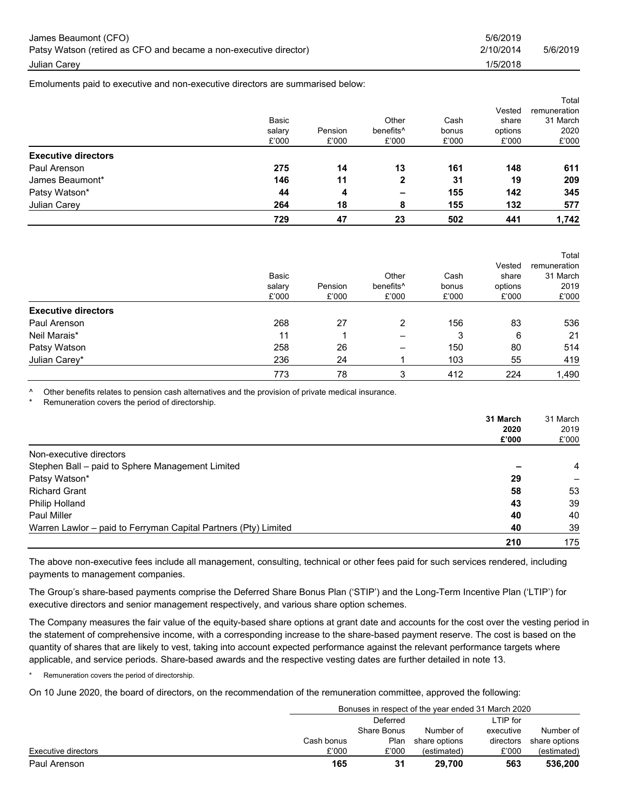| James Beaumont (CFO)                                              | 5/6/2019  |          |
|-------------------------------------------------------------------|-----------|----------|
| Patsy Watson (retired as CFO and became a non-executive director) | 2/10/2014 | 5/6/2019 |
| Julian Carev                                                      | 1/5/2018  |          |

Emoluments paid to executive and non-executive directors are summarised below:

|                            |        |         |                          |       |         | Total        |
|----------------------------|--------|---------|--------------------------|-------|---------|--------------|
|                            |        |         |                          |       | Vested  | remuneration |
|                            | Basic  |         | Other                    | Cash  | share   | 31 March     |
|                            | salary | Pension | benefits <sup>^</sup>    | bonus | options | 2020         |
|                            | £'000  | £'000   | £'000                    | £'000 | £'000   | £'000        |
| <b>Executive directors</b> |        |         |                          |       |         |              |
| Paul Arenson               | 275    | 14      | 13                       | 161   | 148     | 611          |
| James Beaumont*            | 146    | 11      | 2                        | 31    | 19      | 209          |
| Patsy Watson*              | 44     | 4       | $\overline{\phantom{0}}$ | 155   | 142     | 345          |
| Julian Carey               | 264    | 18      | 8                        | 155   | 132     | 577          |
|                            | 729    | 47      | 23                       | 502   | 441     | 1,742        |

|                            | Basic<br>salary<br>£'000 | Pension<br>£'000 | Other<br>benefits <sup>^</sup><br>£'000 | Cash<br>bonus<br>£'000 | Vested<br>share<br>options<br>£'000 | Total<br>remuneration<br>31 March<br>2019<br>£'000 |
|----------------------------|--------------------------|------------------|-----------------------------------------|------------------------|-------------------------------------|----------------------------------------------------|
| <b>Executive directors</b> |                          |                  |                                         |                        |                                     |                                                    |
| Paul Arenson               | 268                      | 27               | 2                                       | 156                    | 83                                  | 536                                                |
| Neil Marais*               | 11                       |                  |                                         | 3                      | 6                                   | 21                                                 |
| Patsy Watson               | 258                      | 26               | $\overline{\phantom{0}}$                | 150                    | 80                                  | 514                                                |
| Julian Carey*              | 236                      | 24               |                                         | 103                    | 55                                  | 419                                                |
|                            | 773                      | 78               | 3                                       | 412                    | 224                                 | 1,490                                              |

^ Other benefits relates to pension cash alternatives and the provision of private medical insurance.

\* Remuneration covers the period of directorship.

|                                                                 | 31 March | 31 March       |
|-----------------------------------------------------------------|----------|----------------|
|                                                                 | 2020     | 2019           |
|                                                                 | £'000    | £'000          |
| Non-executive directors                                         |          |                |
| Stephen Ball – paid to Sphere Management Limited                |          | $\overline{4}$ |
| Patsy Watson*                                                   | 29       |                |
| <b>Richard Grant</b>                                            | 58       | 53             |
| <b>Philip Holland</b>                                           | 43       | 39             |
| <b>Paul Miller</b>                                              | 40       | 40             |
| Warren Lawlor – paid to Ferryman Capital Partners (Pty) Limited | 40       | 39             |
|                                                                 | 210      | 175            |

The above non-executive fees include all management, consulting, technical or other fees paid for such services rendered, including payments to management companies.

The Group's share-based payments comprise the Deferred Share Bonus Plan ('STIP') and the Long-Term Incentive Plan ('LTIP') for executive directors and senior management respectively, and various share option schemes.

The Company measures the fair value of the equity-based share options at grant date and accounts for the cost over the vesting period in the statement of comprehensive income, with a corresponding increase to the share-based payment reserve. The cost is based on the quantity of shares that are likely to vest, taking into account expected performance against the relevant performance targets where applicable, and service periods. Share-based awards and the respective vesting dates are further detailed in note 13.

Remuneration covers the period of directorship.

On 10 June 2020, the board of directors, on the recommendation of the remuneration committee, approved the following:

|                     |            | Bonuses in respect of the year ended 31 March 2020 |               |           |               |  |
|---------------------|------------|----------------------------------------------------|---------------|-----------|---------------|--|
|                     |            | Deferred                                           |               | LTIP for  |               |  |
|                     |            | Share Bonus                                        | Number of     | executive | Number of     |  |
|                     | Cash bonus | Plan                                               | share options | directors | share options |  |
| Executive directors | £'000      | £'000                                              | (estimated)   | £'000     | (estimated)   |  |
| Paul Arenson        | 165        | 31                                                 | 29.700        | 563       | 536,200       |  |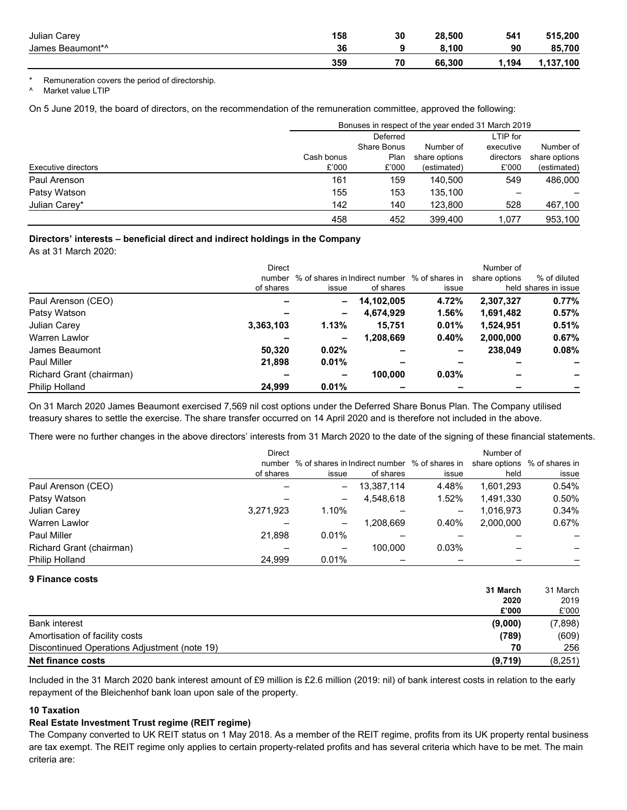| <b>Julian Carey</b>          | 158 | 30 | 28,500 | 541  | 515,200       |
|------------------------------|-----|----|--------|------|---------------|
| James Beaumont <sup>*^</sup> | 36  |    | .100   | 90   | 85,700        |
|                              | 359 | 70 | 66,300 | .194 | .100<br>.137. |

\* Remuneration covers the period of directorship.<br>A Market value LTIP

Market value LTIP

On 5 June 2019, the board of directors, on the recommendation of the remuneration committee, approved the following:

|                     | Bonuses in respect of the year ended 31 March 2019 |             |               |           |               |
|---------------------|----------------------------------------------------|-------------|---------------|-----------|---------------|
|                     |                                                    | Deferred    |               | LTIP for  |               |
|                     |                                                    | Share Bonus | Number of     | executive | Number of     |
|                     | Cash bonus                                         | Plan        | share options | directors | share options |
| Executive directors | £'000                                              | £'000       | (estimated)   | £'000     | (estimated)   |
| Paul Arenson        | 161                                                | 159         | 140.500       | 549       | 486,000       |
| Patsy Watson        | 155                                                | 153         | 135.100       |           |               |
| Julian Carey*       | 142                                                | 140         | 123.800       | 528       | 467,100       |
|                     | 458                                                | 452         | 399,400       | 1.077     | 953.100       |

# **Directors' interests – beneficial direct and indirect holdings in the Company**

As at 31 March 2020:

|                          | <b>Direct</b> |                                               |            |       | Number of     |                      |
|--------------------------|---------------|-----------------------------------------------|------------|-------|---------------|----------------------|
|                          | number        | % of shares in Indirect number % of shares in |            |       | share options | % of diluted         |
|                          | of shares     | issue                                         | of shares  | issue |               | held shares in issue |
| Paul Arenson (CEO)       |               | $\overline{\phantom{m}}$                      | 14,102,005 | 4.72% | 2,307,327     | $0.77\%$             |
| Patsy Watson             |               | $\overline{\phantom{m}}$                      | 4,674,929  | 1.56% | 1,691,482     | 0.57%                |
| <b>Julian Carey</b>      | 3,363,103     | 1.13%                                         | 15.751     | 0.01% | 1,524,951     | 0.51%                |
| Warren Lawlor            |               | $\overline{\phantom{a}}$                      | 1,208,669  | 0.40% | 2,000,000     | 0.67%                |
| James Beaumont           | 50,320        | $0.02\%$                                      |            | -     | 238,049       | $0.08\%$             |
| <b>Paul Miller</b>       | 21,898        | 0.01%                                         |            |       |               |                      |
| Richard Grant (chairman) |               | $\overline{\phantom{a}}$                      | 100.000    | 0.03% |               |                      |
| <b>Philip Holland</b>    | 24.999        | 0.01%                                         |            |       |               |                      |

On 31 March 2020 James Beaumont exercised 7,569 nil cost options under the Deferred Share Bonus Plan. The Company utilised treasury shares to settle the exercise. The share transfer occurred on 14 April 2020 and is therefore not included in the above.

There were no further changes in the above directors' interests from 31 March 2020 to the date of the signing of these financial statements.

|                          | Direct    |                                                      |            |       | Number of |                              |
|--------------------------|-----------|------------------------------------------------------|------------|-------|-----------|------------------------------|
|                          |           | number % of shares in Indirect number % of shares in |            |       |           | share options % of shares in |
|                          | of shares | issue                                                | of shares  | issue | held      | issue                        |
| Paul Arenson (CEO)       |           | $\overline{\phantom{0}}$                             | 13,387,114 | 4.48% | 1.601.293 | 0.54%                        |
| Patsy Watson             |           | $\overline{\phantom{m}}$                             | 4.548.618  | 1.52% | 1.491.330 | $0.50\%$                     |
| <b>Julian Carey</b>      | 3,271,923 | 1.10%                                                |            | -     | 1,016,973 | 0.34%                        |
| Warren Lawlor            |           | $\overline{\phantom{m}}$                             | 1.208.669  | 0.40% | 2.000.000 | 0.67%                        |
| <b>Paul Miller</b>       | 21.898    | 0.01%                                                |            |       |           |                              |
| Richard Grant (chairman) |           |                                                      | 100.000    | 0.03% |           |                              |
| <b>Philip Holland</b>    | 24,999    | 0.01%                                                |            |       |           |                              |

# **9 Finance costs**

| 31 March                                           | 31 March |
|----------------------------------------------------|----------|
| 2020                                               | 2019     |
| £'000                                              | £'000    |
| (9,000)<br><b>Bank interest</b>                    | (7,898)  |
| (789)<br>Amortisation of facility costs            | (609)    |
| Discontinued Operations Adjustment (note 19)<br>70 | 256      |
| Net finance costs<br>(9,719)                       | (8, 251) |

Included in the 31 March 2020 bank interest amount of £9 million is £2.6 million (2019: nil) of bank interest costs in relation to the early repayment of the Bleichenhof bank loan upon sale of the property.

# **10 Taxation**

# **Real Estate Investment Trust regime (REIT regime)**

The Company converted to UK REIT status on 1 May 2018. As a member of the REIT regime, profits from its UK property rental business are tax exempt. The REIT regime only applies to certain property-related profits and has several criteria which have to be met. The main criteria are: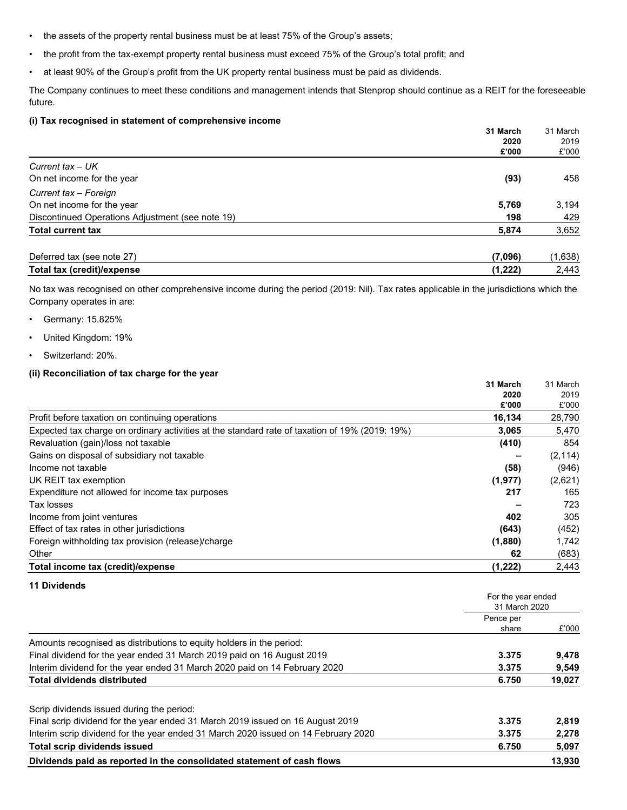- the assets of the property rental business must be at least 75% of the Group's assets;
- the profit from the tax-exempt property rental business must exceed 75% of the Group's total profit; and
- at least 90% of the Group's profit from the UK property rental business must be paid as dividends.

The Company continues to meet these conditions and management intends that Stenprop should continue as a REIT for the foreseeable future.

# **(i) Tax recognised in statement of comprehensive income**

|                                                  | 31 March | 31 March |
|--------------------------------------------------|----------|----------|
|                                                  | 2020     | 2019     |
|                                                  | £'000    | £'000    |
| Current tax $- UK$                               |          |          |
| On net income for the year                       | (93)     | 458      |
| Current tax - Foreign                            |          |          |
| On net income for the year                       | 5,769    | 3,194    |
| Discontinued Operations Adjustment (see note 19) | 198      | 429      |
| <b>Total current tax</b>                         | 5,874    | 3,652    |
| Deferred tax (see note 27)                       | (7,096)  | (1,638)  |
| Total tax (credit)/expense                       | (1, 222) | 2,443    |

No tax was recognised on other comprehensive income during the period (2019: Nil). Tax rates applicable in the jurisdictions which the Company operates in are:

- Germany: 15.825%
- United Kingdom: 19%
- Switzerland: 20%.

# **(ii) Reconciliation of tax charge for the year**

|                                                                                                | 31 March | 31 March |
|------------------------------------------------------------------------------------------------|----------|----------|
|                                                                                                | 2020     | 2019     |
|                                                                                                | £'000    | £'000    |
| Profit before taxation on continuing operations                                                | 16.134   | 28,790   |
| Expected tax charge on ordinary activities at the standard rate of taxation of 19% (2019: 19%) | 3,065    | 5,470    |
| Revaluation (gain)/loss not taxable                                                            | (410)    | 854      |
| Gains on disposal of subsidiary not taxable                                                    |          | (2, 114) |
| Income not taxable                                                                             | (58)     | (946)    |
| UK REIT tax exemption                                                                          | (1, 977) | (2,621)  |
| Expenditure not allowed for income tax purposes                                                | 217      | 165      |
| Tax losses                                                                                     |          | 723      |
| Income from joint ventures                                                                     | 402      | 305      |
| Effect of tax rates in other jurisdictions                                                     | (643)    | (452)    |
| Foreign withholding tax provision (release)/charge                                             | (1,880)  | 1,742    |
| Other                                                                                          | 62       | (683)    |
| Total income tax (credit)/expense                                                              | (1,222)  | 2,443    |

# **11 Dividends**

|                                                                                    | For the year ended<br>31 March 2020 |        |
|------------------------------------------------------------------------------------|-------------------------------------|--------|
|                                                                                    | Pence per<br>share                  | £'000  |
| Amounts recognised as distributions to equity holders in the period:               |                                     |        |
| Final dividend for the year ended 31 March 2019 paid on 16 August 2019             | 3.375                               | 9,478  |
| Interim dividend for the year ended 31 March 2020 paid on 14 February 2020         | 3.375                               | 9,549  |
| <b>Total dividends distributed</b>                                                 | 6.750                               | 19,027 |
| Scrip dividends issued during the period:                                          |                                     |        |
| Final scrip dividend for the year ended 31 March 2019 issued on 16 August 2019     | 3.375                               | 2,819  |
| Interim scrip dividend for the year ended 31 March 2020 issued on 14 February 2020 | 3.375                               | 2,278  |
| <b>Total scrip dividends issued</b>                                                | 6.750                               | 5,097  |
| Dividends paid as reported in the consolidated statement of cash flows             |                                     | 13,930 |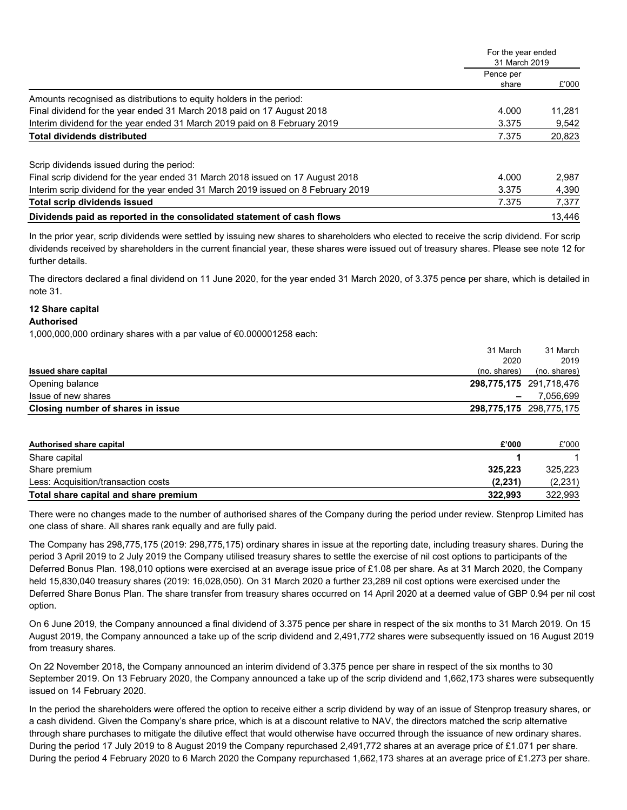|                                                                                   | For the year ended<br>31 March 2019 |        |
|-----------------------------------------------------------------------------------|-------------------------------------|--------|
|                                                                                   | Pence per<br>share                  | £'000  |
| Amounts recognised as distributions to equity holders in the period:              |                                     |        |
| Final dividend for the year ended 31 March 2018 paid on 17 August 2018            | 4.000                               | 11,281 |
| Interim dividend for the year ended 31 March 2019 paid on 8 February 2019         | 3.375                               | 9,542  |
| <b>Total dividends distributed</b>                                                | 7.375                               | 20,823 |
| Scrip dividends issued during the period:                                         |                                     |        |
| Final scrip dividend for the year ended 31 March 2018 issued on 17 August 2018    | 4.000                               | 2,987  |
| Interim scrip dividend for the year ended 31 March 2019 issued on 8 February 2019 | 3.375                               | 4,390  |
| <b>Total scrip dividends issued</b>                                               | 7.375                               | 7,377  |
| Dividends paid as reported in the consolidated statement of cash flows            |                                     | 13.446 |

In the prior year, scrip dividends were settled by issuing new shares to shareholders who elected to receive the scrip dividend. For scrip dividends received by shareholders in the current financial year, these shares were issued out of treasury shares. Please see note 12 for further details.

The directors declared a final dividend on 11 June 2020, for the year ended 31 March 2020, of 3.375 pence per share, which is detailed in note 31.

# **12 Share capital**

# **Authorised**

1,000,000,000 ordinary shares with a par value of €0.000001258 each:

|                                   | 31 March                 | 31 March     |
|-----------------------------------|--------------------------|--------------|
|                                   | 2020                     | 2019         |
| <b>Issued share capital</b>       | (no. shares)             | (no. shares) |
| Opening balance                   | 298,775,175 291,718,476  |              |
| Issue of new shares               | $\overline{\phantom{0}}$ | 7.056.699    |
| Closing number of shares in issue | 298,775,175 298,775,175  |              |

| Authorised share capital              | £'000    | £'000   |
|---------------------------------------|----------|---------|
| Share capital                         |          |         |
| Share premium                         | 325.223  | 325.223 |
| Less: Acquisition/transaction costs   | (2, 231) | (2,231) |
| Total share capital and share premium | 322.993  | 322.993 |

There were no changes made to the number of authorised shares of the Company during the period under review. Stenprop Limited has one class of share. All shares rank equally and are fully paid.

The Company has 298,775,175 (2019: 298,775,175) ordinary shares in issue at the reporting date, including treasury shares. During the period 3 April 2019 to 2 July 2019 the Company utilised treasury shares to settle the exercise of nil cost options to participants of the Deferred Bonus Plan. 198,010 options were exercised at an average issue price of £1.08 per share. As at 31 March 2020, the Company held 15,830,040 treasury shares (2019: 16,028,050). On 31 March 2020 a further 23,289 nil cost options were exercised under the Deferred Share Bonus Plan. The share transfer from treasury shares occurred on 14 April 2020 at a deemed value of GBP 0.94 per nil cost option.

On 6 June 2019, the Company announced a final dividend of 3.375 pence per share in respect of the six months to 31 March 2019. On 15 August 2019, the Company announced a take up of the scrip dividend and 2,491,772 shares were subsequently issued on 16 August 2019 from treasury shares.

On 22 November 2018, the Company announced an interim dividend of 3.375 pence per share in respect of the six months to 30 September 2019. On 13 February 2020, the Company announced a take up of the scrip dividend and 1,662,173 shares were subsequently issued on 14 February 2020.

In the period the shareholders were offered the option to receive either a scrip dividend by way of an issue of Stenprop treasury shares, or a cash dividend. Given the Company's share price, which is at a discount relative to NAV, the directors matched the scrip alternative through share purchases to mitigate the dilutive effect that would otherwise have occurred through the issuance of new ordinary shares. During the period 17 July 2019 to 8 August 2019 the Company repurchased 2,491,772 shares at an average price of £1.071 per share. During the period 4 February 2020 to 6 March 2020 the Company repurchased 1,662,173 shares at an average price of £1.273 per share.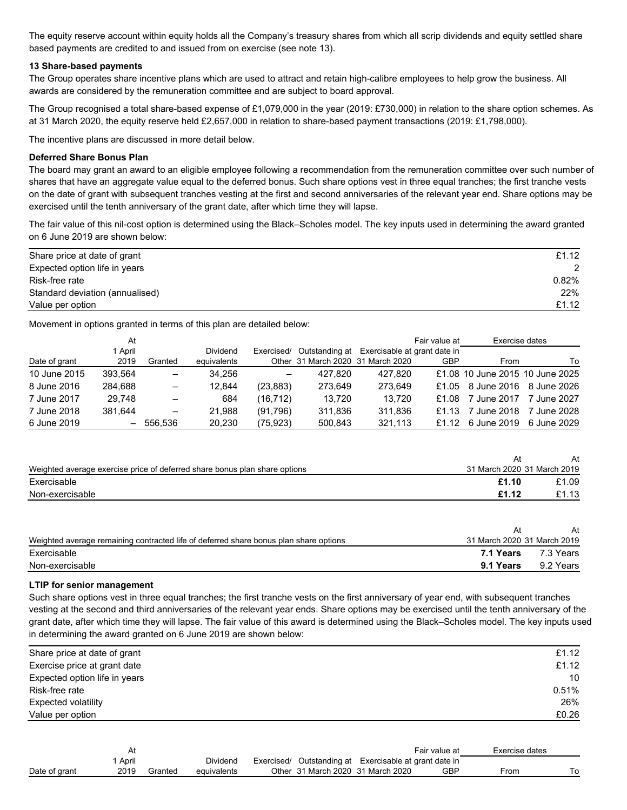The equity reserve account within equity holds all the Company's treasury shares from which all scrip dividends and equity settled share based payments are credited to and issued from on exercise (see note 13).

# **13 Share-based payments**

The Group operates share incentive plans which are used to attract and retain high-calibre employees to help grow the business. All awards are considered by the remuneration committee and are subject to board approval.

The Group recognised a total share-based expense of £1,079,000 in the year (2019: £730,000) in relation to the share option schemes. As at 31 March 2020, the equity reserve held £2,657,000 in relation to share-based payment transactions (2019: £1,798,000).

The incentive plans are discussed in more detail below.

# **Deferred Share Bonus Plan**

The board may grant an award to an eligible employee following a recommendation from the remuneration committee over such number of shares that have an aggregate value equal to the deferred bonus. Such share options vest in three equal tranches; the first tranche vests on the date of grant with subsequent tranches vesting at the first and second anniversaries of the relevant year end. Share options may be exercised until the tenth anniversary of the grant date, after which time they will lapse.

The fair value of this nil-cost option is determined using the Black–Scholes model. The key inputs used in determining the award granted on 6 June 2019 are shown below:

| Share price at date of grant    | £1.12         |
|---------------------------------|---------------|
| Expected option life in years   | $\mathcal{P}$ |
| Risk-free rate                  | 0.82%         |
| Standard deviation (annualised) | 22%           |
| Value per option                | £1.12         |

Movement in options granted in terms of this plan are detailed below:

|               | At      |                          |             |                   |                                                        |         | Fair value at | Exercise dates    |                                 |
|---------------|---------|--------------------------|-------------|-------------------|--------------------------------------------------------|---------|---------------|-------------------|---------------------------------|
|               | 1 April |                          | Dividend    |                   | Exercised/ Outstanding at Exercisable at grant date in |         |               |                   |                                 |
| Date of grant | 2019    | Granted                  | equivalents |                   | Other 31 March 2020 31 March 2020                      |         | <b>GBP</b>    | From              | To.                             |
| 10 June 2015  | 393.564 | -                        | 34.256      | $\qquad \qquad -$ | 427.820                                                | 427.820 |               |                   | £1.08 10 June 2015 10 June 2025 |
| 8 June 2016   | 284.688 | $\overline{\phantom{m}}$ | 12.844      | (23,883)          | 273.649                                                | 273.649 |               | £1.05 8 June 2016 | 8 June 2026                     |
| 7 June 2017   | 29.748  |                          | 684         | (16,712)          | 13.720                                                 | 13.720  | £1.08         | 7 June 2017       | 7 June 2027                     |
| 7 June 2018   | 381.644 | -                        | 21.988      | (91,796)          | 311.836                                                | 311.836 | £1.13         | 7 June 2018       | 7 June 2028                     |
| 6 June 2019   |         | 556.536                  | 20.230      | (75,923)          | 500,843                                                | 321,113 |               |                   | £1.12 6 June 2019 6 June 2029   |

|                                                                            | Al                          |       |
|----------------------------------------------------------------------------|-----------------------------|-------|
| Weighted average exercise price of deferred share bonus plan share options | 31 March 2020 31 March 2019 |       |
| Exercisable                                                                | £1.10                       | £1.09 |
| Non-exercisable                                                            | £1.12                       | £1.13 |

|                                                                                       | At                          | At        |
|---------------------------------------------------------------------------------------|-----------------------------|-----------|
| Weighted average remaining contracted life of deferred share bonus plan share options | 31 March 2020 31 March 2019 |           |
| Exercisable                                                                           | 7.1 Years                   | 7.3 Years |
| Non-exercisable                                                                       | 9.1 Years                   | 9.2 Years |

# **LTIP for senior management**

Such share options vest in three equal tranches; the first tranche vests on the first anniversary of year end, with subsequent tranches vesting at the second and third anniversaries of the relevant year ends. Share options may be exercised until the tenth anniversary of the grant date, after which time they will lapse. The fair value of this award is determined using the Black–Scholes model. The key inputs used in determining the award granted on 6 June 2019 are shown below:

| Share price at date of grant  | £1.12 |
|-------------------------------|-------|
| Exercise price at grant date  | £1.12 |
| Expected option life in years | 10    |
| Risk-free rate                | 0.51% |
| Expected volatility           | 26%   |
| Value per option              | £0.26 |

|               | મા    |         |             |            |                                   |                                             | Fair value at | Exercise dates |          |
|---------------|-------|---------|-------------|------------|-----------------------------------|---------------------------------------------|---------------|----------------|----------|
|               | April |         | Dividend    | Exercised/ |                                   | Outstanding at Exercisable at grant date in |               |                |          |
| Date of grant | 2019  | Granted | equivalents |            | Other 31 March 2020 31 March 2020 |                                             | GBP           | From           | $\Omega$ |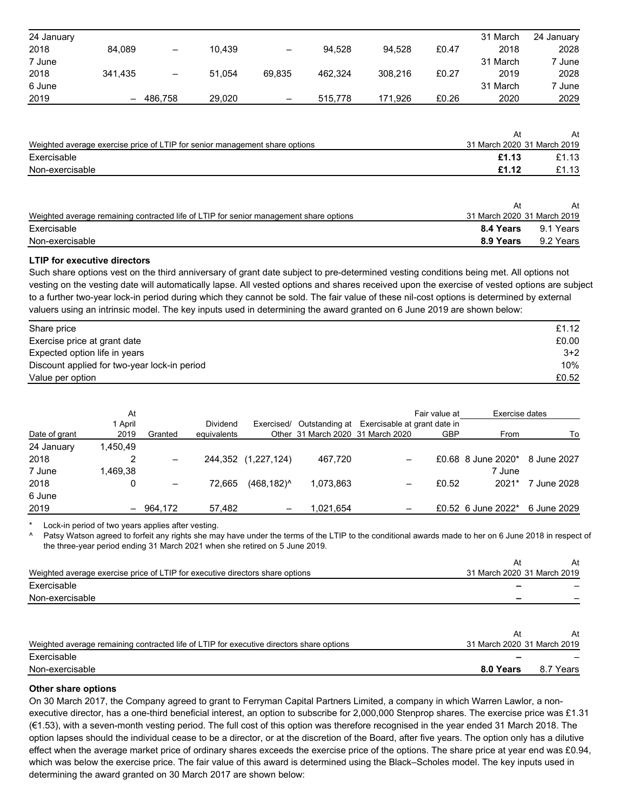| 24 January |         |                          |        |                          |         |         |       | 31 March | 24 January |
|------------|---------|--------------------------|--------|--------------------------|---------|---------|-------|----------|------------|
| 2018       | 84,089  | $\overline{\phantom{m}}$ | 10.439 | -                        | 94.528  | 94.528  | £0.47 | 2018     | 2028       |
| 7 June     |         |                          |        |                          |         |         |       | 31 March | 7 June_    |
| 2018       | 341.435 | $\overline{\phantom{0}}$ | 51.054 | 69.835                   | 462.324 | 308.216 | £0.27 | 2019     | 2028       |
| 6 June     |         |                          |        |                          |         |         |       | 31 March | 7 June     |
| 2019       |         | 486.758                  | 29.020 | $\overline{\phantom{0}}$ | 515.778 | 171.926 | £0.26 | 2020     | 2029       |

|                                                                                        | At                          | At        |
|----------------------------------------------------------------------------------------|-----------------------------|-----------|
| Weighted average exercise price of LTIP for senior management share options            | 31 March 2020 31 March 2019 |           |
| Exercisable                                                                            | £1.13                       | £1.13     |
| Non-exercisable                                                                        | £1.12                       | £1.13     |
|                                                                                        |                             |           |
|                                                                                        | At                          | At        |
| Weighted average remaining contracted life of LTIP for senior management share options | 31 March 2020 31 March 2019 |           |
| Exercisable                                                                            | 8.4 Years                   | 9.1 Years |

Non-exercisable **8.9 Years** 9.2 Years

# **LTIP for executive directors**

Such share options vest on the third anniversary of grant date subject to pre-determined vesting conditions being met. All options not vesting on the vesting date will automatically lapse. All vested options and shares received upon the exercise of vested options are subject to a further two-year lock-in period during which they cannot be sold. The fair value of these nil-cost options is determined by external valuers using an intrinsic model. The key inputs used in determining the award granted on 6 June 2019 are shown below:

| Share price                                  | £1.12 |
|----------------------------------------------|-------|
| Exercise price at grant date                 | £0.00 |
| Expected option life in years                | $3+2$ |
| Discount applied for two-year lock-in period | 10%   |
| Value per option                             | £0.52 |

|               | At       |            |                 |                     |                                   |                                                        | Fair value at | Exercise dates     |             |
|---------------|----------|------------|-----------------|---------------------|-----------------------------------|--------------------------------------------------------|---------------|--------------------|-------------|
|               | l April  |            | <b>Dividend</b> |                     |                                   | Exercised/ Outstanding at Exercisable at grant date in |               |                    |             |
| Date of grant | 2019     | Granted    | equivalents     |                     | Other 31 March 2020 31 March 2020 |                                                        | <b>GBP</b>    | From               | To          |
| 24 January    | 1,450,49 |            |                 |                     |                                   |                                                        |               |                    |             |
| 2018          |          |            |                 | 244,352 (1,227,124) | 467.720                           | -                                                      |               | £0.68 8 June 2020* | 8 June 2027 |
| 7 June        | 1.469.38 |            |                 |                     |                                   |                                                        |               | 7 June             |             |
| 2018          | 0        |            | 72.665          | $(468, 182)^{A}$    | 1.073.863                         |                                                        | £0.52         | $2021*$            | June 2028   |
| 6 June        |          |            |                 |                     |                                   |                                                        |               |                    |             |
| 2019          |          | $-964.172$ | 57.482          |                     | 1.021.654                         |                                                        |               | £0.52 6 June 2022* | 6 June 2029 |

Lock-in period of two years applies after vesting.

Patsy Watson agreed to forfeit any rights she may have under the terms of the LTIP to the conditional awards made to her on 6 June 2018 in respect of the three-year period ending 31 March 2021 when she retired on 5 June 2019.

|                                                                                          | At                          | At        |
|------------------------------------------------------------------------------------------|-----------------------------|-----------|
| Weighted average exercise price of LTIP for executive directors share options            | 31 March 2020 31 March 2019 |           |
| Exercisable                                                                              |                             |           |
| Non-exercisable                                                                          |                             |           |
|                                                                                          |                             |           |
|                                                                                          | At                          | At        |
| Weighted average remaining contracted life of LTIP for executive directors share options | 31 March 2020 31 March 2019 |           |
| Exercisable                                                                              |                             |           |
| Non-exercisable                                                                          | 8.0 Years                   | 8.7 Years |

#### **Other share options**

On 30 March 2017, the Company agreed to grant to Ferryman Capital Partners Limited, a company in which Warren Lawlor, a nonexecutive director, has a one-third beneficial interest, an option to subscribe for 2,000,000 Stenprop shares. The exercise price was £1.31 (€1.53), with a seven-month vesting period. The full cost of this option was therefore recognised in the year ended 31 March 2018. The option lapses should the individual cease to be a director, or at the discretion of the Board, after five years. The option only has a dilutive effect when the average market price of ordinary shares exceeds the exercise price of the options. The share price at year end was £0.94, which was below the exercise price. The fair value of this award is determined using the Black–Scholes model. The key inputs used in determining the award granted on 30 March 2017 are shown below: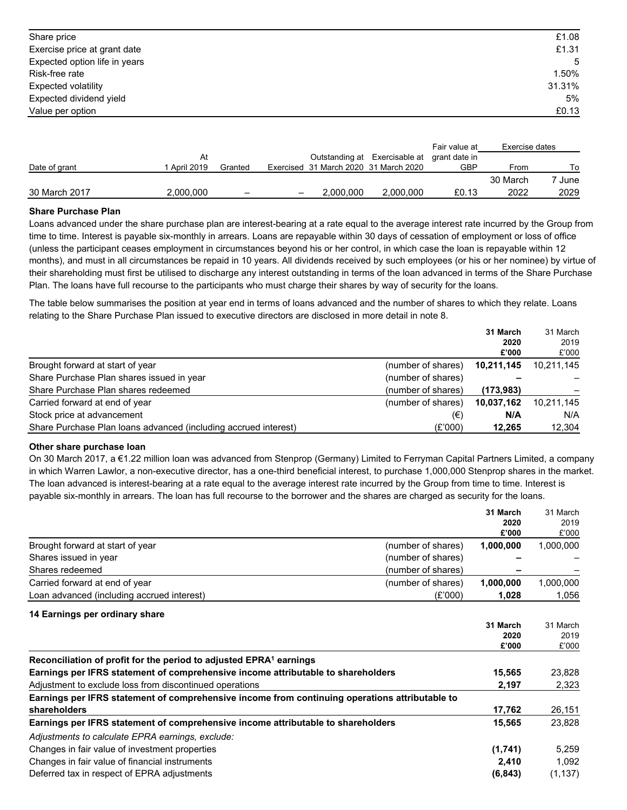| Share price                   | £1.08  |
|-------------------------------|--------|
| Exercise price at grant date  | £1.31  |
| Expected option life in years | -5     |
| Risk-free rate                | 1.50%  |
| Expected volatility           | 31.31% |
| Expected dividend yield       | 5%     |
| Value per option              | £0.13  |

|               |            |         |                          |                                       |                                             | Fair value at | Exercise dates |         |
|---------------|------------|---------|--------------------------|---------------------------------------|---------------------------------------------|---------------|----------------|---------|
|               | At         |         |                          |                                       | Outstanding at Exercisable at grant date in |               |                |         |
| Date of grant | April 2019 | Granted |                          | Exercised 31 March 2020 31 March 2020 |                                             | GBP           | From           | To      |
|               |            |         |                          |                                       |                                             |               | 30 March       | 7 June_ |
| 30 March 2017 | 2.000.000  |         | $\overline{\phantom{m}}$ | 2.000.000                             | 2.000.000                                   | £0.13         | 2022           | 2029    |

# **Share Purchase Plan**

Loans advanced under the share purchase plan are interest-bearing at a rate equal to the average interest rate incurred by the Group from time to time. Interest is payable six-monthly in arrears. Loans are repayable within 30 days of cessation of employment or loss of office (unless the participant ceases employment in circumstances beyond his or her control, in which case the loan is repayable within 12 months), and must in all circumstances be repaid in 10 years. All dividends received by such employees (or his or her nominee) by virtue of their shareholding must first be utilised to discharge any interest outstanding in terms of the loan advanced in terms of the Share Purchase Plan. The loans have full recourse to the participants who must charge their shares by way of security for the loans.

The table below summarises the position at year end in terms of loans advanced and the number of shares to which they relate. Loans relating to the Share Purchase Plan issued to executive directors are disclosed in more detail in note 8.

|                                                                 |                    | 31 March<br>2020<br>£'000 | 31 March<br>2019<br>£'000 |
|-----------------------------------------------------------------|--------------------|---------------------------|---------------------------|
| Brought forward at start of year                                | (number of shares) | 10,211,145                | 10,211,145                |
| Share Purchase Plan shares issued in year                       | (number of shares) |                           |                           |
| Share Purchase Plan shares redeemed                             | (number of shares) | (173, 983)                |                           |
| Carried forward at end of year                                  | (number of shares) | 10,037,162                | 10,211,145                |
| Stock price at advancement                                      | (€)                | N/A                       | N/A                       |
| Share Purchase Plan Ioans advanced (including accrued interest) | (E'000)            | 12.265                    | 12,304                    |

# **Other share purchase loan**

On 30 March 2017, a €1.22 million loan was advanced from Stenprop (Germany) Limited to Ferryman Capital Partners Limited, a company in which Warren Lawlor, a non-executive director, has a one-third beneficial interest, to purchase 1,000,000 Stenprop shares in the market. The loan advanced is interest-bearing at a rate equal to the average interest rate incurred by the Group from time to time. Interest is payable six-monthly in arrears. The loan has full recourse to the borrower and the shares are charged as security for the loans.

|                                                                                                |                    | 31 March<br>2020 | 31 March      |
|------------------------------------------------------------------------------------------------|--------------------|------------------|---------------|
|                                                                                                |                    | £'000            | 2019<br>£'000 |
| Brought forward at start of year                                                               | (number of shares) | 1,000,000        | 1,000,000     |
| Shares issued in year                                                                          | (number of shares) |                  |               |
| Shares redeemed                                                                                | (number of shares) |                  |               |
| Carried forward at end of year                                                                 | (number of shares) | 1,000,000        | 1,000,000     |
| Loan advanced (including accrued interest)                                                     | (E'000)            | 1,028            | 1,056         |
| 14 Earnings per ordinary share                                                                 |                    |                  |               |
|                                                                                                |                    | 31 March         | 31 March      |
|                                                                                                |                    | 2020             | 2019          |
|                                                                                                |                    | £'000            | £'000         |
| Reconciliation of profit for the period to adjusted EPRA <sup>1</sup> earnings                 |                    |                  |               |
| Earnings per IFRS statement of comprehensive income attributable to shareholders               |                    | 15,565           | 23,828        |
| Adjustment to exclude loss from discontinued operations                                        |                    | 2,197            | 2,323         |
| Earnings per IFRS statement of comprehensive income from continuing operations attributable to |                    |                  |               |
| shareholders                                                                                   |                    | 17,762           | 26,151        |
| Earnings per IFRS statement of comprehensive income attributable to shareholders               |                    | 15,565           | 23,828        |
| Adjustments to calculate EPRA earnings, exclude:                                               |                    |                  |               |
| Changes in fair value of investment properties                                                 |                    | (1,741)          | 5,259         |
| Changes in fair value of financial instruments                                                 |                    | 2,410            | 1,092         |
| Deferred tax in respect of EPRA adjustments                                                    |                    | (6, 843)         | (1, 137)      |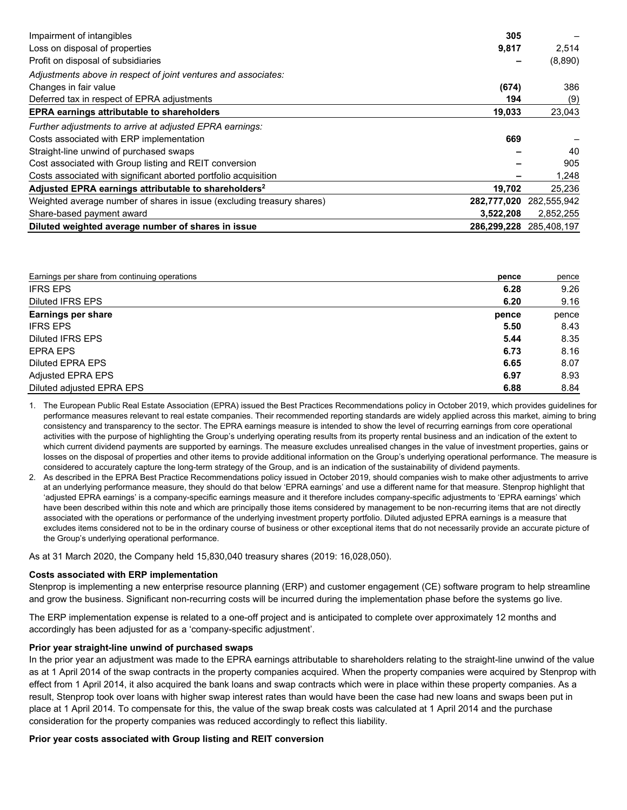| Impairment of intangibles<br>305                                                      |             |
|---------------------------------------------------------------------------------------|-------------|
| Loss on disposal of properties<br>9,817                                               | 2,514       |
| Profit on disposal of subsidiaries                                                    | (8,890)     |
| Adjustments above in respect of joint ventures and associates:                        |             |
| Changes in fair value<br>(674)                                                        | 386         |
| Deferred tax in respect of EPRA adjustments<br>194                                    | (9)         |
| 19,033<br><b>EPRA earnings attributable to shareholders</b>                           | 23,043      |
| Further adjustments to arrive at adjusted EPRA earnings:                              |             |
| 669<br>Costs associated with ERP implementation                                       |             |
| Straight-line unwind of purchased swaps                                               | 40          |
| Cost associated with Group listing and REIT conversion                                | 905         |
| Costs associated with significant aborted portfolio acquisition                       | 1,248       |
| Adjusted EPRA earnings attributable to shareholders <sup>2</sup><br>19,702            | 25,236      |
| Weighted average number of shares in issue (excluding treasury shares)<br>282,777,020 | 282,555,942 |
| Share-based payment award<br>3,522,208                                                | 2,852,255   |
| Diluted weighted average number of shares in issue<br>286,299,228                     | 285.408.197 |

| Earnings per share from continuing operations | pence | pence |
|-----------------------------------------------|-------|-------|
| <b>IFRS EPS</b>                               | 6.28  | 9.26  |
| Diluted IFRS EPS                              | 6.20  | 9.16  |
| <b>Earnings per share</b>                     | pence | pence |
| <b>IFRS EPS</b>                               | 5.50  | 8.43  |
| Diluted IFRS EPS                              | 5.44  | 8.35  |
| <b>EPRA EPS</b>                               | 6.73  | 8.16  |
| <b>Diluted EPRA EPS</b>                       | 6.65  | 8.07  |
| Adjusted EPRA EPS                             | 6.97  | 8.93  |
| Diluted adjusted EPRA EPS                     | 6.88  | 8.84  |

1. The European Public Real Estate Association (EPRA) issued the Best Practices Recommendations policy in October 2019, which provides guidelines for performance measures relevant to real estate companies. Their recommended reporting standards are widely applied across this market, aiming to bring consistency and transparency to the sector. The EPRA earnings measure is intended to show the level of recurring earnings from core operational activities with the purpose of highlighting the Group's underlying operating results from its property rental business and an indication of the extent to which current dividend payments are supported by earnings. The measure excludes unrealised changes in the value of investment properties, gains or losses on the disposal of properties and other items to provide additional information on the Group's underlying operational performance. The measure is considered to accurately capture the long-term strategy of the Group, and is an indication of the sustainability of dividend payments.

2. As described in the EPRA Best Practice Recommendations policy issued in October 2019, should companies wish to make other adjustments to arrive at an underlying performance measure, they should do that below 'EPRA earnings' and use a different name for that measure. Stenprop highlight that 'adjusted EPRA earnings' is a company-specific earnings measure and it therefore includes company-specific adjustments to 'EPRA earnings' which have been described within this note and which are principally those items considered by management to be non-recurring items that are not directly associated with the operations or performance of the underlying investment property portfolio. Diluted adjusted EPRA earnings is a measure that excludes items considered not to be in the ordinary course of business or other exceptional items that do not necessarily provide an accurate picture of the Group's underlying operational performance.

As at 31 March 2020, the Company held 15,830,040 treasury shares (2019: 16,028,050).

# **Costs associated with ERP implementation**

Stenprop is implementing a new enterprise resource planning (ERP) and customer engagement (CE) software program to help streamline and grow the business. Significant non-recurring costs will be incurred during the implementation phase before the systems go live.

The ERP implementation expense is related to a one-off project and is anticipated to complete over approximately 12 months and accordingly has been adjusted for as a 'company-specific adjustment'.

# **Prior year straight-line unwind of purchased swaps**

In the prior year an adjustment was made to the EPRA earnings attributable to shareholders relating to the straight-line unwind of the value as at 1 April 2014 of the swap contracts in the property companies acquired. When the property companies were acquired by Stenprop with effect from 1 April 2014, it also acquired the bank loans and swap contracts which were in place within these property companies. As a result, Stenprop took over loans with higher swap interest rates than would have been the case had new loans and swaps been put in place at 1 April 2014. To compensate for this, the value of the swap break costs was calculated at 1 April 2014 and the purchase consideration for the property companies was reduced accordingly to reflect this liability.

# **Prior year costs associated with Group listing and REIT conversion**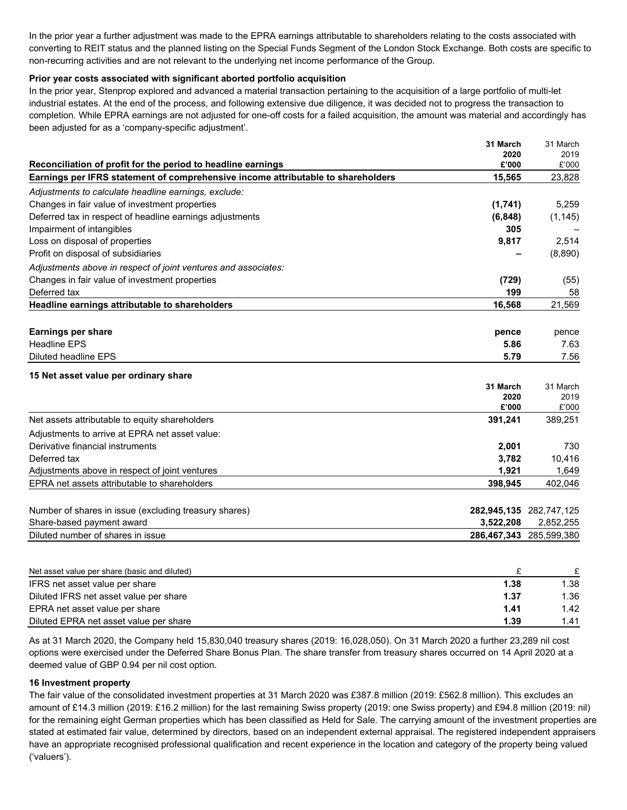In the prior year a further adjustment was made to the EPRA earnings attributable to shareholders relating to the costs associated with converting to REIT status and the planned listing on the Special Funds Segment of the London Stock Exchange. Both costs are specific to non-recurring activities and are not relevant to the underlying net income performance of the Group.

# **Prior year costs associated with significant aborted portfolio acquisition**

In the prior year, Stenprop explored and advanced a material transaction pertaining to the acquisition of a large portfolio of multi-let industrial estates. At the end of the process, and following extensive due diligence, it was decided not to progress the transaction to completion. While EPRA earnings are not adjusted for one-off costs for a failed acquisition, the amount was material and accordingly has been adjusted for as a 'company-specific adjustment'.

| Reconciliation of profit for the period to headline earnings                     | 31 March<br>2020<br>£'000 | 31 March<br>2019<br>£'000 |
|----------------------------------------------------------------------------------|---------------------------|---------------------------|
| Earnings per IFRS statement of comprehensive income attributable to shareholders | 15,565                    | 23,828                    |
| Adjustments to calculate headline earnings, exclude:                             |                           |                           |
| Changes in fair value of investment properties                                   | (1,741)                   | 5,259                     |
| Deferred tax in respect of headline earnings adjustments                         | (6, 848)                  | (1, 145)                  |
| Impairment of intangibles                                                        | 305                       |                           |
| Loss on disposal of properties                                                   | 9,817                     | 2,514                     |
| Profit on disposal of subsidiaries                                               |                           | (8,890)                   |
| Adjustments above in respect of joint ventures and associates:                   |                           |                           |
| Changes in fair value of investment properties                                   | (729)                     | (55)                      |
| Deferred tax                                                                     | 199                       | 58                        |
| Headline earnings attributable to shareholders                                   | 16,568                    | 21,569                    |
| Earnings per share                                                               | pence                     | pence                     |
| <b>Headline EPS</b>                                                              | 5.86                      | 7.63                      |
| Diluted headline EPS                                                             | 5.79                      | 7.56                      |
| 15 Net asset value per ordinary share                                            |                           |                           |
|                                                                                  | 31 March<br>2020          | 31 March<br>2019          |
|                                                                                  | £'000                     | £'000                     |
| Net assets attributable to equity shareholders                                   | 391,241                   | 389,251                   |
| Adjustments to arrive at EPRA net asset value:                                   |                           |                           |
| Derivative financial instruments                                                 | 2,001                     | 730                       |
| Deferred tax                                                                     | 3,782                     | 10,416                    |
| Adjustments above in respect of joint ventures                                   | 1,921                     | 1,649                     |
| EPRA net assets attributable to shareholders                                     | 398,945                   | 402,046                   |
| Number of shares in issue (excluding treasury shares)                            |                           | 282,945,135 282,747,125   |
| Share-based payment award                                                        | 3,522,208                 | 2,852,255                 |
| Diluted number of shares in issue                                                |                           | 286,467,343 285,599,380   |
|                                                                                  |                           |                           |
| Net asset value per share (basic and diluted)                                    | £                         | £                         |
| IFRS net asset value per share                                                   | 1.38                      | 1.38                      |
| Diluted IFRS net asset value per share                                           | 1.37                      | 1.36                      |
| EPRA net asset value per share                                                   | 1.41                      | 1.42                      |
| Diluted EPRA net asset value per share                                           | 1.39                      | 1.41                      |

As at 31 March 2020, the Company held 15,830,040 treasury shares (2019: 16,028,050). On 31 March 2020 a further 23,289 nil cost options were exercised under the Deferred Share Bonus Plan. The share transfer from treasury shares occurred on 14 April 2020 at a deemed value of GBP 0.94 per nil cost option.

# **16 Investment property**

The fair value of the consolidated investment properties at 31 March 2020 was £387.8 million (2019: £562.8 million). This excludes an amount of £14.3 million (2019: £16.2 million) for the last remaining Swiss property (2019: one Swiss property) and £94.8 million (2019: nil) for the remaining eight German properties which has been classified as Held for Sale. The carrying amount of the investment properties are stated at estimated fair value, determined by directors, based on an independent external appraisal. The registered independent appraisers have an appropriate recognised professional qualification and recent experience in the location and category of the property being valued ('valuers').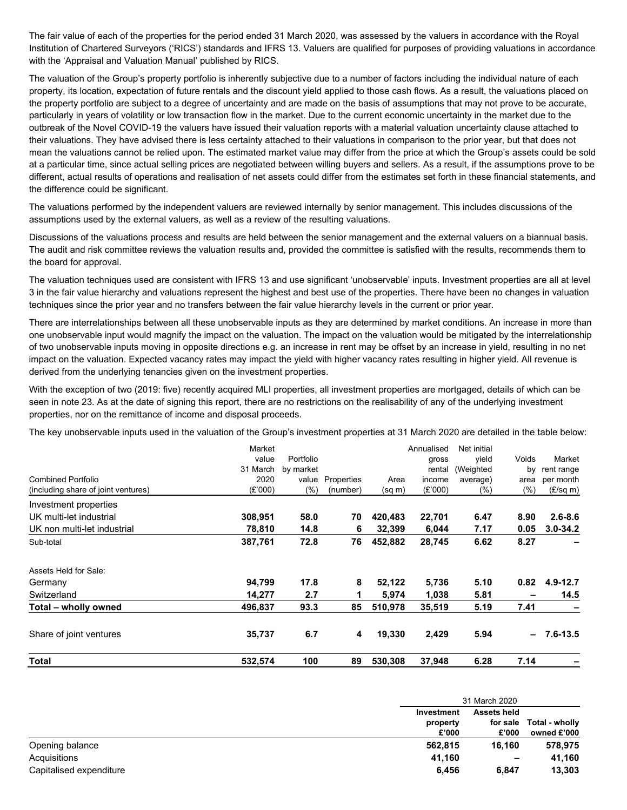The fair value of each of the properties for the period ended 31 March 2020, was assessed by the valuers in accordance with the Royal Institution of Chartered Surveyors ('RICS') standards and IFRS 13. Valuers are qualified for purposes of providing valuations in accordance with the 'Appraisal and Valuation Manual' published by RICS.

The valuation of the Group's property portfolio is inherently subjective due to a number of factors including the individual nature of each property, its location, expectation of future rentals and the discount yield applied to those cash flows. As a result, the valuations placed on the property portfolio are subject to a degree of uncertainty and are made on the basis of assumptions that may not prove to be accurate, particularly in years of volatility or low transaction flow in the market. Due to the current economic uncertainty in the market due to the outbreak of the Novel COVID-19 the valuers have issued their valuation reports with a material valuation uncertainty clause attached to their valuations. They have advised there is less certainty attached to their valuations in comparison to the prior year, but that does not mean the valuations cannot be relied upon. The estimated market value may differ from the price at which the Group's assets could be sold at a particular time, since actual selling prices are negotiated between willing buyers and sellers. As a result, if the assumptions prove to be different, actual results of operations and realisation of net assets could differ from the estimates set forth in these financial statements, and the difference could be significant.

The valuations performed by the independent valuers are reviewed internally by senior management. This includes discussions of the assumptions used by the external valuers, as well as a review of the resulting valuations.

Discussions of the valuations process and results are held between the senior management and the external valuers on a biannual basis. The audit and risk committee reviews the valuation results and, provided the committee is satisfied with the results, recommends them to the board for approval.

The valuation techniques used are consistent with IFRS 13 and use significant 'unobservable' inputs. Investment properties are all at level 3 in the fair value hierarchy and valuations represent the highest and best use of the properties. There have been no changes in valuation techniques since the prior year and no transfers between the fair value hierarchy levels in the current or prior year.

There are interrelationships between all these unobservable inputs as they are determined by market conditions. An increase in more than one unobservable input would magnify the impact on the valuation. The impact on the valuation would be mitigated by the interrelationship of two unobservable inputs moving in opposite directions e.g. an increase in rent may be offset by an increase in yield, resulting in no net impact on the valuation. Expected vacancy rates may impact the yield with higher vacancy rates resulting in higher yield. All revenue is derived from the underlying tenancies given on the investment properties.

With the exception of two (2019: five) recently acquired MLI properties, all investment properties are mortgaged, details of which can be seen in note 23. As at the date of signing this report, there are no restrictions on the realisability of any of the underlying investment properties, nor on the remittance of income and disposal proceeds.

The key unobservable inputs used in the valuation of the Group's investment properties at 31 March 2020 are detailed in the table below:

| <b>Combined Portfolio</b><br>(including share of joint ventures) | Market<br>value<br>31 March<br>2020<br>(£'000) | Portfolio<br>by market<br>value<br>(%) | Properties<br>(number) | Area<br>$(sq \, m)$ | Annualised<br>gross<br>rental<br>income<br>(E'000) | Net initial<br>yield<br>(Weighted<br>average)<br>(% ) | Voids<br>by<br>area<br>$(\% )$ | Market<br>rent range<br>per month<br>$(E/\text{sq } m)$ |
|------------------------------------------------------------------|------------------------------------------------|----------------------------------------|------------------------|---------------------|----------------------------------------------------|-------------------------------------------------------|--------------------------------|---------------------------------------------------------|
| Investment properties                                            |                                                |                                        |                        |                     |                                                    |                                                       |                                |                                                         |
| UK multi-let industrial                                          | 308,951                                        | 58.0                                   | 70                     | 420,483             | 22,701                                             | 6.47                                                  | 8.90                           | $2.6 - 8.6$                                             |
| UK non multi-let industrial                                      | 78,810                                         | 14.8                                   | 6                      | 32,399              | 6,044                                              | 7.17                                                  | 0.05                           | $3.0 - 34.2$                                            |
| Sub-total                                                        | 387,761                                        | 72.8                                   | 76                     | 452,882             | 28,745                                             | 6.62                                                  | 8.27                           |                                                         |
| Assets Held for Sale:                                            |                                                |                                        |                        |                     |                                                    |                                                       |                                |                                                         |
| Germany                                                          | 94,799                                         | 17.8                                   | 8                      | 52,122              | 5,736                                              | 5.10                                                  | 0.82                           | 4.9-12.7                                                |
| Switzerland                                                      | 14,277                                         | 2.7                                    | 1                      | 5,974               | 1,038                                              | 5.81                                                  | $\overline{\phantom{0}}$       | 14.5                                                    |
| Total – wholly owned                                             | 496,837                                        | 93.3                                   | 85                     | 510,978             | 35,519                                             | 5.19                                                  | 7.41                           |                                                         |
| Share of joint ventures                                          | 35,737                                         | 6.7                                    | 4                      | 19,330              | 2,429                                              | 5.94                                                  | $\overline{\phantom{0}}$       | $7.6 - 13.5$                                            |
| Total                                                            | 532,574                                        | 100                                    | 89                     | 530.308             | 37,948                                             | 6.28                                                  | 7.14                           |                                                         |

|                         |            | 31 March 2020            |                         |  |
|-------------------------|------------|--------------------------|-------------------------|--|
|                         | Investment | Assets held              |                         |  |
|                         | property   |                          | for sale Total - wholly |  |
|                         | £'000      | £'000                    | owned £'000             |  |
| Opening balance         | 562,815    | 16.160                   | 578,975                 |  |
| Acquisitions            | 41,160     | $\overline{\phantom{a}}$ | 41.160                  |  |
| Capitalised expenditure | 6,456      | 6,847                    | 13,303                  |  |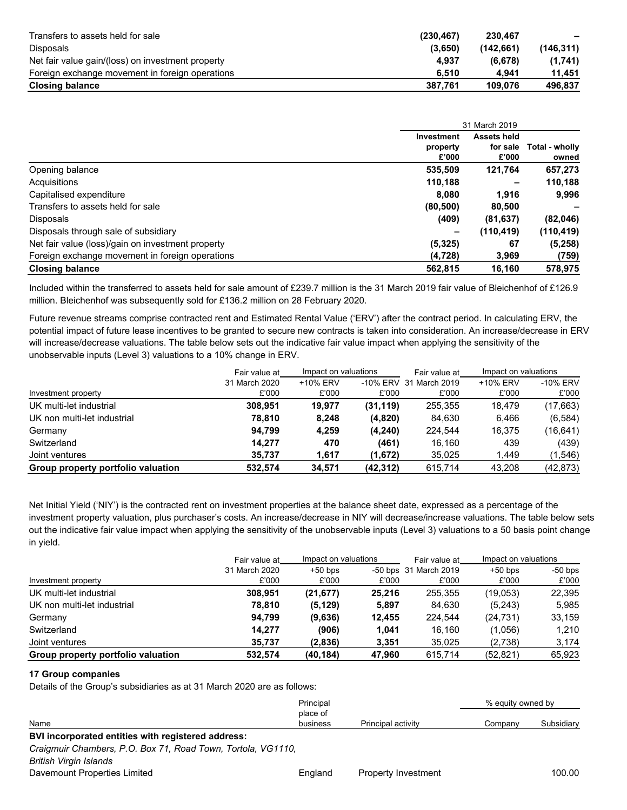| Transfers to assets held for sale                 | (230, 467) | 230.467   | $\overline{\phantom{a}}$ |
|---------------------------------------------------|------------|-----------|--------------------------|
| <b>Disposals</b>                                  | (3,650)    | (142.661) | (146, 311)               |
| Net fair value gain/(loss) on investment property | 4.937      | (6, 678)  | (1,741)                  |
| Foreign exchange movement in foreign operations   | 6.510      | 4.941     | 11.451                   |
| <b>Closing balance</b>                            | 387.761    | 109.076   | 496.837                  |

|                                                   | 31 March 2019 |             |                |
|---------------------------------------------------|---------------|-------------|----------------|
|                                                   | Investment    | Assets held |                |
|                                                   | property      | for sale    | Total - wholly |
|                                                   | £'000         | £'000       | owned          |
| Opening balance                                   | 535,509       | 121,764     | 657,273        |
| Acquisitions                                      | 110,188       |             | 110,188        |
| Capitalised expenditure                           | 8.080         | 1.916       | 9,996          |
| Transfers to assets held for sale                 | (80, 500)     | 80,500      |                |
| <b>Disposals</b>                                  | (409)         | (81, 637)   | (82,046)       |
| Disposals through sale of subsidiary              |               | (110, 419)  | (110, 419)     |
| Net fair value (loss)/gain on investment property | (5, 325)      | 67          | (5,258)        |
| Foreign exchange movement in foreign operations   | (4, 728)      | 3,969       | (759)          |
| <b>Closing balance</b>                            | 562.815       | 16.160      | 578.975        |

Included within the transferred to assets held for sale amount of £239.7 million is the 31 March 2019 fair value of Bleichenhof of £126.9 million. Bleichenhof was subsequently sold for £136.2 million on 28 February 2020.

Future revenue streams comprise contracted rent and Estimated Rental Value ('ERV') after the contract period. In calculating ERV, the potential impact of future lease incentives to be granted to secure new contracts is taken into consideration. An increase/decrease in ERV will increase/decrease valuations. The table below sets out the indicative fair value impact when applying the sensitivity of the unobservable inputs (Level 3) valuations to a 10% change in ERV.

|                                    | Fair value at | Impact on valuations |           | Fair value at          | Impact on valuations |             |
|------------------------------------|---------------|----------------------|-----------|------------------------|----------------------|-------------|
|                                    | 31 March 2020 | +10% ERV             |           | -10% ERV 31 March 2019 | +10% ERV             | $-10\%$ ERV |
| Investment property                | £'000         | £'000                | £'000     | £'000                  | £'000                | £'000       |
| UK multi-let industrial            | 308.951       | 19.977               | (31, 119) | 255,355                | 18.479               | (17, 663)   |
| UK non multi-let industrial        | 78.810        | 8,248                | (4,820)   | 84,630                 | 6.466                | (6, 584)    |
| Germany                            | 94,799        | 4,259                | (4, 240)  | 224,544                | 16.375               | (16,641)    |
| Switzerland                        | 14.277        | 470                  | (461)     | 16.160                 | 439                  | (439)       |
| Joint ventures                     | 35,737        | 1,617                | (1,672)   | 35,025                 | 1,449                | (1,546)     |
| Group property portfolio valuation | 532.574       | 34,571               | (42, 312) | 615.714                | 43.208               | (42, 873)   |

Net Initial Yield ('NIY') is the contracted rent on investment properties at the balance sheet date, expressed as a percentage of the investment property valuation, plus purchaser's costs. An increase/decrease in NIY will decrease/increase valuations. The table below sets out the indicative fair value impact when applying the sensitivity of the unobservable inputs (Level 3) valuations to a 50 basis point change in yield.

|                                    | Fair value at | Impact on valuations |        | Fair value at         | Impact on valuations |           |
|------------------------------------|---------------|----------------------|--------|-----------------------|----------------------|-----------|
|                                    | 31 March 2020 | $+50$ bps            |        | -50 bps 31 March 2019 | $+50$ bps            | $-50$ bps |
| Investment property                | £'000         | £'000                | £'000  | £'000                 | £'000                | £'000     |
| UK multi-let industrial            | 308,951       | (21, 677)            | 25.216 | 255,355               | (19,053)             | 22,395    |
| UK non multi-let industrial        | 78.810        | (5, 129)             | 5,897  | 84.630                | (5,243)              | 5,985     |
| Germany                            | 94,799        | (9,636)              | 12.455 | 224.544               | (24, 731)            | 33,159    |
| Switzerland                        | 14.277        | (906)                | 1,041  | 16.160                | (1,056)              | 1,210     |
| Joint ventures                     | 35,737        | (2,836)              | 3,351  | 35,025                | (2,738)              | 3,174     |
| Group property portfolio valuation | 532.574       | (40, 184)            | 47.960 | 615.714               | (52,821)             | 65.923    |

# **17 Group companies**

Details of the Group's subsidiaries as at 31 March 2020 are as follows:

|                                                              | Principal            |                            | % equity owned by |            |
|--------------------------------------------------------------|----------------------|----------------------------|-------------------|------------|
| Name                                                         | place of<br>business | <b>Principal activity</b>  | Company           | Subsidiary |
| BVI incorporated entities with registered address:           |                      |                            |                   |            |
| Craigmuir Chambers, P.O. Box 71, Road Town, Tortola, VG1110, |                      |                            |                   |            |
| <b>British Virgin Islands</b>                                |                      |                            |                   |            |
| Davemount Properties Limited                                 | England              | <b>Property Investment</b> |                   | 100.00     |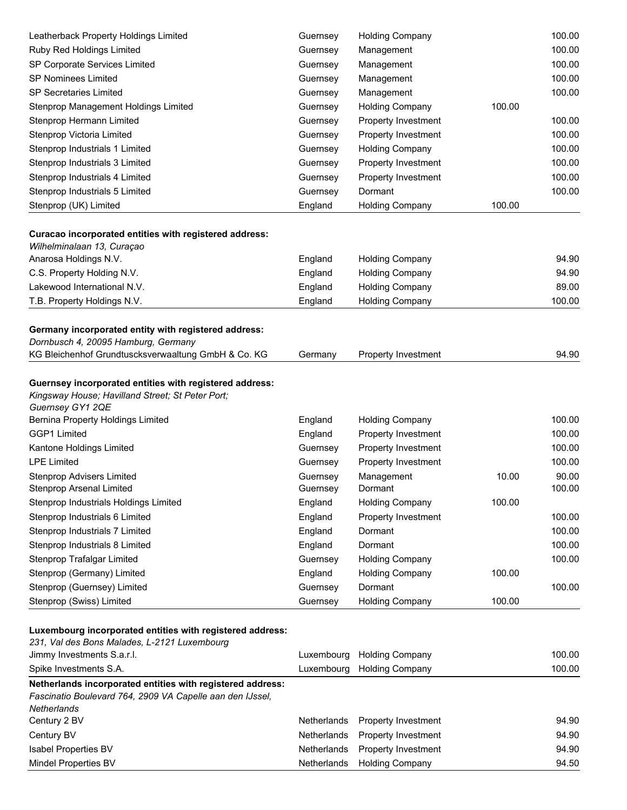| Leatherback Property Holdings Limited                                                                     | Guernsey    | <b>Holding Company</b>     |        | 100.00 |
|-----------------------------------------------------------------------------------------------------------|-------------|----------------------------|--------|--------|
| Ruby Red Holdings Limited                                                                                 | Guernsey    | Management                 |        | 100.00 |
| SP Corporate Services Limited                                                                             | Guernsey    | Management                 |        | 100.00 |
| <b>SP Nominees Limited</b>                                                                                | Guernsey    | Management                 |        | 100.00 |
| <b>SP Secretaries Limited</b>                                                                             | Guernsey    | Management                 |        | 100.00 |
| Stenprop Management Holdings Limited                                                                      | Guernsey    | <b>Holding Company</b>     | 100.00 |        |
| Stenprop Hermann Limited                                                                                  | Guernsey    | Property Investment        |        | 100.00 |
| Stenprop Victoria Limited                                                                                 | Guernsey    | <b>Property Investment</b> |        | 100.00 |
| Stenprop Industrials 1 Limited                                                                            | Guernsey    | <b>Holding Company</b>     |        | 100.00 |
| Stenprop Industrials 3 Limited                                                                            | Guernsey    | Property Investment        |        | 100.00 |
| Stenprop Industrials 4 Limited                                                                            | Guernsey    | Property Investment        |        | 100.00 |
| Stenprop Industrials 5 Limited                                                                            | Guernsey    | Dormant                    |        | 100.00 |
| Stenprop (UK) Limited                                                                                     | England     | <b>Holding Company</b>     | 100.00 |        |
| Curacao incorporated entities with registered address:                                                    |             |                            |        |        |
| Wilhelminalaan 13, Curaçao                                                                                |             |                            |        |        |
| Anarosa Holdings N.V.                                                                                     | England     | <b>Holding Company</b>     |        | 94.90  |
| C.S. Property Holding N.V.                                                                                | England     | <b>Holding Company</b>     |        | 94.90  |
| Lakewood International N.V.                                                                               | England     | <b>Holding Company</b>     |        | 89.00  |
| T.B. Property Holdings N.V.                                                                               | England     | <b>Holding Company</b>     |        | 100.00 |
| Germany incorporated entity with registered address:                                                      |             |                            |        |        |
| Dornbusch 4, 20095 Hamburg, Germany<br>KG Bleichenhof Grundtuscksverwaaltung GmbH & Co. KG                | Germany     | <b>Property Investment</b> |        | 94.90  |
|                                                                                                           |             |                            |        |        |
| Guernsey incorporated entities with registered address:                                                   |             |                            |        |        |
| Kingsway House; Havilland Street; St Peter Port;                                                          |             |                            |        |        |
| Guernsey GY1 2QE                                                                                          |             |                            |        |        |
| Bernina Property Holdings Limited                                                                         | England     | <b>Holding Company</b>     |        | 100.00 |
| <b>GGP1 Limited</b>                                                                                       | England     | Property Investment        |        | 100.00 |
| Kantone Holdings Limited                                                                                  | Guernsey    | <b>Property Investment</b> |        | 100.00 |
| <b>LPE Limited</b>                                                                                        | Guernsey    | Property Investment        |        | 100.00 |
| <b>Stenprop Advisers Limited</b>                                                                          | Guernsey    | Management                 | 10.00  | 90.00  |
| <b>Stenprop Arsenal Limited</b>                                                                           | Guernsey    | Dormant                    |        | 100.00 |
| Stenprop Industrials Holdings Limited                                                                     | England     | <b>Holding Company</b>     | 100.00 |        |
| Stenprop Industrials 6 Limited                                                                            | England     | Property Investment        |        | 100.00 |
| Stenprop Industrials 7 Limited                                                                            | England     | Dormant                    |        | 100.00 |
| Stenprop Industrials 8 Limited                                                                            | England     | Dormant                    |        | 100.00 |
| Stenprop Trafalgar Limited                                                                                | Guernsey    | <b>Holding Company</b>     |        | 100.00 |
| Stenprop (Germany) Limited                                                                                | England     | <b>Holding Company</b>     | 100.00 |        |
| Stenprop (Guernsey) Limited                                                                               | Guernsey    | Dormant                    |        | 100.00 |
| Stenprop (Swiss) Limited                                                                                  | Guernsey    | <b>Holding Company</b>     | 100.00 |        |
|                                                                                                           |             |                            |        |        |
| Luxembourg incorporated entities with registered address:<br>231, Val des Bons Malades, L-2121 Luxembourg |             |                            |        |        |
| Jimmy Investments S.a.r.l.                                                                                | Luxembourg  | <b>Holding Company</b>     |        | 100.00 |
| Spike Investments S.A.                                                                                    | Luxembourg  | <b>Holding Company</b>     |        | 100.00 |
| Netherlands incorporated entities with registered address:                                                |             |                            |        |        |
| Fascinatio Boulevard 764, 2909 VA Capelle aan den IJssel,                                                 |             |                            |        |        |
| Netherlands                                                                                               |             |                            |        |        |
| Century 2 BV                                                                                              | Netherlands | <b>Property Investment</b> |        | 94.90  |
| Century BV                                                                                                | Netherlands | Property Investment        |        | 94.90  |
| Isabel Properties BV                                                                                      | Netherlands | Property Investment        |        | 94.90  |
| Mindel Properties BV                                                                                      | Netherlands | <b>Holding Company</b>     |        | 94.50  |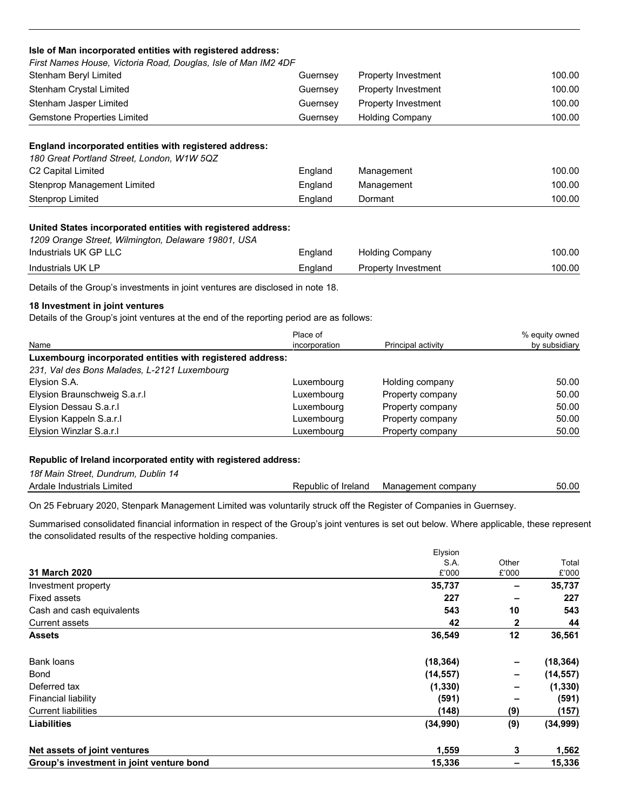| Isle of Man incorporated entities with registered address:                                                                                   |               |                            |                |
|----------------------------------------------------------------------------------------------------------------------------------------------|---------------|----------------------------|----------------|
| First Names House, Victoria Road, Douglas, Isle of Man IM2 4DF                                                                               |               |                            |                |
| Stenham Beryl Limited                                                                                                                        | Guernsey      | <b>Property Investment</b> | 100.00         |
| Stenham Crystal Limited                                                                                                                      | Guernsey      | <b>Property Investment</b> | 100.00         |
| Stenham Jasper Limited                                                                                                                       | Guernsey      | <b>Property Investment</b> | 100.00         |
| <b>Gemstone Properties Limited</b>                                                                                                           | Guernsey      | <b>Holding Company</b>     | 100.00         |
| England incorporated entities with registered address:                                                                                       |               |                            |                |
| 180 Great Portland Street, London, W1W 5QZ                                                                                                   |               |                            |                |
| C2 Capital Limited                                                                                                                           | England       | Management                 | 100.00         |
| Stenprop Management Limited                                                                                                                  | England       | Management                 | 100.00         |
| <b>Stenprop Limited</b>                                                                                                                      | England       | Dormant                    | 100.00         |
| United States incorporated entities with registered address:<br>1209 Orange Street, Wilmington, Delaware 19801, USA<br>Industrials UK GP LLC | England       | <b>Holding Company</b>     | 100.00         |
| Industrials UK LP                                                                                                                            | England       | Property Investment        | 100.00         |
| Details of the Group's investments in joint ventures are disclosed in note 18.                                                               |               |                            |                |
| 18 Investment in joint ventures<br>Details of the Group's joint ventures at the end of the reporting period are as follows:                  |               |                            |                |
|                                                                                                                                              | Place of      |                            | % equity owned |
| Name                                                                                                                                         | incorporation | Principal activity         | by subsidiary  |
| Luxembourg incorporated entities with registered address:                                                                                    |               |                            |                |
| 231, Val des Bons Malades, L-2121 Luxembourg                                                                                                 |               |                            |                |
| Elysion S.A.                                                                                                                                 | Luxembourg    | Holding company            | 50.00          |
| Elysion Braunschweig S.a.r.l                                                                                                                 | Luxembourg    | Property company           | 50.00          |
| Elysion Dessau S.a.r.l                                                                                                                       | Luxembourg    | Property company           | 50.00          |

# **Republic of Ireland incorporated entity with registered address:**

| 18f Main Street, Dundrum, Dublin 14 |                     |                    |       |
|-------------------------------------|---------------------|--------------------|-------|
| Ardale Industrials Limited          | Republic of Ireland | Management company | 50.00 |
|                                     |                     |                    |       |

Elysion Kappeln S.a.r.l Luxembourg Property company 50.00 Elysion Winzlar S.a.r.l **Elysion Winzlar S.a.r.l Elysion Winzlar S.a.r.l** 50.00

On 25 February 2020, Stenpark Management Limited was voluntarily struck off the Register of Companies in Guernsey.

Summarised consolidated financial information in respect of the Group's joint ventures is set out below. Where applicable, these represent the consolidated results of the respective holding companies.

|                                          | Elysion   |              |           |
|------------------------------------------|-----------|--------------|-----------|
|                                          | S.A.      | Other        | Total     |
| 31 March 2020                            | £'000     | £'000        | £'000     |
| Investment property                      | 35,737    |              | 35,737    |
| Fixed assets                             | 227       |              | 227       |
| Cash and cash equivalents                | 543       | 10           | 543       |
| <b>Current assets</b>                    | 42        | $\mathbf{2}$ | 44        |
| <b>Assets</b>                            | 36,549    | 12           | 36,561    |
| <b>Bank loans</b>                        | (18, 364) |              | (18, 364) |
| Bond                                     | (14, 557) | -            | (14, 557) |
| Deferred tax                             | (1, 330)  | -            | (1, 330)  |
| <b>Financial liability</b>               | (591)     |              | (591)     |
| <b>Current liabilities</b>               | (148)     | (9)          | (157)     |
| <b>Liabilities</b>                       | (34,990)  | (9)          | (34, 999) |
| Net assets of joint ventures             | 1,559     | 3            | 1,562     |
| Group's investment in joint venture bond | 15,336    | -            | 15,336    |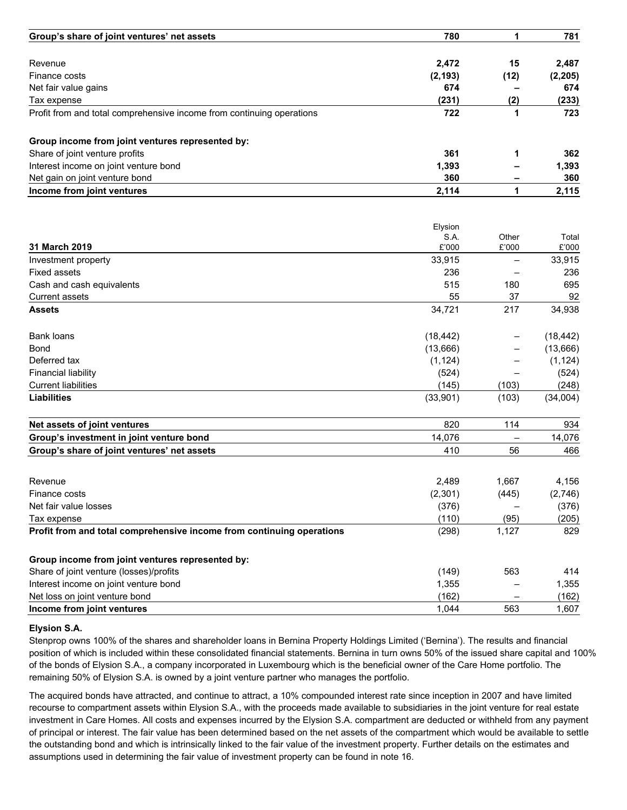| Group's share of joint ventures' net assets                           | 780       | 1                        | 781       |
|-----------------------------------------------------------------------|-----------|--------------------------|-----------|
|                                                                       |           |                          |           |
| Revenue                                                               | 2,472     | 15                       | 2,487     |
| Finance costs                                                         | (2, 193)  | (12)                     | (2, 205)  |
| Net fair value gains                                                  | 674       |                          | 674       |
| Tax expense                                                           | (231)     | (2)                      | (233)     |
| Profit from and total comprehensive income from continuing operations | 722       | 1                        | 723       |
| Group income from joint ventures represented by:                      |           |                          |           |
| Share of joint venture profits                                        | 361       | 1                        | 362       |
| Interest income on joint venture bond                                 | 1,393     |                          | 1,393     |
| Net gain on joint venture bond                                        | 360       |                          | 360       |
| Income from joint ventures                                            | 2,114     | 1                        | 2,115     |
|                                                                       |           |                          |           |
|                                                                       | Elysion   |                          |           |
|                                                                       | S.A.      | Other                    | Total     |
| 31 March 2019                                                         | £'000     | £'000                    | £'000     |
| Investment property                                                   | 33,915    | $\overline{\phantom{0}}$ | 33,915    |
| <b>Fixed assets</b>                                                   | 236       |                          | 236       |
| Cash and cash equivalents                                             | 515       | 180                      | 695       |
| <b>Current assets</b>                                                 | 55        | 37                       | 92        |
| <b>Assets</b>                                                         | 34,721    | 217                      | 34,938    |
| <b>Bank loans</b>                                                     | (18, 442) |                          | (18, 442) |
| Bond                                                                  | (13,666)  |                          | (13,666)  |
| Deferred tax                                                          | (1, 124)  |                          | (1, 124)  |
| <b>Financial liability</b>                                            | (524)     |                          | (524)     |
| <b>Current liabilities</b>                                            | (145)     | (103)                    | (248)     |
| <b>Liabilities</b>                                                    | (33,901)  | (103)                    | (34,004)  |
| Net assets of joint ventures                                          | 820       | 114                      | 934       |
| Group's investment in joint venture bond                              | 14,076    |                          | 14,076    |
| Group's share of joint ventures' net assets                           | 410       | 56                       | 466       |
|                                                                       |           |                          |           |
| Revenue                                                               | 2,489     | 1,667                    | 4,156     |
| Finance costs                                                         | (2, 301)  | (445)                    | (2,746)   |
| Net fair value losses                                                 | (376)     |                          | (376)     |
| Tax expense                                                           | (110)     | (95)                     | (205)     |
| Profit from and total comprehensive income from continuing operations | (298)     | 1,127                    | 829       |
| Group income from joint ventures represented by:                      |           |                          |           |
|                                                                       |           | 563                      | 414       |
| Share of joint venture (losses)/profits                               | (149)     |                          |           |
| Interest income on joint venture bond                                 | 1,355     |                          | 1,355     |
| Net loss on joint venture bond                                        | (162)     |                          | (162)     |
| Income from joint ventures                                            | 1,044     | 563                      | 1,607     |

# **Elysion S.A.**

Stenprop owns 100% of the shares and shareholder loans in Bernina Property Holdings Limited ('Bernina'). The results and financial position of which is included within these consolidated financial statements. Bernina in turn owns 50% of the issued share capital and 100% of the bonds of Elysion S.A., a company incorporated in Luxembourg which is the beneficial owner of the Care Home portfolio. The remaining 50% of Elysion S.A. is owned by a joint venture partner who manages the portfolio.

The acquired bonds have attracted, and continue to attract, a 10% compounded interest rate since inception in 2007 and have limited recourse to compartment assets within Elysion S.A., with the proceeds made available to subsidiaries in the joint venture for real estate investment in Care Homes. All costs and expenses incurred by the Elysion S.A. compartment are deducted or withheld from any payment of principal or interest. The fair value has been determined based on the net assets of the compartment which would be available to settle the outstanding bond and which is intrinsically linked to the fair value of the investment property. Further details on the estimates and assumptions used in determining the fair value of investment property can be found in note 16.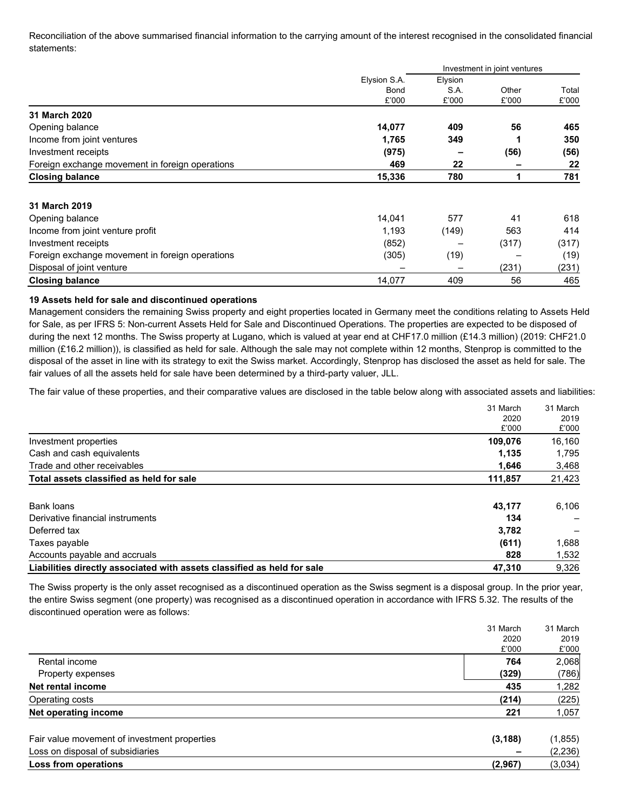Reconciliation of the above summarised financial information to the carrying amount of the interest recognised in the consolidated financial statements:

|                                                 |              | Investment in joint ventures |       |       |
|-------------------------------------------------|--------------|------------------------------|-------|-------|
|                                                 | Elysion S.A. | Elysion                      |       |       |
|                                                 | <b>Bond</b>  | S.A.                         | Other | Total |
|                                                 | £'000        | £'000                        | £'000 | £'000 |
| 31 March 2020                                   |              |                              |       |       |
| Opening balance                                 | 14,077       | 409                          | 56    | 465   |
| Income from joint ventures                      | 1,765        | 349                          | 1     | 350   |
| Investment receipts                             | (975)        |                              | (56)  | (56)  |
| Foreign exchange movement in foreign operations | 469          | 22                           |       | 22    |
| <b>Closing balance</b>                          | 15,336       | 780                          |       | 781   |
| 31 March 2019                                   |              |                              |       |       |
| Opening balance                                 | 14,041       | 577                          | 41    | 618   |
| Income from joint venture profit                | 1,193        | (149)                        | 563   | 414   |
| Investment receipts                             | (852)        |                              | (317) | (317) |
| Foreign exchange movement in foreign operations | (305)        | (19)                         |       | (19)  |
| Disposal of joint venture                       |              |                              | (231) | (231) |
| <b>Closing balance</b>                          | 14,077       | 409                          | 56    | 465   |

# **19 Assets held for sale and discontinued operations**

Management considers the remaining Swiss property and eight properties located in Germany meet the conditions relating to Assets Held for Sale, as per IFRS 5: Non-current Assets Held for Sale and Discontinued Operations. The properties are expected to be disposed of during the next 12 months. The Swiss property at Lugano, which is valued at year end at CHF17.0 million (£14.3 million) (2019: CHF21.0 million (£16.2 million)), is classified as held for sale. Although the sale may not complete within 12 months, Stenprop is committed to the disposal of the asset in line with its strategy to exit the Swiss market. Accordingly, Stenprop has disclosed the asset as held for sale. The fair values of all the assets held for sale have been determined by a third-party valuer, JLL.

The fair value of these properties, and their comparative values are disclosed in the table below along with associated assets and liabilities:

|                                                                         | 31 March | 31 March |
|-------------------------------------------------------------------------|----------|----------|
|                                                                         | 2020     | 2019     |
|                                                                         | £'000    | £'000    |
| Investment properties                                                   | 109,076  | 16,160   |
| Cash and cash equivalents                                               | 1,135    | 1.795    |
| Trade and other receivables                                             | 1,646    | 3,468    |
| Total assets classified as held for sale                                | 111,857  | 21,423   |
| Bank loans                                                              | 43,177   | 6,106    |
| Derivative financial instruments                                        | 134      |          |
| Deferred tax                                                            | 3,782    |          |
| Taxes payable                                                           | (611)    | 1,688    |
| Accounts payable and accruals                                           | 828      | 1,532    |
| Liabilities directly associated with assets classified as held for sale | 47,310   | 9,326    |

The Swiss property is the only asset recognised as a discontinued operation as the Swiss segment is a disposal group. In the prior year, the entire Swiss segment (one property) was recognised as a discontinued operation in accordance with IFRS 5.32. The results of the discontinued operation were as follows:

|                                              | 31 March | 31 March |
|----------------------------------------------|----------|----------|
|                                              | 2020     | 2019     |
|                                              | £'000    | £'000    |
| Rental income                                | 764      | 2,068    |
| Property expenses                            | (329)    | (786)    |
| Net rental income                            | 435      | 1,282    |
| Operating costs                              | (214)    | (225)    |
| Net operating income                         | 221      | 1,057    |
| Fair value movement of investment properties | (3, 188) | (1, 855) |
| Loss on disposal of subsidiaries             |          | (2, 236) |
| Loss from operations                         | (2,967)  | (3,034)  |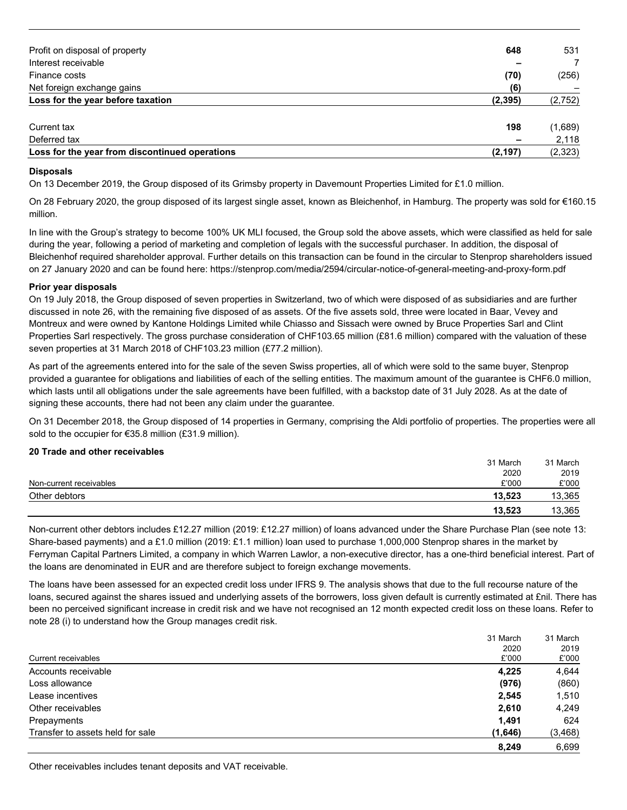| Profit on disposal of property                 | 648      | 531      |
|------------------------------------------------|----------|----------|
| Interest receivable                            |          | 7        |
| Finance costs                                  | (70)     | (256)    |
| Net foreign exchange gains                     | (6)      |          |
| Loss for the year before taxation              | (2, 395) | (2, 752) |
| Current tax                                    | 198      | (1,689)  |
| Deferred tax                                   |          | 2,118    |
| Loss for the year from discontinued operations | (2, 197) | (2, 323) |

# **Disposals**

On 13 December 2019, the Group disposed of its Grimsby property in Davemount Properties Limited for £1.0 million.

On 28 February 2020, the group disposed of its largest single asset, known as Bleichenhof, in Hamburg. The property was sold for €160.15 million.

In line with the Group's strategy to become 100% UK MLI focused, the Group sold the above assets, which were classified as held for sale during the year, following a period of marketing and completion of legals with the successful purchaser. In addition, the disposal of Bleichenhof required shareholder approval. Further details on this transaction can be found in the circular to Stenprop shareholders issued on 27 January 2020 and can be found here:<https://stenprop.com/media/2594/circular-notice-of-general-meeting-and-proxy-form.pdf>

# **Prior year disposals**

On 19 July 2018, the Group disposed of seven properties in Switzerland, two of which were disposed of as subsidiaries and are further discussed in note 26, with the remaining five disposed of as assets. Of the five assets sold, three were located in Baar, Vevey and Montreux and were owned by Kantone Holdings Limited while Chiasso and Sissach were owned by Bruce Properties Sarl and Clint Properties Sarl respectively. The gross purchase consideration of CHF103.65 million (£81.6 million) compared with the valuation of these seven properties at 31 March 2018 of CHF103.23 million (£77.2 million).

As part of the agreements entered into for the sale of the seven Swiss properties, all of which were sold to the same buyer, Stenprop provided a guarantee for obligations and liabilities of each of the selling entities. The maximum amount of the guarantee is CHF6.0 million, which lasts until all obligations under the sale agreements have been fulfilled, with a backstop date of 31 July 2028. As at the date of signing these accounts, there had not been any claim under the guarantee.

On 31 December 2018, the Group disposed of 14 properties in Germany, comprising the Aldi portfolio of properties. The properties were all sold to the occupier for €35.8 million (£31.9 million).

# **20 Trade and other receivables**

|                         | 31 March | 31 March |
|-------------------------|----------|----------|
|                         | 2020     | 2019     |
| Non-current receivables | £'000    | £'000    |
| Other debtors           | 13.523   | 13,365   |
|                         | 13,523   | 13,365   |

Non-current other debtors includes £12.27 million (2019: £12.27 million) of loans advanced under the Share Purchase Plan (see note 13: Share-based payments) and a £1.0 million (2019: £1.1 million) loan used to purchase 1,000,000 Stenprop shares in the market by Ferryman Capital Partners Limited, a company in which Warren Lawlor, a non-executive director, has a one-third beneficial interest. Part of the loans are denominated in EUR and are therefore subject to foreign exchange movements.

The loans have been assessed for an expected credit loss under IFRS 9. The analysis shows that due to the full recourse nature of the loans, secured against the shares issued and underlying assets of the borrowers, loss given default is currently estimated at £nil. There has been no perceived significant increase in credit risk and we have not recognised an 12 month expected credit loss on these loans. Refer to note 28 (i) to understand how the Group manages credit risk.

|                                  | 31 March | 31 March |
|----------------------------------|----------|----------|
|                                  | 2020     | 2019     |
| Current receivables              | £'000    | £'000    |
| Accounts receivable              | 4,225    | 4,644    |
| Loss allowance                   | (976)    | (860)    |
| Lease incentives                 | 2,545    | 1,510    |
| Other receivables                | 2,610    | 4,249    |
| Prepayments                      | 1,491    | 624      |
| Transfer to assets held for sale | (1,646)  | (3, 468) |
|                                  | 8,249    | 6,699    |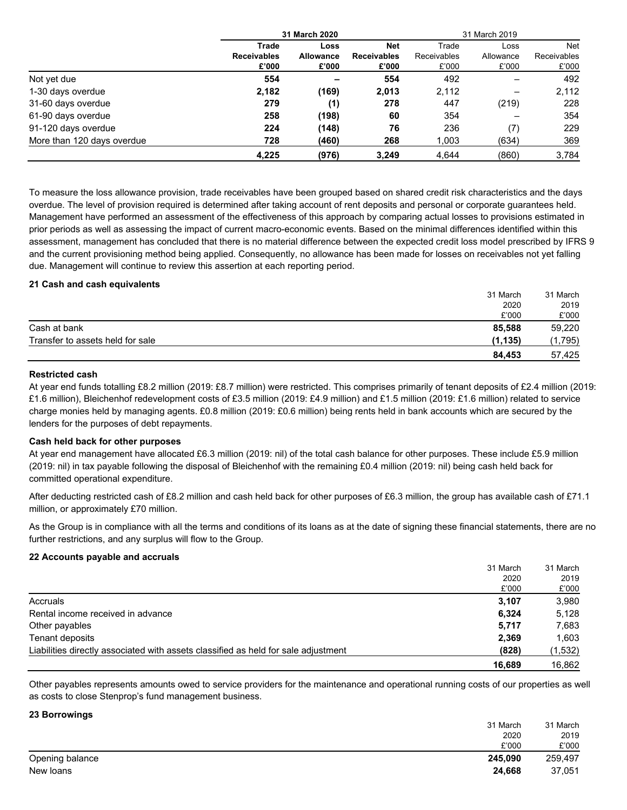|                            | <b>31 March 2020</b> |                  | 31 March 2019      |                    |           |                    |
|----------------------------|----------------------|------------------|--------------------|--------------------|-----------|--------------------|
|                            | Trade                | Loss             | <b>Net</b>         | Trade              | Loss      | Net                |
|                            | <b>Receivables</b>   | <b>Allowance</b> | <b>Receivables</b> | <b>Receivables</b> | Allowance | <b>Receivables</b> |
|                            | £'000                | £'000            | £'000              | £'000              | £'000     | £'000              |
| Not yet due                | 554                  |                  | 554                | 492                |           | 492                |
| 1-30 days overdue          | 2,182                | (169)            | 2,013              | 2,112              |           | 2,112              |
| 31-60 days overdue         | 279                  | (1)              | 278                | 447                | (219)     | 228                |
| 61-90 days overdue         | 258                  | (198)            | 60                 | 354                |           | 354                |
| 91-120 days overdue        | 224                  | (148)            | 76                 | 236                | (7)       | 229                |
| More than 120 days overdue | 728                  | (460)            | 268                | 1,003              | (634)     | 369                |
|                            | 4,225                | (976)            | 3,249              | 4,644              | (860)     | 3,784              |

To measure the loss allowance provision, trade receivables have been grouped based on shared credit risk characteristics and the days overdue. The level of provision required is determined after taking account of rent deposits and personal or corporate guarantees held. Management have performed an assessment of the effectiveness of this approach by comparing actual losses to provisions estimated in prior periods as well as assessing the impact of current macro-economic events. Based on the minimal differences identified within this assessment, management has concluded that there is no material difference between the expected credit loss model prescribed by IFRS 9 and the current provisioning method being applied. Consequently, no allowance has been made for losses on receivables not yet falling due. Management will continue to review this assertion at each reporting period.

# **21 Cash and cash equivalents**

| 31 March                                     | 31 March |
|----------------------------------------------|----------|
| 2020                                         | 2019     |
| £'000                                        | £'000    |
| Cash at bank<br>85,588                       | 59,220   |
| (1, 135)<br>Transfer to assets held for sale | (1,795)  |
| 84.453                                       | 57,425   |

# **Restricted cash**

At year end funds totalling £8.2 million (2019: £8.7 million) were restricted. This comprises primarily of tenant deposits of £2.4 million (2019: £1.6 million), Bleichenhof redevelopment costs of £3.5 million (2019: £4.9 million) and £1.5 million (2019: £1.6 million) related to service charge monies held by managing agents. £0.8 million (2019: £0.6 million) being rents held in bank accounts which are secured by the lenders for the purposes of debt repayments.

# **Cash held back for other purposes**

At year end management have allocated £6.3 million (2019: nil) of the total cash balance for other purposes. These include £5.9 million (2019: nil) in tax payable following the disposal of Bleichenhof with the remaining £0.4 million (2019: nil) being cash held back for committed operational expenditure.

After deducting restricted cash of £8.2 million and cash held back for other purposes of £6.3 million, the group has available cash of £71.1 million, or approximately £70 million.

As the Group is in compliance with all the terms and conditions of its loans as at the date of signing these financial statements, there are no further restrictions, and any surplus will flow to the Group.

# **22 Accounts payable and accruals**

|                                                                                    | 31 March | 31 March |
|------------------------------------------------------------------------------------|----------|----------|
|                                                                                    | 2020     | 2019     |
|                                                                                    | £'000    | £'000    |
| Accruals                                                                           | 3,107    | 3,980    |
| Rental income received in advance                                                  | 6,324    | 5.128    |
| Other payables                                                                     | 5,717    | 7,683    |
| Tenant deposits                                                                    | 2,369    | 1,603    |
| Liabilities directly associated with assets classified as held for sale adjustment | (828)    | (1,532)  |
|                                                                                    | 16.689   | 16.862   |

Other payables represents amounts owed to service providers for the maintenance and operational running costs of our properties as well as costs to close Stenprop's fund management business.

# **23 Borrowings**

| 31 March                   | 31 March |
|----------------------------|----------|
| 2020                       | 2019     |
| £'000                      | £'000    |
| 245,090<br>Opening balance | 259,497  |
| New loans<br>24,668        | 37,051   |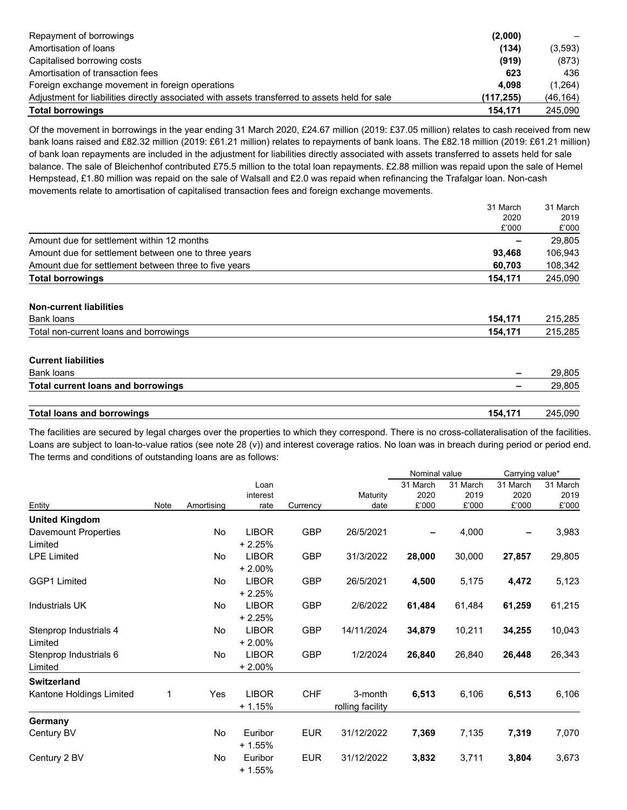| Repayment of borrowings                                                                        | (2,000)   |           |
|------------------------------------------------------------------------------------------------|-----------|-----------|
| Amortisation of loans                                                                          | (134)     | (3, 593)  |
| Capitalised borrowing costs                                                                    | (919)     | (873)     |
| Amortisation of transaction fees                                                               | 623       | 436       |
| Foreign exchange movement in foreign operations                                                | 4.098     | (1,264)   |
| Adjustment for liabilities directly associated with assets transferred to assets held for sale | (117.255) | (46, 164) |
| <b>Total borrowings</b>                                                                        | 154.171   | 245.090   |

Of the movement in borrowings in the year ending 31 March 2020, £24.67 million (2019: £37.05 million) relates to cash received from new bank loans raised and £82.32 million (2019: £61.21 million) relates to repayments of bank loans. The £82.18 million (2019: £61.21 million) of bank loan repayments are included in the adjustment for liabilities directly associated with assets transferred to assets held for sale balance. The sale of Bleichenhof contributed £75.5 million to the total loan repayments. £2.88 million was repaid upon the sale of Hemel Hempstead, £1.80 million was repaid on the sale of Walsall and £2.0 was repaid when refinancing the Trafalgar loan. Non-cash movements relate to amortisation of capitalised transaction fees and foreign exchange movements.

|                                                       | 31 March | 31 March |
|-------------------------------------------------------|----------|----------|
|                                                       | 2020     | 2019     |
|                                                       | £'000    | £'000    |
| Amount due for settlement within 12 months            |          | 29,805   |
| Amount due for settlement between one to three years  | 93,468   | 106,943  |
| Amount due for settlement between three to five years | 60,703   | 108,342  |
| <b>Total borrowings</b>                               | 154,171  | 245,090  |
|                                                       |          |          |
| <b>Non-current liabilities</b>                        |          |          |
| <b>Bank loans</b>                                     | 154,171  | 215,285  |
| Total non-current loans and borrowings                | 154,171  | 215,285  |
|                                                       |          |          |
| <b>Current liabilities</b>                            |          |          |
| Bank loans                                            |          | 29,805   |
| <b>Total current loans and borrowings</b>             | -        | 29,805   |
| <b>Total loans and borrowings</b>                     | 154,171  | 245,090  |

The facilities are secured by legal charges over the properties to which they correspond. There is no cross-collateralisation of the facilities. Loans are subject to loan-to-value ratios (see note 28 (v)) and interest coverage ratios. No loan was in breach during period or period end. The terms and conditions of outstanding loans are as follows:

|                          |      |            |              |            |                  | Nominal value |          | Carrying value* |          |
|--------------------------|------|------------|--------------|------------|------------------|---------------|----------|-----------------|----------|
|                          |      |            | Loan         |            |                  | 31 March      | 31 March | 31 March        | 31 March |
|                          |      |            | interest     |            | Maturity         | 2020          | 2019     | 2020            | 2019     |
| Entity                   | Note | Amortising | rate         | Currency   | date             | £'000         | £'000    | £'000           | £'000    |
| <b>United Kingdom</b>    |      |            |              |            |                  |               |          |                 |          |
| Davemount Properties     |      | No         | <b>LIBOR</b> | <b>GBP</b> | 26/5/2021        |               | 4,000    |                 | 3,983    |
| Limited                  |      |            | $+2.25%$     |            |                  |               |          |                 |          |
| <b>LPE Limited</b>       |      | No         | <b>LIBOR</b> | <b>GBP</b> | 31/3/2022        | 28,000        | 30,000   | 27,857          | 29,805   |
|                          |      |            | $+2.00%$     |            |                  |               |          |                 |          |
| <b>GGP1 Limited</b>      |      | No         | <b>LIBOR</b> | <b>GBP</b> | 26/5/2021        | 4,500         | 5,175    | 4,472           | 5,123    |
|                          |      |            | $+2.25%$     |            |                  |               |          |                 |          |
| <b>Industrials UK</b>    |      | No         | <b>LIBOR</b> | <b>GBP</b> | 2/6/2022         | 61,484        | 61,484   | 61,259          | 61,215   |
|                          |      |            | $+2.25%$     |            |                  |               |          |                 |          |
| Stenprop Industrials 4   |      | No         | <b>LIBOR</b> | <b>GBP</b> | 14/11/2024       | 34,879        | 10,211   | 34,255          | 10,043   |
| Limited                  |      |            | $+2.00%$     |            |                  |               |          |                 |          |
| Stenprop Industrials 6   |      | No         | <b>LIBOR</b> | <b>GBP</b> | 1/2/2024         | 26,840        | 26,840   | 26,448          | 26,343   |
| Limited                  |      |            | $+2.00%$     |            |                  |               |          |                 |          |
| <b>Switzerland</b>       |      |            |              |            |                  |               |          |                 |          |
| Kantone Holdings Limited | 1    | Yes        | <b>LIBOR</b> | <b>CHF</b> | 3-month          | 6,513         | 6,106    | 6,513           | 6,106    |
|                          |      |            | $+1.15%$     |            | rolling facility |               |          |                 |          |
| Germany                  |      |            |              |            |                  |               |          |                 |          |
| Century BV               |      | No         | Euribor      | <b>EUR</b> | 31/12/2022       | 7,369         | 7,135    | 7,319           | 7,070    |
|                          |      |            | $+1.55%$     |            |                  |               |          |                 |          |
| Century 2 BV             |      | No         | Euribor      | <b>EUR</b> | 31/12/2022       | 3,832         | 3,711    | 3,804           | 3,673    |
|                          |      |            | $+1.55%$     |            |                  |               |          |                 |          |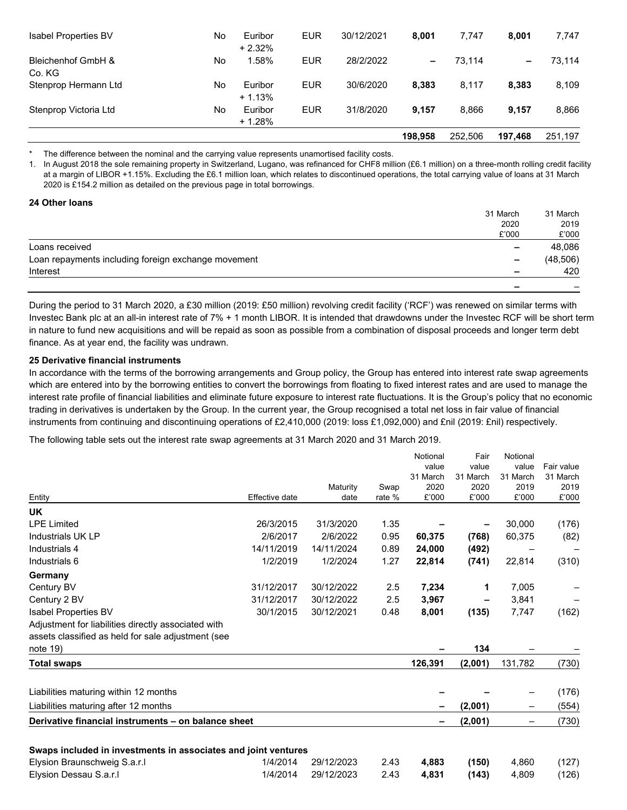| Isabel Properties BV         | No | Euribor<br>$+2.32%$ | <b>EUR</b> | 30/12/2021 | 8,001                    | 7.747   | 8.001           | 7,747   |
|------------------------------|----|---------------------|------------|------------|--------------------------|---------|-----------------|---------|
| Bleichenhof GmbH &<br>Co. KG | No | 1.58%               | <b>EUR</b> | 28/2/2022  | $\overline{\phantom{m}}$ | 73.114  | $\qquad \qquad$ | 73,114  |
| Stenprop Hermann Ltd         | No | Euribor<br>$+1.13%$ | <b>EUR</b> | 30/6/2020  | 8,383                    | 8.117   | 8.383           | 8,109   |
| Stenprop Victoria Ltd        | No | Euribor<br>$+1.28%$ | <b>EUR</b> | 31/8/2020  | 9.157                    | 8.866   | 9.157           | 8,866   |
|                              |    |                     |            |            | 198.958                  | 252,506 | 197.468         | 251,197 |

The difference between the nominal and the carrying value represents unamortised facility costs.

1. In August 2018 the sole remaining property in Switzerland, Lugano, was refinanced for CHF8 million (£6.1 million) on a three-month rolling credit facility at a margin of LIBOR +1.15%. Excluding the £6.1 million loan, which relates to discontinued operations, the total carrying value of loans at 31 March 2020 is £154.2 million as detailed on the previous page in total borrowings.

## **24 Other loans**

|                                                     | 31 March                 | 31 March  |
|-----------------------------------------------------|--------------------------|-----------|
|                                                     | 2020                     | 2019      |
|                                                     | £'000                    | £'000     |
| Loans received                                      | $\overline{\phantom{0}}$ | 48,086    |
| Loan repayments including foreign exchange movement | $\overline{\phantom{a}}$ | (48, 506) |
| Interest                                            | $\qquad \qquad$          | 420       |
|                                                     | -                        |           |

During the period to 31 March 2020, a £30 million (2019: £50 million) revolving credit facility ('RCF') was renewed on similar terms with Investec Bank plc at an all-in interest rate of 7% + 1 month LIBOR. It is intended that drawdowns under the Investec RCF will be short term in nature to fund new acquisitions and will be repaid as soon as possible from a combination of disposal proceeds and longer term debt finance. As at year end, the facility was undrawn.

# **25 Derivative financial instruments**

In accordance with the terms of the borrowing arrangements and Group policy, the Group has entered into interest rate swap agreements which are entered into by the borrowing entities to convert the borrowings from floating to fixed interest rates and are used to manage the interest rate profile of financial liabilities and eliminate future exposure to interest rate fluctuations. It is the Group's policy that no economic trading in derivatives is undertaken by the Group. In the current year, the Group recognised a total net loss in fair value of financial instruments from continuing and discontinuing operations of £2,410,000 (2019: loss £1,092,000) and £nil (2019: £nil) respectively.

The following table sets out the interest rate swap agreements at 31 March 2020 and 31 March 2019.

|                                                                |                |            |        | Notional | Fair     | Notional |            |
|----------------------------------------------------------------|----------------|------------|--------|----------|----------|----------|------------|
|                                                                |                |            |        | value    | value    | value    | Fair value |
|                                                                |                |            |        | 31 March | 31 March | 31 March | 31 March   |
|                                                                |                | Maturity   | Swap   | 2020     | 2020     | 2019     | 2019       |
| Entity                                                         | Effective date | date       | rate % | £'000    | £'000    | £'000    | £'000      |
| <b>UK</b>                                                      |                |            |        |          |          |          |            |
| <b>LPE Limited</b>                                             | 26/3/2015      | 31/3/2020  | 1.35   |          |          | 30,000   | (176)      |
| Industrials UK LP                                              | 2/6/2017       | 2/6/2022   | 0.95   | 60,375   | (768)    | 60,375   | (82)       |
| Industrials 4                                                  | 14/11/2019     | 14/11/2024 | 0.89   | 24,000   | (492)    |          |            |
| Industrials 6                                                  | 1/2/2019       | 1/2/2024   | 1.27   | 22,814   | (741)    | 22,814   | (310)      |
| Germany                                                        |                |            |        |          |          |          |            |
| Century BV                                                     | 31/12/2017     | 30/12/2022 | 2.5    | 7,234    | 1        | 7,005    |            |
| Century 2 BV                                                   | 31/12/2017     | 30/12/2022 | 2.5    | 3,967    |          | 3,841    |            |
| <b>Isabel Properties BV</b>                                    | 30/1/2015      | 30/12/2021 | 0.48   | 8,001    | (135)    | 7,747    | (162)      |
| Adjustment for liabilities directly associated with            |                |            |        |          |          |          |            |
| assets classified as held for sale adjustment (see             |                |            |        |          |          |          |            |
| note $19$ )                                                    |                |            |        |          | 134      |          |            |
| <b>Total swaps</b>                                             |                |            |        | 126,391  | (2,001)  | 131,782  | (730)      |
| Liabilities maturing within 12 months                          |                |            |        |          |          |          | (176)      |
| Liabilities maturing after 12 months                           |                |            |        |          | (2,001)  | —        | (554)      |
| Derivative financial instruments – on balance sheet            |                |            |        |          | (2,001)  | -        | (730)      |
|                                                                |                |            |        |          |          |          |            |
| Swaps included in investments in associates and joint ventures |                |            |        |          |          |          |            |
| Elysion Braunschweig S.a.r.l                                   | 1/4/2014       | 29/12/2023 | 2.43   | 4,883    | (150)    | 4,860    | (127)      |
| Elysion Dessau S.a.r.l                                         | 1/4/2014       | 29/12/2023 | 2.43   | 4,831    | (143)    | 4,809    | (126)      |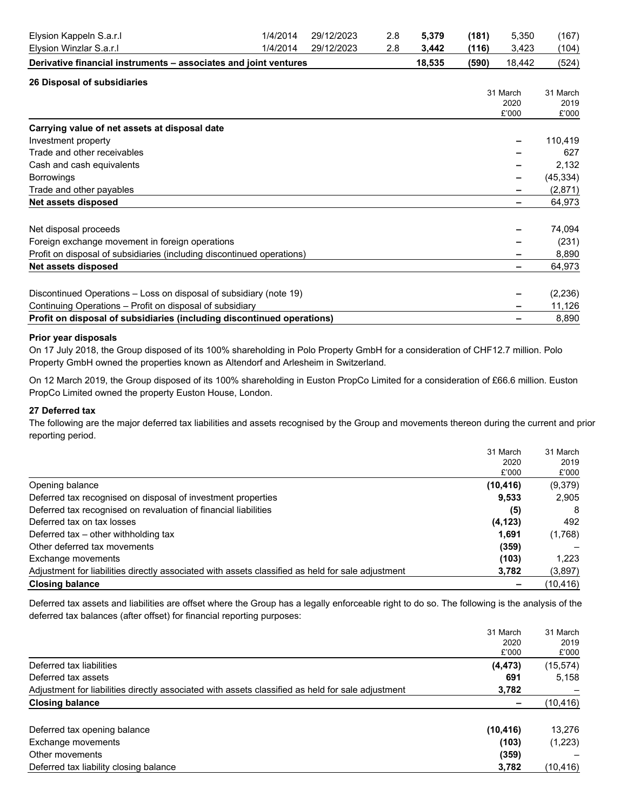| Elysion Kappeln S.a.r.I                                                | 1/4/2014 | 29/12/2023 | 2.8 | 5,379  | (181) | 5,350    | (167)     |
|------------------------------------------------------------------------|----------|------------|-----|--------|-------|----------|-----------|
| Elysion Winzlar S.a.r.I                                                | 1/4/2014 | 29/12/2023 | 2.8 | 3,442  | (116) | 3,423    | (104)     |
| Derivative financial instruments - associates and joint ventures       |          |            |     | 18,535 | (590) | 18,442   | (524)     |
| 26 Disposal of subsidiaries                                            |          |            |     |        |       |          |           |
|                                                                        |          |            |     |        |       | 31 March | 31 March  |
|                                                                        |          |            |     |        |       | 2020     | 2019      |
|                                                                        |          |            |     |        |       | £'000    | £'000     |
| Carrying value of net assets at disposal date                          |          |            |     |        |       |          |           |
| Investment property                                                    |          |            |     |        |       |          | 110,419   |
| Trade and other receivables                                            |          |            |     |        |       |          | 627       |
| Cash and cash equivalents                                              |          |            |     |        |       |          | 2,132     |
| <b>Borrowings</b>                                                      |          |            |     |        |       |          | (45, 334) |
| Trade and other payables                                               |          |            |     |        |       |          | (2,871)   |
| Net assets disposed                                                    |          |            |     |        |       |          | 64,973    |
| Net disposal proceeds                                                  |          |            |     |        |       |          | 74,094    |
| Foreign exchange movement in foreign operations                        |          |            |     |        |       |          | (231)     |
| Profit on disposal of subsidiaries (including discontinued operations) |          |            |     |        |       |          | 8,890     |
| Net assets disposed                                                    |          |            |     |        |       |          | 64,973    |
|                                                                        |          |            |     |        |       |          |           |
| Discontinued Operations - Loss on disposal of subsidiary (note 19)     |          |            |     |        |       |          | (2, 236)  |
| Continuing Operations - Profit on disposal of subsidiary               |          |            |     |        |       |          | 11,126    |
| Profit on disposal of subsidiaries (including discontinued operations) |          |            |     |        |       |          | 8,890     |

# **Prior year disposals**

On 17 July 2018, the Group disposed of its 100% shareholding in Polo Property GmbH for a consideration of CHF12.7 million. Polo Property GmbH owned the properties known as Altendorf and Arlesheim in Switzerland.

On 12 March 2019, the Group disposed of its 100% shareholding in Euston PropCo Limited for a consideration of £66.6 million. Euston PropCo Limited owned the property Euston House, London.

# **27 Deferred tax**

The following are the major deferred tax liabilities and assets recognised by the Group and movements thereon during the current and prior reporting period.

|                                                                                                   | 31 March  | 31 March |
|---------------------------------------------------------------------------------------------------|-----------|----------|
|                                                                                                   | 2020      | 2019     |
|                                                                                                   | £'000     | £'000    |
| Opening balance                                                                                   | (10, 416) | (9,379)  |
| Deferred tax recognised on disposal of investment properties                                      | 9,533     | 2,905    |
| Deferred tax recognised on revaluation of financial liabilities                                   | (5)       | -8       |
| Deferred tax on tax losses                                                                        | (4, 123)  | 492      |
| Deferred tax - other withholding tax                                                              | 1.691     | (1,768)  |
| Other deferred tax movements                                                                      | (359)     |          |
| Exchange movements                                                                                | (103)     | 1,223    |
| Adjustment for liabilities directly associated with assets classified as held for sale adjustment | 3,782     | (3,897)  |
| <b>Closing balance</b>                                                                            |           | (10,416) |

Deferred tax assets and liabilities are offset where the Group has a legally enforceable right to do so. The following is the analysis of the deferred tax balances (after offset) for financial reporting purposes:

|                                                                                                   | 31 March  | 31 March  |
|---------------------------------------------------------------------------------------------------|-----------|-----------|
|                                                                                                   | 2020      | 2019      |
|                                                                                                   | £'000     | £'000     |
| Deferred tax liabilities                                                                          | (4, 473)  | (15, 574) |
| Deferred tax assets                                                                               | 691       | 5,158     |
| Adjustment for liabilities directly associated with assets classified as held for sale adjustment | 3,782     |           |
| <b>Closing balance</b>                                                                            |           | (10, 416) |
| Deferred tax opening balance                                                                      | (10, 416) | 13,276    |
| Exchange movements                                                                                | (103)     | (1,223)   |
| Other movements                                                                                   | (359)     |           |
| Deferred tax liability closing balance                                                            | 3,782     | (10, 416) |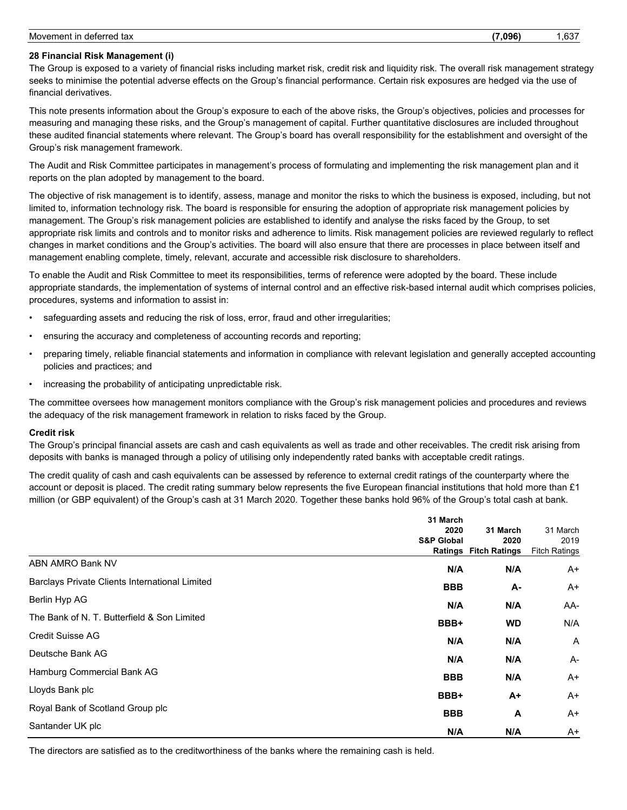# Movement in deferred tax **(7,096)** 1,637

# **28 Financial Risk Management (i)**

The Group is exposed to a variety of financial risks including market risk, credit risk and liquidity risk. The overall risk management strategy seeks to minimise the potential adverse effects on the Group's financial performance. Certain risk exposures are hedged via the use of financial derivatives.

This note presents information about the Group's exposure to each of the above risks, the Group's objectives, policies and processes for measuring and managing these risks, and the Group's management of capital. Further quantitative disclosures are included throughout these audited financial statements where relevant. The Group's board has overall responsibility for the establishment and oversight of the Group's risk management framework.

The Audit and Risk Committee participates in management's process of formulating and implementing the risk management plan and it reports on the plan adopted by management to the board.

The objective of risk management is to identify, assess, manage and monitor the risks to which the business is exposed, including, but not limited to, information technology risk. The board is responsible for ensuring the adoption of appropriate risk management policies by management. The Group's risk management policies are established to identify and analyse the risks faced by the Group, to set appropriate risk limits and controls and to monitor risks and adherence to limits. Risk management policies are reviewed regularly to reflect changes in market conditions and the Group's activities. The board will also ensure that there are processes in place between itself and management enabling complete, timely, relevant, accurate and accessible risk disclosure to shareholders.

To enable the Audit and Risk Committee to meet its responsibilities, terms of reference were adopted by the board. These include appropriate standards, the implementation of systems of internal control and an effective risk-based internal audit which comprises policies, procedures, systems and information to assist in:

- safeguarding assets and reducing the risk of loss, error, fraud and other irregularities;
- ensuring the accuracy and completeness of accounting records and reporting;
- preparing timely, reliable financial statements and information in compliance with relevant legislation and generally accepted accounting policies and practices; and
- increasing the probability of anticipating unpredictable risk.

The committee oversees how management monitors compliance with the Group's risk management policies and procedures and reviews the adequacy of the risk management framework in relation to risks faced by the Group.

#### **Credit risk**

The Group's principal financial assets are cash and cash equivalents as well as trade and other receivables. The credit risk arising from deposits with banks is managed through a policy of utilising only independently rated banks with acceptable credit ratings.

The credit quality of cash and cash equivalents can be assessed by reference to external credit ratings of the counterparty where the account or deposit is placed. The credit rating summary below represents the five European financial institutions that hold more than £1 million (or GBP equivalent) of the Group's cash at 31 March 2020. Together these banks hold 96% of the Group's total cash at bank.

|                                                | 31 March              |                              |                      |
|------------------------------------------------|-----------------------|------------------------------|----------------------|
|                                                | 2020                  | 31 March                     | 31 March             |
|                                                | <b>S&amp;P Global</b> | 2020                         | 2019                 |
|                                                |                       | <b>Ratings Fitch Ratings</b> | <b>Fitch Ratings</b> |
| <b>ABN AMRO Bank NV</b>                        | N/A                   | N/A                          | $A+$                 |
| Barclays Private Clients International Limited | <b>BBB</b>            | А-                           | $A+$                 |
| Berlin Hyp AG                                  | N/A                   | N/A                          | AA-                  |
| The Bank of N. T. Butterfield & Son Limited    | BBB+                  | <b>WD</b>                    | N/A                  |
| <b>Credit Suisse AG</b>                        | N/A                   | N/A                          | A                    |
| Deutsche Bank AG                               | N/A                   | N/A                          |                      |
| Hamburg Commercial Bank AG                     |                       |                              | A-                   |
| Lloyds Bank plc                                | <b>BBB</b>            | N/A                          | $A+$                 |
|                                                | BBB+                  | $A+$                         | $A+$                 |
| Royal Bank of Scotland Group plc               | <b>BBB</b>            | A                            | $A+$                 |
| Santander UK plc                               | N/A                   | N/A                          | A+                   |

The directors are satisfied as to the creditworthiness of the banks where the remaining cash is held.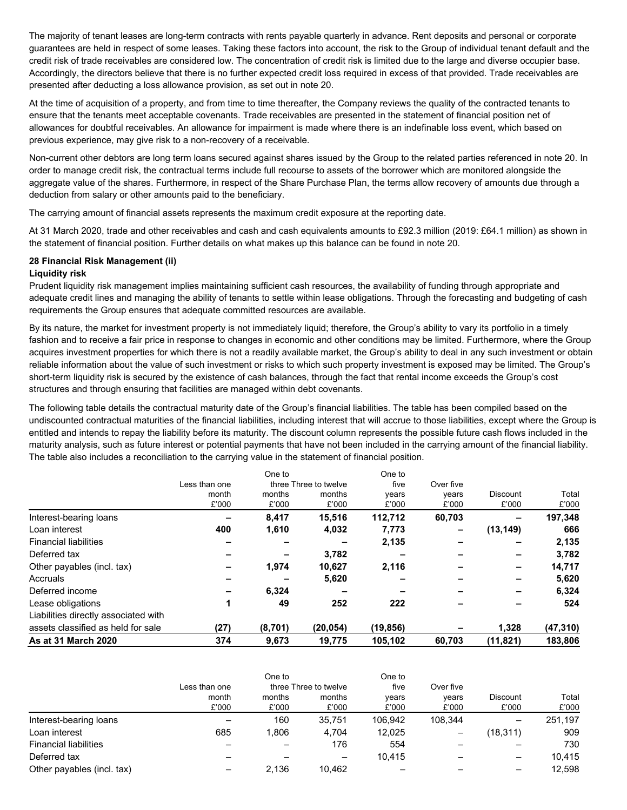The majority of tenant leases are long-term contracts with rents payable quarterly in advance. Rent deposits and personal or corporate guarantees are held in respect of some leases. Taking these factors into account, the risk to the Group of individual tenant default and the credit risk of trade receivables are considered low. The concentration of credit risk is limited due to the large and diverse occupier base. Accordingly, the directors believe that there is no further expected credit loss required in excess of that provided. Trade receivables are presented after deducting a loss allowance provision, as set out in note 20.

At the time of acquisition of a property, and from time to time thereafter, the Company reviews the quality of the contracted tenants to ensure that the tenants meet acceptable covenants. Trade receivables are presented in the statement of financial position net of allowances for doubtful receivables. An allowance for impairment is made where there is an indefinable loss event, which based on previous experience, may give risk to a non-recovery of a receivable.

Non-current other debtors are long term loans secured against shares issued by the Group to the related parties referenced in note 20. In order to manage credit risk, the contractual terms include full recourse to assets of the borrower which are monitored alongside the aggregate value of the shares. Furthermore, in respect of the Share Purchase Plan, the terms allow recovery of amounts due through a deduction from salary or other amounts paid to the beneficiary.

The carrying amount of financial assets represents the maximum credit exposure at the reporting date.

At 31 March 2020, trade and other receivables and cash and cash equivalents amounts to £92.3 million (2019: £64.1 million) as shown in the statement of financial position. Further details on what makes up this balance can be found in note 20.

# **28 Financial Risk Management (ii)**

# **Liquidity risk**

Prudent liquidity risk management implies maintaining sufficient cash resources, the availability of funding through appropriate and adequate credit lines and managing the ability of tenants to settle within lease obligations. Through the forecasting and budgeting of cash requirements the Group ensures that adequate committed resources are available.

By its nature, the market for investment property is not immediately liquid; therefore, the Group's ability to vary its portfolio in a timely fashion and to receive a fair price in response to changes in economic and other conditions may be limited. Furthermore, where the Group acquires investment properties for which there is not a readily available market, the Group's ability to deal in any such investment or obtain reliable information about the value of such investment or risks to which such property investment is exposed may be limited. The Group's short-term liquidity risk is secured by the existence of cash balances, through the fact that rental income exceeds the Group's cost structures and through ensuring that facilities are managed within debt covenants.

The following table details the contractual maturity date of the Group's financial liabilities. The table has been compiled based on the undiscounted contractual maturities of the financial liabilities, including interest that will accrue to those liabilities, except where the Group is entitled and intends to repay the liability before its maturity. The discount column represents the possible future cash flows included in the maturity analysis, such as future interest or potential payments that have not been included in the carrying amount of the financial liability. The table also includes a reconciliation to the carrying value in the statement of financial position.

|                                      |               | One to  |                       | One to    |           |                          |           |
|--------------------------------------|---------------|---------|-----------------------|-----------|-----------|--------------------------|-----------|
|                                      | Less than one |         | three Three to twelve | five      | Over five |                          |           |
|                                      | month         | months  | months                | years     | years     | <b>Discount</b>          | Total     |
|                                      | £'000         | £'000   | £'000                 | £'000     | £'000     | £'000                    | £'000     |
| Interest-bearing loans               |               | 8,417   | 15,516                | 112,712   | 60,703    |                          | 197,348   |
| Loan interest                        | 400           | 1,610   | 4,032                 | 7,773     | -         | (13, 149)                | 666       |
| <b>Financial liabilities</b>         |               |         |                       | 2,135     |           |                          | 2,135     |
| Deferred tax                         |               |         | 3,782                 |           |           |                          | 3,782     |
| Other payables (incl. tax)           |               | 1,974   | 10,627                | 2,116     |           | -                        | 14,717    |
| Accruals                             |               |         | 5,620                 |           |           | $\overline{\phantom{0}}$ | 5,620     |
| Deferred income                      |               | 6,324   |                       |           |           |                          | 6,324     |
| Lease obligations                    | 1             | 49      | 252                   | 222       |           |                          | 524       |
| Liabilities directly associated with |               |         |                       |           |           |                          |           |
| assets classified as held for sale   | (27)          | (8,701) | (20,054)              | (19, 856) |           | 1,328                    | (47, 310) |
| As at 31 March 2020                  | 374           | 9,673   | 19,775                | 105.102   | 60,703    | (11, 821)                | 183,806   |

|                              | Less than one | One to | three Three to twelve | One to<br>five | Over five |                 |         |
|------------------------------|---------------|--------|-----------------------|----------------|-----------|-----------------|---------|
|                              | month         | months | months                | years          | years     | <b>Discount</b> | Total   |
|                              | £'000         | £'000  | £'000                 | £'000          | £'000     | £'000           | £'000   |
| Interest-bearing loans       |               | 160    | 35.751                | 106.942        | 108.344   |                 | 251,197 |
| Loan interest                | 685           | .806   | 4,704                 | 12,025         | -         | (18,311)        | 909     |
| <b>Financial liabilities</b> |               |        | 176                   | 554            |           |                 | 730     |
| Deferred tax                 |               |        |                       | 10.415         |           |                 | 10,415  |
| Other payables (incl. tax)   |               | 2,136  | 10.462                |                |           |                 | 12.598  |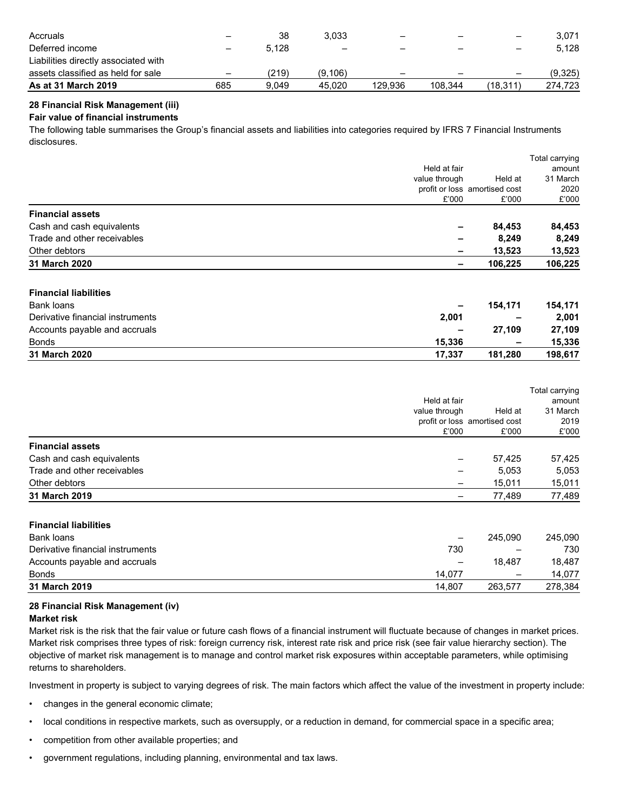| Accruals                             |     | 38    | 3.033                    | -                        | -                        | $\qquad \qquad$          | 3.071   |
|--------------------------------------|-----|-------|--------------------------|--------------------------|--------------------------|--------------------------|---------|
| Deferred income                      | -   | 5.128 | $\overline{\phantom{0}}$ | $\overline{\phantom{0}}$ | $\qquad \qquad -$        | $\qquad \qquad$          | 5,128   |
| Liabilities directly associated with |     |       |                          |                          |                          |                          |         |
| assets classified as held for sale   | -   | .219) | (9.106)                  | $\overline{\phantom{0}}$ | $\overline{\phantom{0}}$ | $\overline{\phantom{m}}$ | (9.325) |
| As at 31 March 2019                  | 685 | 9.049 | 45.020                   | 129.936                  | 108.344                  | (18,311)                 | 274,723 |

# **28 Financial Risk Management (iii)**

# **Fair value of financial instruments**

The following table summarises the Group's financial assets and liabilities into categories required by IFRS 7 Financial Instruments disclosures.

|                                  |               |                               | Total carrying |
|----------------------------------|---------------|-------------------------------|----------------|
|                                  | Held at fair  |                               | amount         |
|                                  | value through | Held at                       | 31 March       |
|                                  |               | profit or loss amortised cost | 2020           |
|                                  | £'000         | £'000                         | £'000          |
| <b>Financial assets</b>          |               |                               |                |
| Cash and cash equivalents        |               | 84,453                        | 84,453         |
| Trade and other receivables      |               | 8,249                         | 8,249          |
| Other debtors                    |               | 13,523                        | 13,523         |
| 31 March 2020                    | -             | 106,225                       | 106,225        |
| <b>Financial liabilities</b>     |               |                               |                |
| <b>Bank loans</b>                |               | 154,171                       | 154,171        |
| Derivative financial instruments | 2,001         |                               | 2,001          |
| Accounts payable and accruals    |               | 27,109                        | 27,109         |
| <b>Bonds</b>                     | 15,336        |                               | 15,336         |
| 31 March 2020                    | 17,337        | 181,280                       | 198,617        |
|                                  |               |                               | Total carrying |
|                                  | Held at fair  |                               | amount         |
|                                  | value through | Held at                       | 31 March       |
|                                  |               | profit or loss amortised cost | 2019           |
|                                  | £'000         | £'000                         | £'000          |
| <b>Financial assets</b>          |               |                               |                |
| Cash and cash equivalents        |               | 57,425                        | 57,425         |
| Trade and other receivables      |               | 5,053                         | 5,053          |
| Other debtors                    |               | 15,011                        | 15,011         |

# **31 March 2019** – 77,489 77,489

| <b>Financial liabilities</b>     |                          |                          |         |
|----------------------------------|--------------------------|--------------------------|---------|
| Bank loans                       | $\overline{\phantom{0}}$ | 245.090                  | 245,090 |
| Derivative financial instruments | 730                      | —                        | 730     |
| Accounts payable and accruals    | $\overline{\phantom{0}}$ | 18.487                   | 18.487  |
| <b>Bonds</b>                     | 14.077                   | $\overline{\phantom{m}}$ | 14.077  |
| 31 March 2019                    | 14.807                   | 263.577                  | 278,384 |

# **28 Financial Risk Management (iv) Market risk**

Market risk is the risk that the fair value or future cash flows of a financial instrument will fluctuate because of changes in market prices. Market risk comprises three types of risk: foreign currency risk, interest rate risk and price risk (see fair value hierarchy section). The objective of market risk management is to manage and control market risk exposures within acceptable parameters, while optimising returns to shareholders.

Investment in property is subject to varying degrees of risk. The main factors which affect the value of the investment in property include:

- changes in the general economic climate;
- local conditions in respective markets, such as oversupply, or a reduction in demand, for commercial space in a specific area;
- competition from other available properties; and
- government regulations, including planning, environmental and tax laws.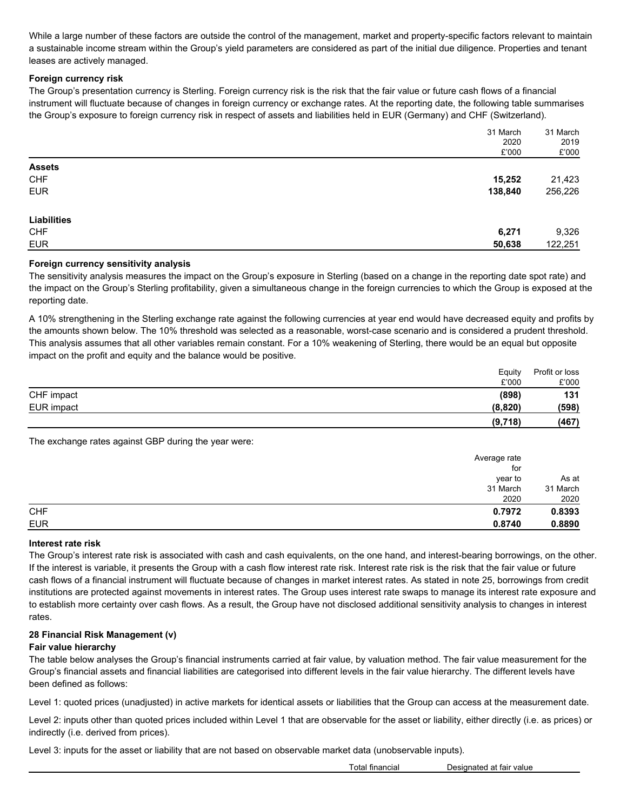While a large number of these factors are outside the control of the management, market and property-specific factors relevant to maintain a sustainable income stream within the Group's yield parameters are considered as part of the initial due diligence. Properties and tenant leases are actively managed.

# **Foreign currency risk**

The Group's presentation currency is Sterling. Foreign currency risk is the risk that the fair value or future cash flows of a financial instrument will fluctuate because of changes in foreign currency or exchange rates. At the reporting date, the following table summarises the Group's exposure to foreign currency risk in respect of assets and liabilities held in EUR (Germany) and CHF (Switzerland).

| 31 March              | 31 March |
|-----------------------|----------|
| 2020                  | 2019     |
| £'000                 | £'000    |
| <b>Assets</b>         |          |
| <b>CHF</b><br>15,252  | 21,423   |
| <b>EUR</b><br>138,840 | 256,226  |
| <b>Liabilities</b>    |          |
| <b>CHF</b><br>6,271   | 9,326    |
| <b>EUR</b><br>50,638  | 122,251  |

# **Foreign currency sensitivity analysis**

The sensitivity analysis measures the impact on the Group's exposure in Sterling (based on a change in the reporting date spot rate) and the impact on the Group's Sterling profitability, given a simultaneous change in the foreign currencies to which the Group is exposed at the reporting date.

A 10% strengthening in the Sterling exchange rate against the following currencies at year end would have decreased equity and profits by the amounts shown below. The 10% threshold was selected as a reasonable, worst-case scenario and is considered a prudent threshold. This analysis assumes that all other variables remain constant. For a 10% weakening of Sterling, there would be an equal but opposite impact on the profit and equity and the balance would be positive.

|            | Equity  | Profit or loss |
|------------|---------|----------------|
|            | £'000   | £'000          |
| CHF impact | (898)   | 131            |
| EUR impact | (8,820) | (598)          |
|            | (9,718) | (467)          |

The exchange rates against GBP during the year were:

|            | Average rate<br>for |          |
|------------|---------------------|----------|
|            | year to             | As at    |
|            | 31 March            | 31 March |
|            | 2020                | 2020     |
| <b>CHF</b> | 0.7972              | 0.8393   |
| <b>EUR</b> | 0.8740              | 0.8890   |

# **Interest rate risk**

The Group's interest rate risk is associated with cash and cash equivalents, on the one hand, and interest-bearing borrowings, on the other. If the interest is variable, it presents the Group with a cash flow interest rate risk. Interest rate risk is the risk that the fair value or future cash flows of a financial instrument will fluctuate because of changes in market interest rates. As stated in note 25, borrowings from credit institutions are protected against movements in interest rates. The Group uses interest rate swaps to manage its interest rate exposure and to establish more certainty over cash flows. As a result, the Group have not disclosed additional sensitivity analysis to changes in interest rates.

# **28 Financial Risk Management (v)**

# **Fair value hierarchy**

The table below analyses the Group's financial instruments carried at fair value, by valuation method. The fair value measurement for the Group's financial assets and financial liabilities are categorised into different levels in the fair value hierarchy. The different levels have been defined as follows:

Level 1: quoted prices (unadjusted) in active markets for identical assets or liabilities that the Group can access at the measurement date.

Level 2: inputs other than quoted prices included within Level 1 that are observable for the asset or liability, either directly (i.e. as prices) or indirectly (i.e. derived from prices).

Level 3: inputs for the asset or liability that are not based on observable market data (unobservable inputs).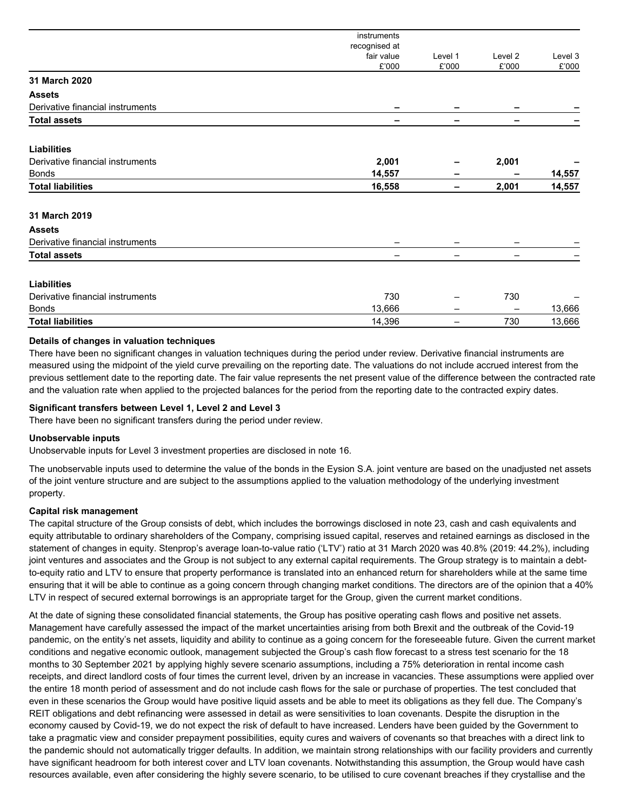|                                  | instruments   |         |                    |         |
|----------------------------------|---------------|---------|--------------------|---------|
|                                  | recognised at |         |                    |         |
|                                  | fair value    | Level 1 | Level <sub>2</sub> | Level 3 |
|                                  | £'000         | £'000   | £'000              | £'000   |
| 31 March 2020                    |               |         |                    |         |
| <b>Assets</b>                    |               |         |                    |         |
| Derivative financial instruments |               |         |                    |         |
| <b>Total assets</b>              |               |         |                    |         |
| <b>Liabilities</b>               |               |         |                    |         |
| Derivative financial instruments | 2,001         |         | 2,001              |         |
| <b>Bonds</b>                     | 14,557        |         |                    | 14,557  |
| <b>Total liabilities</b>         | 16,558        | -       | 2,001              | 14,557  |
| 31 March 2019                    |               |         |                    |         |
| <b>Assets</b>                    |               |         |                    |         |
| Derivative financial instruments |               |         |                    |         |
| <b>Total assets</b>              |               |         | ÷                  |         |
| <b>Liabilities</b>               |               |         |                    |         |
| Derivative financial instruments | 730           |         | 730                |         |
| <b>Bonds</b>                     | 13,666        | -       | -                  | 13,666  |
| <b>Total liabilities</b>         | 14,396        |         | 730                | 13,666  |

# **Details of changes in valuation techniques**

There have been no significant changes in valuation techniques during the period under review. Derivative financial instruments are measured using the midpoint of the yield curve prevailing on the reporting date. The valuations do not include accrued interest from the previous settlement date to the reporting date. The fair value represents the net present value of the difference between the contracted rate and the valuation rate when applied to the projected balances for the period from the reporting date to the contracted expiry dates.

# **Significant transfers between Level 1, Level 2 and Level 3**

There have been no significant transfers during the period under review.

# **Unobservable inputs**

Unobservable inputs for Level 3 investment properties are disclosed in note 16.

The unobservable inputs used to determine the value of the bonds in the Eysion S.A. joint venture are based on the unadjusted net assets of the joint venture structure and are subject to the assumptions applied to the valuation methodology of the underlying investment property.

# **Capital risk management**

The capital structure of the Group consists of debt, which includes the borrowings disclosed in note 23, cash and cash equivalents and equity attributable to ordinary shareholders of the Company, comprising issued capital, reserves and retained earnings as disclosed in the statement of changes in equity. Stenprop's average loan-to-value ratio ('LTV') ratio at 31 March 2020 was 40.8% (2019: 44.2%), including joint ventures and associates and the Group is not subject to any external capital requirements. The Group strategy is to maintain a debtto-equity ratio and LTV to ensure that property performance is translated into an enhanced return for shareholders while at the same time ensuring that it will be able to continue as a going concern through changing market conditions. The directors are of the opinion that a 40% LTV in respect of secured external borrowings is an appropriate target for the Group, given the current market conditions.

At the date of signing these consolidated financial statements, the Group has positive operating cash flows and positive net assets. Management have carefully assessed the impact of the market uncertainties arising from both Brexit and the outbreak of the Covid-19 pandemic, on the entity's net assets, liquidity and ability to continue as a going concern for the foreseeable future. Given the current market conditions and negative economic outlook, management subjected the Group's cash flow forecast to a stress test scenario for the 18 months to 30 September 2021 by applying highly severe scenario assumptions, including a 75% deterioration in rental income cash receipts, and direct landlord costs of four times the current level, driven by an increase in vacancies. These assumptions were applied over the entire 18 month period of assessment and do not include cash flows for the sale or purchase of properties. The test concluded that even in these scenarios the Group would have positive liquid assets and be able to meet its obligations as they fell due. The Company's REIT obligations and debt refinancing were assessed in detail as were sensitivities to loan covenants. Despite the disruption in the economy caused by Covid-19, we do not expect the risk of default to have increased. Lenders have been guided by the Government to take a pragmatic view and consider prepayment possibilities, equity cures and waivers of covenants so that breaches with a direct link to the pandemic should not automatically trigger defaults. In addition, we maintain strong relationships with our facility providers and currently have significant headroom for both interest cover and LTV loan covenants. Notwithstanding this assumption, the Group would have cash resources available, even after considering the highly severe scenario, to be utilised to cure covenant breaches if they crystallise and the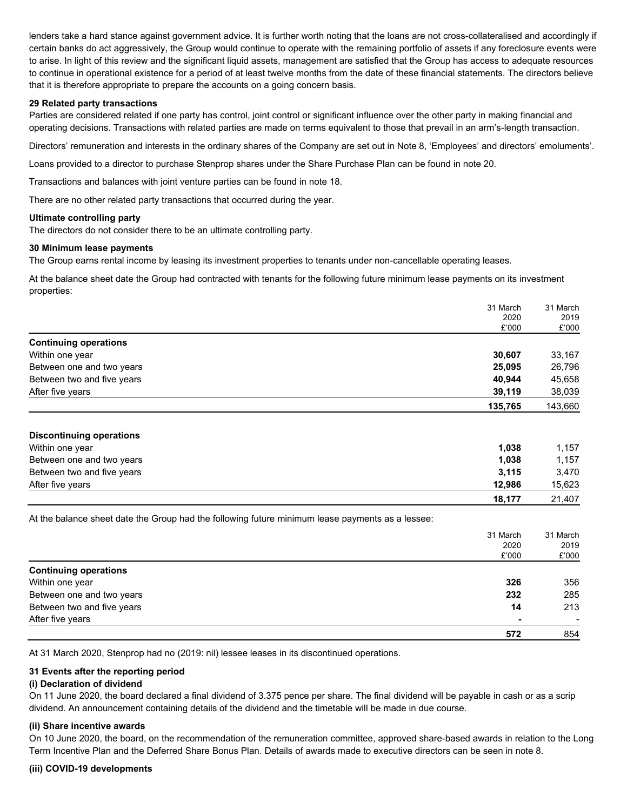lenders take a hard stance against government advice. It is further worth noting that the loans are not cross-collateralised and accordingly if certain banks do act aggressively, the Group would continue to operate with the remaining portfolio of assets if any foreclosure events were to arise. In light of this review and the significant liquid assets, management are satisfied that the Group has access to adequate resources to continue in operational existence for a period of at least twelve months from the date of these financial statements. The directors believe that it is therefore appropriate to prepare the accounts on a going concern basis.

# **29 Related party transactions**

Parties are considered related if one party has control, joint control or significant influence over the other party in making financial and operating decisions. Transactions with related parties are made on terms equivalent to those that prevail in an arm's-length transaction.

Directors' remuneration and interests in the ordinary shares of the Company are set out in Note 8, 'Employees' and directors' emoluments'.

Loans provided to a director to purchase Stenprop shares under the Share Purchase Plan can be found in note 20.

Transactions and balances with joint venture parties can be found in note 18.

There are no other related party transactions that occurred during the year.

#### **Ultimate controlling party**

The directors do not consider there to be an ultimate controlling party.

#### **30 Minimum lease payments**

The Group earns rental income by leasing its investment properties to tenants under non-cancellable operating leases.

At the balance sheet date the Group had contracted with tenants for the following future minimum lease payments on its investment properties:

|                                                                                                  | 31 March | 31 March |
|--------------------------------------------------------------------------------------------------|----------|----------|
|                                                                                                  | 2020     | 2019     |
|                                                                                                  | £'000    | £'000    |
| <b>Continuing operations</b>                                                                     |          |          |
| Within one year                                                                                  | 30,607   | 33,167   |
| Between one and two years                                                                        | 25,095   | 26,796   |
| Between two and five years                                                                       | 40,944   | 45,658   |
| After five years                                                                                 | 39,119   | 38,039   |
|                                                                                                  | 135,765  | 143,660  |
|                                                                                                  |          |          |
| <b>Discontinuing operations</b>                                                                  |          |          |
| Within one year                                                                                  | 1,038    | 1,157    |
| Between one and two years                                                                        | 1,038    | 1,157    |
| Between two and five years                                                                       | 3,115    | 3,470    |
| After five years                                                                                 | 12,986   | 15,623   |
|                                                                                                  | 18,177   | 21,407   |
| At the balance sheet date the Group had the following future minimum lease payments as a lessee: |          |          |
|                                                                                                  | 31 March | 31 March |
|                                                                                                  | 2020     | 2019     |
|                                                                                                  | £'000    | £'000    |
| <b>Continuing operations</b>                                                                     |          |          |
| Within one year                                                                                  | 326      | 356      |
| Between one and two years                                                                        | 232      | 285      |
| Between two and five years                                                                       | 14       | 213      |
| After five years                                                                                 |          |          |
|                                                                                                  | 572      | 854      |

At 31 March 2020, Stenprop had no (2019: nil) lessee leases in its discontinued operations.

# **31 Events after the reporting period**

# **(i) Declaration of dividend**

On 11 June 2020, the board declared a final dividend of 3.375 pence per share. The final dividend will be payable in cash or as a scrip dividend. An announcement containing details of the dividend and the timetable will be made in due course.

#### **(ii) Share incentive awards**

On 10 June 2020, the board, on the recommendation of the remuneration committee, approved share-based awards in relation to the Long Term Incentive Plan and the Deferred Share Bonus Plan. Details of awards made to executive directors can be seen in note 8.

#### **(iii) COVID-19 developments**